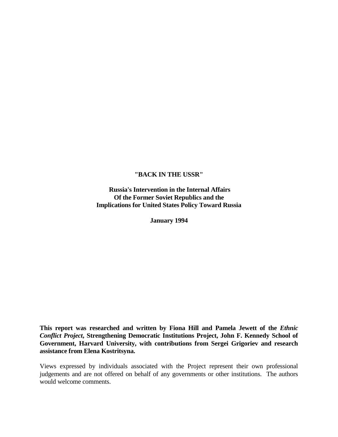# **"BACK IN THE USSR"**

**Russia's Intervention in the Internal Affairs Of the Former Soviet Republics and the Implications for United States Policy Toward Russia**

**January 1994**

**This report was researched and written by Fiona Hill and Pamela Jewett of the** *Ethnic Conflict Project***, Strengthening Democratic Institutions Project, John F. Kennedy School of Government, Harvard University, with contributions from Sergei Grigoriev and research assistance from Elena Kostritsyna.**

Views expressed by individuals associated with the Project represent their own professional judgements and are not offered on behalf of any governments or other institutions. The authors would welcome comments.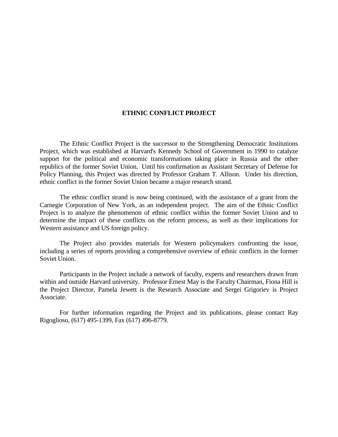## **ETHNIC CONFLICT PROJECT**

The Ethnic Conflict Project is the successor to the Strengthening Democratic Institutions Project, which was established at Harvard's Kennedy School of Government in 1990 to catalyze support for the political and economic transformations taking place in Russia and the other republics of the former Soviet Union. Until his confirmation as Assistant Secretary of Defense for Policy Planning, this Project was directed by Professor Graham T. Allison. Under his direction, ethnic conflict in the former Soviet Union became a major research strand.

The ethnic conflict strand is now being continued, with the assistance of a grant from the Carnegie Corporation of New York, as an independent project. The aim of the Ethnic Conflict Project is to analyze the phenomenon of ethnic conflict within the former Soviet Union and to determine the impact of these conflicts on the reform process, as well as their implications for Western assistance and US foreign policy.

The Project also provides materials for Western policymakers confronting the issue, including a series of reports providing a comprehensive overview of ethnic conflicts in the former Soviet Union.

Participants in the Project include a network of faculty, experts and researchers drawn from within and outside Harvard university. Professor Ernest May is the Faculty Chairman, Fiona Hill is the Project Director, Pamela Jewett is the Research Associate and Sergei Grigoriev is Project Associate.

For further information regarding the Project and its publications, please contact Ray Rigoglioso, (617) 495-1399, Fax (617) 496-8779.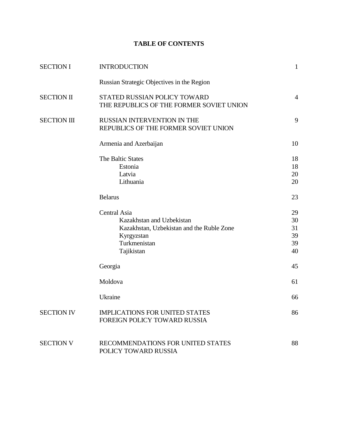# **TABLE OF CONTENTS**

| <b>SECTION I</b>   | <b>INTRODUCTION</b>                                                                                                                | $\mathbf{1}$                     |
|--------------------|------------------------------------------------------------------------------------------------------------------------------------|----------------------------------|
|                    | Russian Strategic Objectives in the Region                                                                                         |                                  |
| <b>SECTION II</b>  | STATED RUSSIAN POLICY TOWARD<br>THE REPUBLICS OF THE FORMER SOVIET UNION                                                           | $\overline{4}$                   |
| <b>SECTION III</b> | RUSSIAN INTERVENTION IN THE<br>REPUBLICS OF THE FORMER SOVIET UNION                                                                | 9                                |
|                    | Armenia and Azerbaijan                                                                                                             | 10                               |
|                    | The Baltic States<br>Estonia<br>Latvia<br>Lithuania                                                                                | 18<br>18<br>20<br>20             |
|                    | <b>Belarus</b>                                                                                                                     | 23                               |
|                    | Central Asia<br>Kazakhstan and Uzbekistan<br>Kazakhstan, Uzbekistan and the Ruble Zone<br>Kyrgyzstan<br>Turkmenistan<br>Tajikistan | 29<br>30<br>31<br>39<br>39<br>40 |
|                    | Georgia                                                                                                                            | 45                               |
|                    | Moldova                                                                                                                            | 61                               |
|                    | Ukraine                                                                                                                            | 66                               |
| <b>SECTION IV</b>  | <b>IMPLICATIONS FOR UNITED STATES</b><br>FOREIGN POLICY TOWARD RUSSIA                                                              | 86                               |
| <b>SECTION V</b>   | RECOMMENDATIONS FOR UNITED STATES<br>POLICY TOWARD RUSSIA                                                                          | 88                               |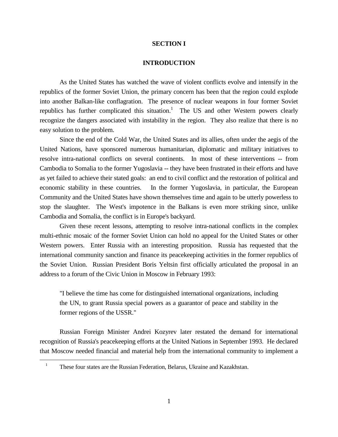### **SECTION I**

#### **INTRODUCTION**

As the United States has watched the wave of violent conflicts evolve and intensify in the republics of the former Soviet Union, the primary concern has been that the region could explode into another Balkan-like conflagration. The presence of nuclear weapons in four former Soviet republics has further complicated this situation.<sup>1</sup> The US and other Western powers clearly recognize the dangers associated with instability in the region. They also realize that there is no easy solution to the problem.

Since the end of the Cold War, the United States and its allies, often under the aegis of the United Nations, have sponsored numerous humanitarian, diplomatic and military initiatives to resolve intra-national conflicts on several continents. In most of these interventions -- from Cambodia to Somalia to the former Yugoslavia -- they have been frustrated in their efforts and have as yet failed to achieve their stated goals: an end to civil conflict and the restoration of political and economic stability in these countries. In the former Yugoslavia, in particular, the European Community and the United States have shown themselves time and again to be utterly powerless to stop the slaughter. The West's impotence in the Balkans is even more striking since, unlike Cambodia and Somalia, the conflict is in Europe's backyard.

Given these recent lessons, attempting to resolve intra-national conflicts in the complex multi-ethnic mosaic of the former Soviet Union can hold no appeal for the United States or other Western powers. Enter Russia with an interesting proposition. Russia has requested that the international community sanction and finance its peacekeeping activities in the former republics of the Soviet Union. Russian President Boris Yeltsin first officially articulated the proposal in an address to a forum of the Civic Union in Moscow in February 1993:

"I believe the time has come for distinguished international organizations, including the UN, to grant Russia special powers as a guarantor of peace and stability in the former regions of the USSR."

Russian Foreign Minister Andrei Kozyrev later restated the demand for international recognition of Russia's peacekeeping efforts at the United Nations in September 1993. He declared that Moscow needed financial and material help from the international community to implement a

a<br>B

<sup>&</sup>lt;sup>1</sup> These four states are the Russian Federation, Belarus, Ukraine and Kazakhstan.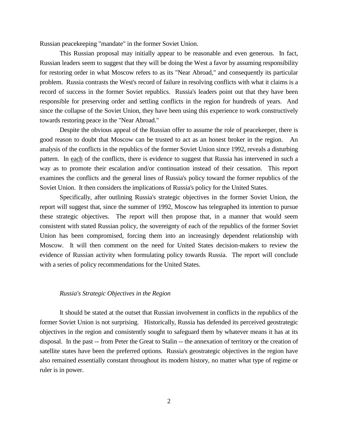Russian peacekeeping "mandate" in the former Soviet Union.

This Russian proposal may initially appear to be reasonable and even generous. In fact, Russian leaders seem to suggest that they will be doing the West a favor by assuming responsibility for restoring order in what Moscow refers to as its "Near Abroad," and consequently its particular problem. Russia contrasts the West's record of failure in resolving conflicts with what it claims is a record of success in the former Soviet republics. Russia's leaders point out that they have been responsible for preserving order and settling conflicts in the region for hundreds of years. And since the collapse of the Soviet Union, they have been using this experience to work constructively towards restoring peace in the "Near Abroad."

Despite the obvious appeal of the Russian offer to assume the role of peacekeeper, there is good reason to doubt that Moscow can be trusted to act as an honest broker in the region. An analysis of the conflicts in the republics of the former Soviet Union since 1992, reveals a disturbing pattern. In each of the conflicts, there is evidence to suggest that Russia has intervened in such a way as to promote their escalation and/or continuation instead of their cessation. This report examines the conflicts and the general lines of Russia's policy toward the former republics of the Soviet Union. It then considers the implications of Russia's policy for the United States.

Specifically, after outlining Russia's strategic objectives in the former Soviet Union, the report will suggest that, since the summer of 1992, Moscow has telegraphed its intention to pursue these strategic objectives. The report will then propose that, in a manner that would seem consistent with stated Russian policy, the sovereignty of each of the republics of the former Soviet Union has been compromised, forcing them into an increasingly dependent relationship with Moscow. It will then comment on the need for United States decision-makers to review the evidence of Russian activity when formulating policy towards Russia. The report will conclude with a series of policy recommendations for the United States.

#### *Russia's Strategic Objectives in the Region*

It should be stated at the outset that Russian involvement in conflicts in the republics of the former Soviet Union is not surprising. Historically, Russia has defended its perceived geostrategic objectives in the region and consistently sought to safeguard them by whatever means it has at its disposal. In the past -- from Peter the Great to Stalin -- the annexation of territory or the creation of satellite states have been the preferred options. Russia's geostrategic objectives in the region have also remained essentially constant throughout its modern history, no matter what type of regime or ruler is in power.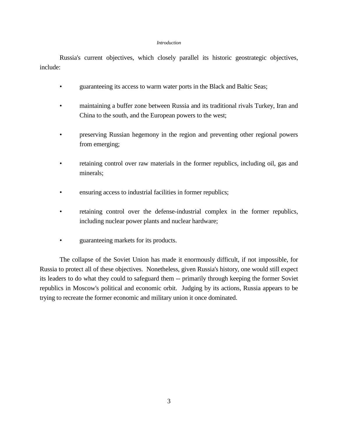#### *Introduction*

Russia's current objectives, which closely parallel its historic geostrategic objectives, include:

- guaranteeing its access to warm water ports in the Black and Baltic Seas;
- maintaining a buffer zone between Russia and its traditional rivals Turkey, Iran and China to the south, and the European powers to the west;
- preserving Russian hegemony in the region and preventing other regional powers from emerging;
- retaining control over raw materials in the former republics, including oil, gas and minerals;
- ensuring access to industrial facilities in former republics;
- retaining control over the defense-industrial complex in the former republics, including nuclear power plants and nuclear hardware;
- guaranteeing markets for its products.

The collapse of the Soviet Union has made it enormously difficult, if not impossible, for Russia to protect all of these objectives. Nonetheless, given Russia's history, one would still expect its leaders to do what they could to safeguard them -- primarily through keeping the former Soviet republics in Moscow's political and economic orbit. Judging by its actions, Russia appears to be trying to recreate the former economic and military union it once dominated.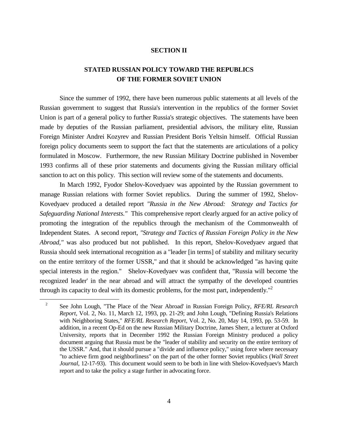## **SECTION II**

# **STATED RUSSIAN POLICY TOWARD THE REPUBLICS OF THE FORMER SOVIET UNION**

Since the summer of 1992, there have been numerous public statements at all levels of the Russian government to suggest that Russia's intervention in the republics of the former Soviet Union is part of a general policy to further Russia's strategic objectives. The statements have been made by deputies of the Russian parliament, presidential advisors, the military elite, Russian Foreign Minister Andrei Kozyrev and Russian President Boris Yeltsin himself. Official Russian foreign policy documents seem to support the fact that the statements are articulations of a policy formulated in Moscow. Furthermore, the new Russian Military Doctrine published in November 1993 confirms all of these prior statements and documents giving the Russian military official sanction to act on this policy. This section will review some of the statements and documents.

In March 1992, Fyodor Shelov-Kovedyaev was appointed by the Russian government to manage Russian relations with former Soviet republics. During the summer of 1992, Shelov-Kovedyaev produced a detailed report *"Russia in the New Abroad: Strategy and Tactics for Safeguarding National Interests."* This comprehensive report clearly argued for an active policy of promoting the integration of the republics through the mechanism of the Commonwealth of Independent States. A second report, *"Strategy and Tactics of Russian Foreign Policy in the New Abroad,"* was also produced but not published. In this report, Shelov-Kovedyaev argued that Russia should seek international recognition as a "leader [in terms] of stability and military security on the entire territory of the former USSR," and that it should be acknowledged "as having quite special interests in the region." Shelov-Kovedyaev was confident that, "Russia will become 'the recognized leader' in the near abroad and will attract the sympathy of the developed countries through its capacity to deal with its domestic problems, for the most part, independently."<sup>2</sup>

a<br>B

<sup>2</sup> See John Lough, "The Place of the 'Near Abroad' in Russian Foreign Policy, *RFE/RL Research Report*, Vol. 2, No. 11, March 12, 1993, pp. 21-29; and John Lough, "Defining Russia's Relations with Neighboring States," *RFE/RL Research Report*, Vol. 2, No. 20, May 14, 1993, pp. 53-59. In addition, in a recent Op-Ed on the new Russian Military Doctrine, James Sherr, a lecturer at Oxford University, reports that in December 1992 the Russian Foreign Ministry produced a policy document arguing that Russia must be the "leader of stability and security on the entire territory of the USSR." And, that it should pursue a "divide and influence policy," using force where necessary "to achieve firm good neighborliness" on the part of the other former Soviet republics (*Wall Street Journal*, 12-17-93). This document would seem to be both in line with Shelov-Kovedyaev's March report and to take the policy a stage further in advocating force.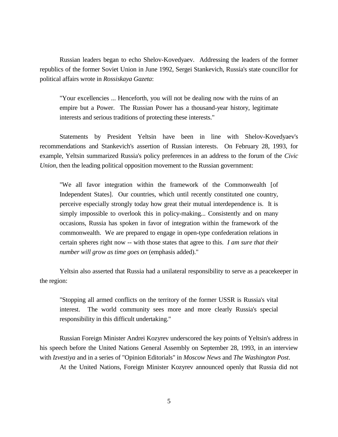Russian leaders began to echo Shelov-Kovedyaev. Addressing the leaders of the former republics of the former Soviet Union in June 1992, Sergei Stankevich, Russia's state councillor for political affairs wrote in *Rossiskaya Gazeta*:

"Your excellencies ... Henceforth, you will not be dealing now with the ruins of an empire but a Power. The Russian Power has a thousand-year history, legitimate interests and serious traditions of protecting these interests."

Statements by President Yeltsin have been in line with Shelov-Kovedyaev's recommendations and Stankevich's assertion of Russian interests. On February 28, 1993, for example, Yeltsin summarized Russia's policy preferences in an address to the forum of the *Civic Union*, then the leading political opposition movement to the Russian government:

"We all favor integration within the framework of the Commonwealth [of Independent States]. Our countries, which until recently constituted one country, perceive especially strongly today how great their mutual interdependence is. It is simply impossible to overlook this in policy-making... Consistently and on many occasions, Russia has spoken in favor of integration within the framework of the commonwealth. We are prepared to engage in open-type confederation relations in certain spheres right now -- with those states that agree to this. *I am sure that their number will grow as time goes on* (emphasis added)."

Yeltsin also asserted that Russia had a unilateral responsibility to serve as a peacekeeper in the region:

"Stopping all armed conflicts on the territory of the former USSR is Russia's vital interest. The world community sees more and more clearly Russia's special responsibility in this difficult undertaking."

Russian Foreign Minister Andrei Kozyrev underscored the key points of Yeltsin's address in his speech before the United Nations General Assembly on September 28, 1993, in an interview with *Izvestiya* and in a series of "Opinion Editorials" in *Moscow News* and *The Washington Post*.

At the United Nations, Foreign Minister Kozyrev announced openly that Russia did not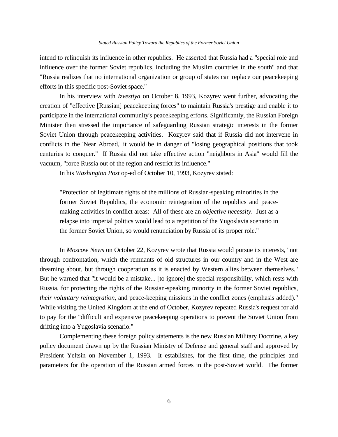intend to relinquish its influence in other republics. He asserted that Russia had a "special role and influence over the former Soviet republics, including the Muslim countries in the south" and that "Russia realizes that no international organization or group of states can replace our peacekeeping efforts in this specific post-Soviet space."

In his interview with *Izvestiya* on October 8, 1993, Kozyrev went further, advocating the creation of "effective [Russian] peacekeeping forces" to maintain Russia's prestige and enable it to participate in the international community's peacekeeping efforts. Significantly, the Russian Foreign Minister then stressed the importance of safeguarding Russian strategic interests in the former Soviet Union through peacekeeping activities. Kozyrev said that if Russia did not intervene in conflicts in the 'Near Abroad,' it would be in danger of "losing geographical positions that took centuries to conquer." If Russia did not take effective action "neighbors in Asia" would fill the vacuum, "force Russia out of the region and restrict its influence."

In his *Washington Post* op-ed of October 10, 1993, Kozyrev stated:

"Protection of legitimate rights of the millions of Russian-speaking minorities in the former Soviet Republics, the economic reintegration of the republics and peacemaking activities in conflict areas: All of these are an *objective necessity*. Just as a relapse into imperial politics would lead to a repetition of the Yugoslavia scenario in the former Soviet Union, so would renunciation by Russia of its proper role."

In *Moscow News* on October 22, Kozyrev wrote that Russia would pursue its interests, "not through confrontation, which the remnants of old structures in our country and in the West are dreaming about, but through cooperation as it is enacted by Western allies between themselves." But he warned that "it would be a mistake... [to ignore] the special responsibility, which rests with Russia, for protecting the rights of the Russian-speaking minority in the former Soviet republics, *their voluntary reintegration*, and peace-keeping missions in the conflict zones (emphasis added)." While visiting the United Kingdom at the end of October, Kozyrev repeated Russia's request for aid to pay for the "difficult and expensive peacekeeping operations to prevent the Soviet Union from drifting into a Yugoslavia scenario."

Complementing these foreign policy statements is the new Russian Military Doctrine, a key policy document drawn up by the Russian Ministry of Defense and general staff and approved by President Yeltsin on November 1, 1993. It establishes, for the first time, the principles and parameters for the operation of the Russian armed forces in the post-Soviet world. The former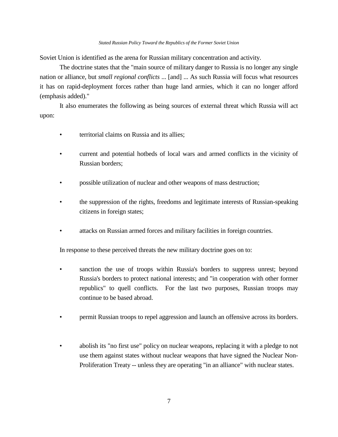#### *Stated Russian Policy Toward the Republics of the Former Soviet Union*

Soviet Union is identified as the arena for Russian military concentration and activity.

The doctrine states that the "main source of military danger to Russia is no longer any single nation or alliance, but *small regional conflicts* ... [and] ... As such Russia will focus what resources it has on rapid-deployment forces rather than huge land armies, which it can no longer afford (emphasis added)."

It also enumerates the following as being sources of external threat which Russia will act upon:

- territorial claims on Russia and its allies;
- current and potential hotbeds of local wars and armed conflicts in the vicinity of Russian borders;
- possible utilization of nuclear and other weapons of mass destruction;
- the suppression of the rights, freedoms and legitimate interests of Russian-speaking citizens in foreign states;
- attacks on Russian armed forces and military facilities in foreign countries.

In response to these perceived threats the new military doctrine goes on to:

- sanction the use of troops within Russia's borders to suppress unrest; beyond Russia's borders to protect national interests; and "in cooperation with other former republics" to quell conflicts. For the last two purposes, Russian troops may continue to be based abroad.
- permit Russian troops to repel aggression and launch an offensive across its borders.
- abolish its "no first use" policy on nuclear weapons, replacing it with a pledge to not use them against states without nuclear weapons that have signed the Nuclear Non-Proliferation Treaty -- unless they are operating "in an alliance" with nuclear states.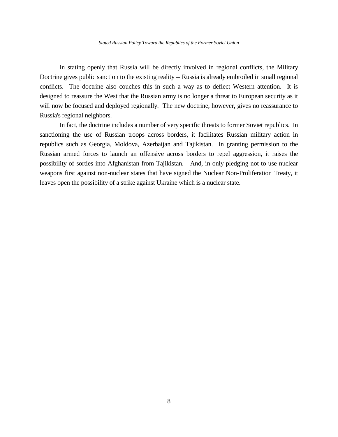In stating openly that Russia will be directly involved in regional conflicts, the Military Doctrine gives public sanction to the existing reality -- Russia is already embroiled in small regional conflicts. The doctrine also couches this in such a way as to deflect Western attention. It is designed to reassure the West that the Russian army is no longer a threat to European security as it will now be focused and deployed regionally. The new doctrine, however, gives no reassurance to Russia's regional neighbors.

In fact, the doctrine includes a number of very specific threats to former Soviet republics. In sanctioning the use of Russian troops across borders, it facilitates Russian military action in republics such as Georgia, Moldova, Azerbaijan and Tajikistan. In granting permission to the Russian armed forces to launch an offensive across borders to repel aggression, it raises the possibility of sorties into Afghanistan from Tajikistan. And, in only pledging not to use nuclear weapons first against non-nuclear states that have signed the Nuclear Non-Proliferation Treaty, it leaves open the possibility of a strike against Ukraine which is a nuclear state.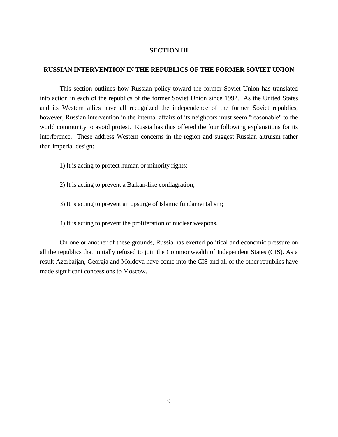## **SECTION III**

## **RUSSIAN INTERVENTION IN THE REPUBLICS OF THE FORMER SOVIET UNION**

This section outlines how Russian policy toward the former Soviet Union has translated into action in each of the republics of the former Soviet Union since 1992. As the United States and its Western allies have all recognized the independence of the former Soviet republics, however, Russian intervention in the internal affairs of its neighbors must seem "reasonable" to the world community to avoid protest. Russia has thus offered the four following explanations for its interference. These address Western concerns in the region and suggest Russian altruism rather than imperial design:

- 1) It is acting to protect human or minority rights;
- 2) It is acting to prevent a Balkan-like conflagration;
- 3) It is acting to prevent an upsurge of Islamic fundamentalism;
- 4) It is acting to prevent the proliferation of nuclear weapons.

On one or another of these grounds, Russia has exerted political and economic pressure on all the republics that initially refused to join the Commonwealth of Independent States (CIS). As a result Azerbaijan, Georgia and Moldova have come into the CIS and all of the other republics have made significant concessions to Moscow.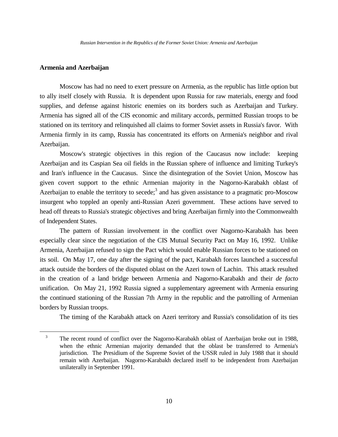# **Armenia and Azerbaijan**

a<br>B

Moscow has had no need to exert pressure on Armenia, as the republic has little option but to ally itself closely with Russia. It is dependent upon Russia for raw materials, energy and food supplies, and defense against historic enemies on its borders such as Azerbaijan and Turkey. Armenia has signed all of the CIS economic and military accords, permitted Russian troops to be stationed on its territory and relinquished all claims to former Soviet assets in Russia's favor. With Armenia firmly in its camp, Russia has concentrated its efforts on Armenia's neighbor and rival Azerbaijan.

Moscow's strategic objectives in this region of the Caucasus now include: keeping Azerbaijan and its Caspian Sea oil fields in the Russian sphere of influence and limiting Turkey's and Iran's influence in the Caucasus. Since the disintegration of the Soviet Union, Moscow has given covert support to the ethnic Armenian majority in the Nagorno-Karabakh oblast of Azerbaijan to enable the territory to secede;<sup>3</sup> and has given assistance to a pragmatic pro-Moscow insurgent who toppled an openly anti-Russian Azeri government. These actions have served to head off threats to Russia's strategic objectives and bring Azerbaijan firmly into the Commonwealth of Independent States.

The pattern of Russian involvement in the conflict over Nagorno-Karabakh has been especially clear since the negotiation of the CIS Mutual Security Pact on May 16, 1992. Unlike Armenia, Azerbaijan refused to sign the Pact which would enable Russian forces to be stationed on its soil. On May 17, one day after the signing of the pact, Karabakh forces launched a successful attack outside the borders of the disputed oblast on the Azeri town of Lachin. This attack resulted in the creation of a land bridge between Armenia and Nagorno-Karabakh and their *de facto* unification. On May 21, 1992 Russia signed a supplementary agreement with Armenia ensuring the continued stationing of the Russian 7th Army in the republic and the patrolling of Armenian borders by Russian troops.

The timing of the Karabakh attack on Azeri territory and Russia's consolidation of its ties

<sup>&</sup>lt;sup>3</sup> The recent round of conflict over the Nagorno-Karabakh oblast of Azerbaijan broke out in 1988, when the ethnic Armenian majority demanded that the oblast be transferred to Armenia's jurisdiction. The Presidium of the Supreme Soviet of the USSR ruled in July 1988 that it should remain with Azerbaijan. Nagorno-Karabakh declared itself to be independent from Azerbaijan unilaterally in September 1991.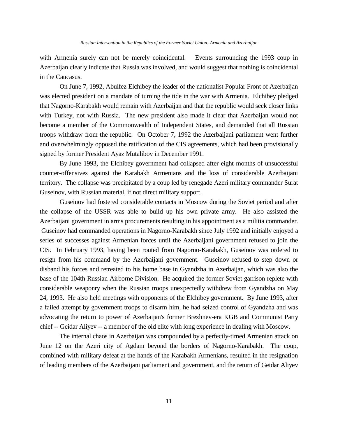with Armenia surely can not be merely coincidental. Events surrounding the 1993 coup in Azerbaijan clearly indicate that Russia was involved, and would suggest that nothing is coincidental in the Caucasus.

On June 7, 1992, Abulfez Elchibey the leader of the nationalist Popular Front of Azerbaijan was elected president on a mandate of turning the tide in the war with Armenia. Elchibey pledged that Nagorno-Karabakh would remain with Azerbaijan and that the republic would seek closer links with Turkey, not with Russia. The new president also made it clear that Azerbaijan would not become a member of the Commonwealth of Independent States, and demanded that all Russian troops withdraw from the republic. On October 7, 1992 the Azerbaijani parliament went further and overwhelmingly opposed the ratification of the CIS agreements, which had been provisionally signed by former President Ayaz Mutalibov in December 1991.

By June 1993, the Elchibey government had collapsed after eight months of unsuccessful counter-offensives against the Karabakh Armenians and the loss of considerable Azerbaijani territory. The collapse was precipitated by a coup led by renegade Azeri military commander Surat Guseinov, with Russian material, if not direct military support.

Guseinov had fostered considerable contacts in Moscow during the Soviet period and after the collapse of the USSR was able to build up his own private army. He also assisted the Azerbaijani government in arms procurements resulting in his appointment as a militia commander. Guseinov had commanded operations in Nagorno-Karabakh since July 1992 and initially enjoyed a series of successes against Armenian forces until the Azerbaijani government refused to join the CIS. In February 1993, having been routed from Nagorno-Karabakh, Guseinov was ordered to resign from his command by the Azerbaijani government. Guseinov refused to step down or disband his forces and retreated to his home base in Gyandzha in Azerbaijan, which was also the base of the 104th Russian Airborne Division. He acquired the former Soviet garrison replete with considerable weaponry when the Russian troops unexpectedly withdrew from Gyandzha on May 24, 1993. He also held meetings with opponents of the Elchibey government. By June 1993, after a failed attempt by government troops to disarm him, he had seized control of Gyandzha and was advocating the return to power of Azerbaijan's former Brezhnev-era KGB and Communist Party chief -- Geidar Aliyev -- a member of the old elite with long experience in dealing with Moscow.

The internal chaos in Azerbaijan was compounded by a perfectly-timed Armenian attack on June 12 on the Azeri city of Agdam beyond the borders of Nagorno-Karabakh. The coup, combined with military defeat at the hands of the Karabakh Armenians, resulted in the resignation of leading members of the Azerbaijani parliament and government, and the return of Geidar Aliyev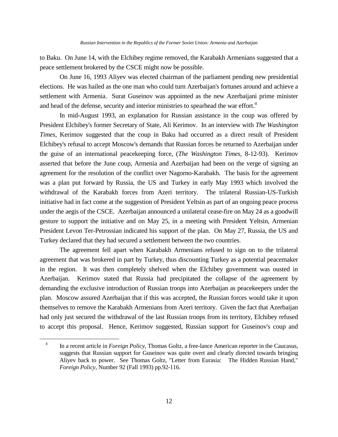to Baku. On June 14, with the Elchibey regime removed, the Karabakh Armenians suggested that a peace settlement brokered by the CSCE might now be possible.

On June 16, 1993 Aliyev was elected chairman of the parliament pending new presidential elections. He was hailed as the one man who could turn Azerbaijan's fortunes around and achieve a settlement with Armenia. Surat Guseinov was appointed as the new Azerbaijani prime minister and head of the defense, security and interior ministries to spearhead the war effort.<sup>4</sup>

In mid-August 1993, an explanation for Russian assistance in the coup was offered by President Elchibey's former Secretary of State, Ali Kerimov. In an interview with *The Washington Times*, Kerimov suggested that the coup in Baku had occurred as a direct result of President Elchibey's refusal to accept Moscow's demands that Russian forces be returned to Azerbaijan under the guise of an international peacekeeping force, (*The Washington Times*, 8-12-93). Kerimov asserted that before the June coup, Armenia and Azerbaijan had been on the verge of signing an agreement for the resolution of the conflict over Nagorno-Karabakh. The basis for the agreement was a plan put forward by Russia, the US and Turkey in early May 1993 which involved the withdrawal of the Karabakh forces from Azeri territory. The trilateral Russian-US-Turkish initiative had in fact come at the suggestion of President Yeltsin as part of an ongoing peace process under the aegis of the CSCE. Azerbaijan announced a unilateral cease-fire on May 24 as a goodwill gesture to support the initiative and on May 25, in a meeting with President Yeltsin, Armenian President Levon Ter-Petrossian indicated his support of the plan. On May 27, Russia, the US and Turkey declared that they had secured a settlement between the two countries.

The agreement fell apart when Karabakh Armenians refused to sign on to the trilateral agreement that was brokered in part by Turkey, thus discounting Turkey as a potential peacemaker in the region. It was then completely shelved when the Elchibey government was ousted in Azerbaijan. Kerimov stated that Russia had precipitated the collapse of the agreement by demanding the exclusive introduction of Russian troops into Azerbaijan as peacekeepers under the plan. Moscow assured Azerbaijan that if this was accepted, the Russian forces would take it upon themselves to remove the Karabakh Armenians from Azeri territory. Given the fact that Azerbaijan had only just secured the withdrawal of the last Russian troops from its territory, Elchibey refused to accept this proposal. Hence, Kerimov suggested, Russian support for Guseinov's coup and

a<br>B

<sup>4</sup> In a recent article in *Foreign Policy*, Thomas Goltz, a free-lance American reporter in the Caucasus, suggests that Russian support for Guseinov was quite overt and clearly directed towards bringing Aliyev back to power. See Thomas Goltz, "Letter from Eurasia: The Hidden Russian Hand," *Foreign Policy*, Number 92 (Fall 1993) pp.92-116.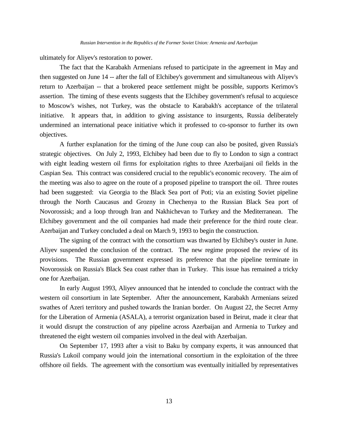ultimately for Aliyev's restoration to power.

The fact that the Karabakh Armenians refused to participate in the agreement in May and then suggested on June 14 -- after the fall of Elchibey's government and simultaneous with Aliyev's return to Azerbaijan -- that a brokered peace settlement might be possible, supports Kerimov's assertion. The timing of these events suggests that the Elchibey government's refusal to acquiesce to Moscow's wishes, not Turkey, was the obstacle to Karabakh's acceptance of the trilateral initiative. It appears that, in addition to giving assistance to insurgents, Russia deliberately undermined an international peace initiative which it professed to co-sponsor to further its own objectives.

A further explanation for the timing of the June coup can also be posited, given Russia's strategic objectives. On July 2, 1993, Elchibey had been due to fly to London to sign a contract with eight leading western oil firms for exploitation rights to three Azerbaijani oil fields in the Caspian Sea. This contract was considered crucial to the republic's economic recovery. The aim of the meeting was also to agree on the route of a proposed pipeline to transport the oil. Three routes had been suggested: via Georgia to the Black Sea port of Poti; via an existing Soviet pipeline through the North Caucasus and Grozny in Chechenya to the Russian Black Sea port of Novorossisk; and a loop through Iran and Nakhichevan to Turkey and the Mediterranean. The Elchibey government and the oil companies had made their preference for the third route clear. Azerbaijan and Turkey concluded a deal on March 9, 1993 to begin the construction.

The signing of the contract with the consortium was thwarted by Elchibey's ouster in June. Aliyev suspended the conclusion of the contract. The new regime proposed the review of its provisions. The Russian government expressed its preference that the pipeline terminate in Novorossisk on Russia's Black Sea coast rather than in Turkey. This issue has remained a tricky one for Azerbaijan.

In early August 1993, Aliyev announced that he intended to conclude the contract with the western oil consortium in late September. After the announcement, Karabakh Armenians seized swathes of Azeri territory and pushed towards the Iranian border. On August 22, the Secret Army for the Liberation of Armenia (ASALA), a terrorist organization based in Beirut, made it clear that it would disrupt the construction of any pipeline across Azerbaijan and Armenia to Turkey and threatened the eight western oil companies involved in the deal with Azerbaijan.

On September 17, 1993 after a visit to Baku by company experts, it was announced that Russia's Lukoil company would join the international consortium in the exploitation of the three offshore oil fields. The agreement with the consortium was eventually initialled by representatives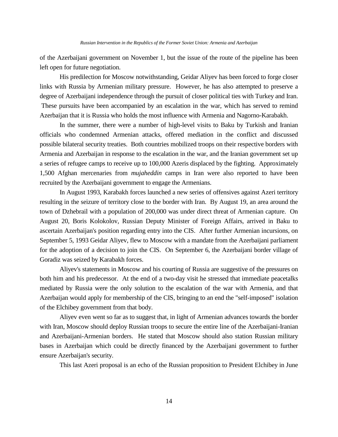of the Azerbaijani government on November 1, but the issue of the route of the pipeline has been left open for future negotiation.

His predilection for Moscow notwithstanding, Geidar Aliyev has been forced to forge closer links with Russia by Armenian military pressure. However, he has also attempted to preserve a degree of Azerbaijani independence through the pursuit of closer political ties with Turkey and Iran. These pursuits have been accompanied by an escalation in the war, which has served to remind Azerbaijan that it is Russia who holds the most influence with Armenia and Nagorno-Karabakh.

In the summer, there were a number of high-level visits to Baku by Turkish and Iranian officials who condemned Armenian attacks, offered mediation in the conflict and discussed possible bilateral security treaties. Both countries mobilized troops on their respective borders with Armenia and Azerbaijan in response to the escalation in the war, and the Iranian government set up a series of refugee camps to receive up to 100,000 Azeris displaced by the fighting. Approximately 1,500 Afghan mercenaries from *mujaheddin* camps in Iran were also reported to have been recruited by the Azerbaijani government to engage the Armenians.

In August 1993, Karabakh forces launched a new series of offensives against Azeri territory resulting in the seizure of territory close to the border with Iran. By August 19, an area around the town of Dzhebrail with a population of 200,000 was under direct threat of Armenian capture. On August 20, Boris Kolokolov, Russian Deputy Minister of Foreign Affairs, arrived in Baku to ascertain Azerbaijan's position regarding entry into the CIS. After further Armenian incursions, on September 5, 1993 Geidar Aliyev, flew to Moscow with a mandate from the Azerbaijani parliament for the adoption of a decision to join the CIS. On September 6, the Azerbaijani border village of Goradiz was seized by Karabakh forces.

Aliyev's statements in Moscow and his courting of Russia are suggestive of the pressures on both him and his predecessor. At the end of a two-day visit he stressed that immediate peacetalks mediated by Russia were the only solution to the escalation of the war with Armenia, and that Azerbaijan would apply for membership of the CIS, bringing to an end the "self-imposed" isolation of the Elchibey government from that body.

Aliyev even went so far as to suggest that, in light of Armenian advances towards the border with Iran, Moscow should deploy Russian troops to secure the entire line of the Azerbaijani-Iranian and Azerbaijani-Armenian borders. He stated that Moscow should also station Russian military bases in Azerbaijan which could be directly financed by the Azerbaijani government to further ensure Azerbaijan's security.

This last Azeri proposal is an echo of the Russian proposition to President Elchibey in June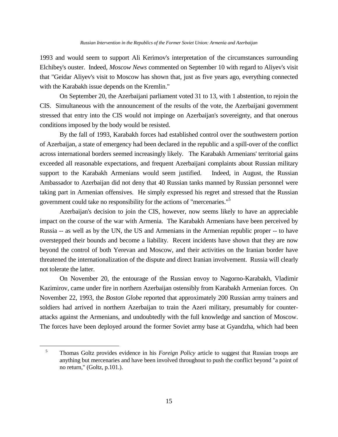1993 and would seem to support Ali Kerimov's interpretation of the circumstances surrounding Elchibey's ouster. Indeed, *Moscow News* commented on September 10 with regard to Aliyev's visit that "Geidar Aliyev's visit to Moscow has shown that, just as five years ago, everything connected with the Karabakh issue depends on the Kremlin."

On September 20, the Azerbaijani parliament voted 31 to 13, with 1 abstention, to rejoin the CIS. Simultaneous with the announcement of the results of the vote, the Azerbaijani government stressed that entry into the CIS would not impinge on Azerbaijan's sovereignty, and that onerous conditions imposed by the body would be resisted.

By the fall of 1993, Karabakh forces had established control over the southwestern portion of Azerbaijan, a state of emergency had been declared in the republic and a spill-over of the conflict across international borders seemed increasingly likely. The Karabakh Armenians' territorial gains exceeded all reasonable expectations, and frequent Azerbaijani complaints about Russian military support to the Karabakh Armenians would seem justified. Indeed, in August, the Russian Ambassador to Azerbaijan did not deny that 40 Russian tanks manned by Russian personnel were taking part in Armenian offensives. He simply expressed his regret and stressed that the Russian government could take no responsibility for the actions of "mercenaries."<sup>5</sup>

Azerbaijan's decision to join the CIS, however, now seems likely to have an appreciable impact on the course of the war with Armenia. The Karabakh Armenians have been perceived by Russia -- as well as by the UN, the US and Armenians in the Armenian republic proper -- to have overstepped their bounds and become a liability. Recent incidents have shown that they are now beyond the control of both Yerevan and Moscow, and their activities on the Iranian border have threatened the internationalization of the dispute and direct Iranian involvement. Russia will clearly not tolerate the latter.

On November 20, the entourage of the Russian envoy to Nagorno-Karabakh, Vladimir Kazimirov, came under fire in northern Azerbaijan ostensibly from Karabakh Armenian forces. On November 22, 1993, the *Boston Globe* reported that approximately 200 Russian army trainers and soldiers had arrived in northern Azerbaijan to train the Azeri military, presumably for counterattacks against the Armenians, and undoubtedly with the full knowledge and sanction of Moscow. The forces have been deployed around the former Soviet army base at Gyandzha, which had been

a<br>B

<sup>5</sup> Thomas Goltz provides evidence in his *Foreign Policy* article to suggest that Russian troops are anything but mercenaries and have been involved throughout to push the conflict beyond "a point of no return," (Goltz, p.101.).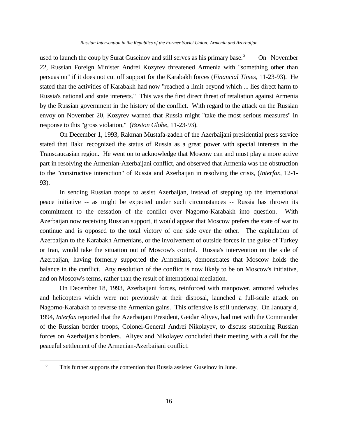used to launch the coup by Surat Guseinov and still serves as his primary base.<sup>6</sup> On November 22, Russian Foreign Minister Andrei Kozyrev threatened Armenia with "something other than persuasion" if it does not cut off support for the Karabakh forces (*Financial Times*, 11-23-93). He stated that the activities of Karabakh had now "reached a limit beyond which ... lies direct harm to Russia's national and state interests." This was the first direct threat of retaliation against Armenia by the Russian government in the history of the conflict. With regard to the attack on the Russian envoy on November 20, Kozyrev warned that Russia might "take the most serious measures" in response to this "gross violation," (*Boston Globe*, 11-23-93).

On December 1, 1993, Rakman Mustafa-zadeh of the Azerbaijani presidential press service stated that Baku recognized the status of Russia as a great power with special interests in the Transcaucasian region. He went on to acknowledge that Moscow can and must play a more active part in resolving the Armenian-Azerbaijani conflict, and observed that Armenia was the obstruction to the "constructive interaction" of Russia and Azerbaijan in resolving the crisis, (*Interfax*, 12-1- 93).

In sending Russian troops to assist Azerbaijan, instead of stepping up the international peace initiative -- as might be expected under such circumstances -- Russia has thrown its commitment to the cessation of the conflict over Nagorno-Karabakh into question. With Azerbaijan now receiving Russian support, it would appear that Moscow prefers the state of war to continue and is opposed to the total victory of one side over the other. The capitulation of Azerbaijan to the Karabakh Armenians, or the involvement of outside forces in the guise of Turkey or Iran, would take the situation out of Moscow's control. Russia's intervention on the side of Azerbaijan, having formerly supported the Armenians, demonstrates that Moscow holds the balance in the conflict. Any resolution of the conflict is now likely to be on Moscow's initiative, and on Moscow's terms, rather than the result of international mediation.

On December 18, 1993, Azerbaijani forces, reinforced with manpower, armored vehicles and helicopters which were not previously at their disposal, launched a full-scale attack on Nagorno-Karabakh to reverse the Armenian gains. This offensive is still underway. On January 4, 1994, *Interfax* reported that the Azerbaijani President, Geidar Aliyev, had met with the Commander of the Russian border troops, Colonel-General Andrei Nikolayev, to discuss stationing Russian forces on Azerbaijan's borders. Aliyev and Nikolayev concluded their meeting with a call for the peaceful settlement of the Armenian-Azerbaijani conflict.

L,

<sup>&</sup>lt;sup>6</sup> This further supports the contention that Russia assisted Guseinov in June.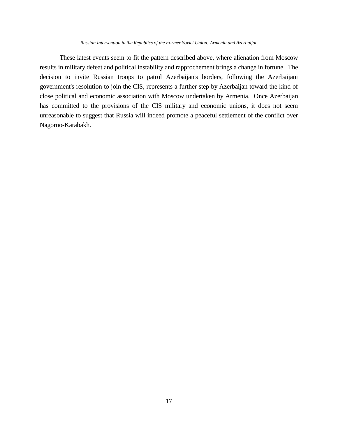#### *Russian Intervention in the Republics of the Former Soviet Union: Armenia and Azerbaijan*

These latest events seem to fit the pattern described above, where alienation from Moscow results in military defeat and political instability and rapprochement brings a change in fortune. The decision to invite Russian troops to patrol Azerbaijan's borders, following the Azerbaijani government's resolution to join the CIS, represents a further step by Azerbaijan toward the kind of close political and economic association with Moscow undertaken by Armenia. Once Azerbaijan has committed to the provisions of the CIS military and economic unions, it does not seem unreasonable to suggest that Russia will indeed promote a peaceful settlement of the conflict over Nagorno-Karabakh.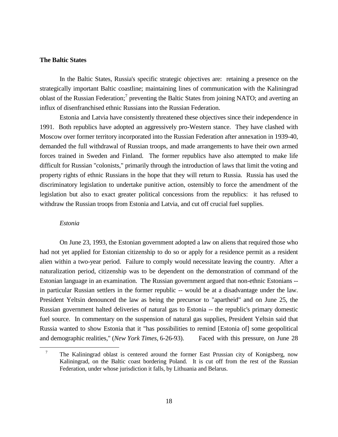#### **The Baltic States**

In the Baltic States, Russia's specific strategic objectives are: retaining a presence on the strategically important Baltic coastline; maintaining lines of communication with the Kaliningrad oblast of the Russian Federation;<sup>7</sup> preventing the Baltic States from joining NATO; and averting an influx of disenfranchised ethnic Russians into the Russian Federation.

Estonia and Latvia have consistently threatened these objectives since their independence in 1991. Both republics have adopted an aggressively pro-Western stance. They have clashed with Moscow over former territory incorporated into the Russian Federation after annexation in 1939-40, demanded the full withdrawal of Russian troops, and made arrangements to have their own armed forces trained in Sweden and Finland. The former republics have also attempted to make life difficult for Russian "colonists," primarily through the introduction of laws that limit the voting and property rights of ethnic Russians in the hope that they will return to Russia. Russia has used the discriminatory legislation to undertake punitive action, ostensibly to force the amendment of the legislation but also to exact greater political concessions from the republics: it has refused to withdraw the Russian troops from Estonia and Latvia, and cut off crucial fuel supplies.

## *Estonia*

L,

On June 23, 1993, the Estonian government adopted a law on aliens that required those who had not yet applied for Estonian citizenship to do so or apply for a residence permit as a resident alien within a two-year period. Failure to comply would necessitate leaving the country. After a naturalization period, citizenship was to be dependent on the demonstration of command of the Estonian language in an examination. The Russian government argued that non-ethnic Estonians - in particular Russian settlers in the former republic -- would be at a disadvantage under the law. President Yeltsin denounced the law as being the precursor to "apartheid" and on June 25, the Russian government halted deliveries of natural gas to Estonia -- the republic's primary domestic fuel source. In commentary on the suspension of natural gas supplies, President Yeltsin said that Russia wanted to show Estonia that it "has possibilities to remind [Estonia of] some geopolitical and demographic realities," (*New York Times*, 6-26-93). Faced with this pressure, on June 28

<sup>&</sup>lt;sup>7</sup> The Kaliningrad oblast is centered around the former East Prussian city of Konigsberg, now Kaliningrad, on the Baltic coast bordering Poland. It is cut off from the rest of the Russian Federation, under whose jurisdiction it falls, by Lithuania and Belarus.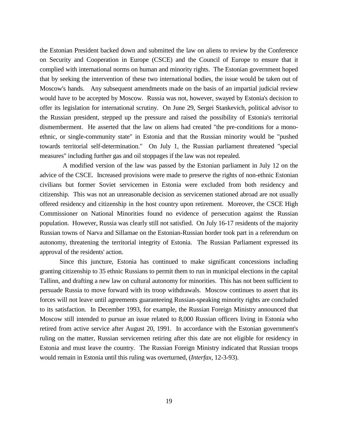the Estonian President backed down and submitted the law on aliens to review by the Conference on Security and Cooperation in Europe (CSCE) and the Council of Europe to ensure that it complied with international norms on human and minority rights. The Estonian government hoped that by seeking the intervention of these two international bodies, the issue would be taken out of Moscow's hands. Any subsequent amendments made on the basis of an impartial judicial review would have to be accepted by Moscow. Russia was not, however, swayed by Estonia's decision to offer its legislation for international scrutiny. On June 29, Sergei Stankevich, political advisor to the Russian president, stepped up the pressure and raised the possibility of Estonia's territorial dismemberment. He asserted that the law on aliens had created "the pre-conditions for a monoethnic, or single-community state" in Estonia and that the Russian minority would be "pushed towards territorial self-determination." On July 1, the Russian parliament threatened "special measures" including further gas and oil stoppages if the law was not repealed.

 A modified version of the law was passed by the Estonian parliament in July 12 on the advice of the CSCE. Increased provisions were made to preserve the rights of non-ethnic Estonian civilians but former Soviet servicemen in Estonia were excluded from both residency and citizenship. This was not an unreasonable decision as servicemen stationed abroad are not usually offered residency and citizenship in the host country upon retirement. Moreover, the CSCE High Commissioner on National Minorities found no evidence of persecution against the Russian population. However, Russia was clearly still not satisfied. On July 16-17 residents of the majority Russian towns of Narva and Sillamae on the Estonian-Russian border took part in a referendum on autonomy, threatening the territorial integrity of Estonia. The Russian Parliament expressed its approval of the residents' action.

Since this juncture, Estonia has continued to make significant concessions including granting citizenship to 35 ethnic Russians to permit them to run in municipal elections in the capital Tallinn, and drafting a new law on cultural autonomy for minorities. This has not been sufficient to persuade Russia to move forward with its troop withdrawals. Moscow continues to assert that its forces will not leave until agreements guaranteeing Russian-speaking minority rights are concluded to its satisfaction. In December 1993, for example, the Russian Foreign Ministry announced that Moscow still intended to pursue an issue related to 8,000 Russian officers living in Estonia who retired from active service after August 20, 1991. In accordance with the Estonian government's ruling on the matter, Russian servicemen retiring after this date are not eligible for residency in Estonia and must leave the country. The Russian Foreign Ministry indicated that Russian troops would remain in Estonia until this ruling was overturned, (*Interfax*, 12-3-93).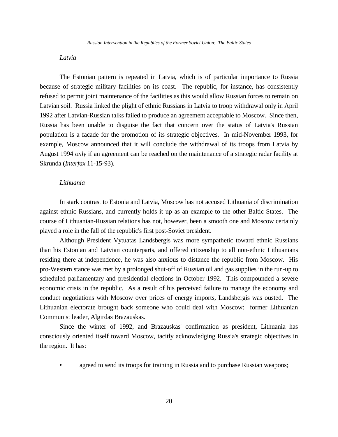# *Latvia*

The Estonian pattern is repeated in Latvia, which is of particular importance to Russia because of strategic military facilities on its coast. The republic, for instance, has consistently refused to permit joint maintenance of the facilities as this would allow Russian forces to remain on Latvian soil. Russia linked the plight of ethnic Russians in Latvia to troop withdrawal only in April 1992 after Latvian-Russian talks failed to produce an agreement acceptable to Moscow. Since then, Russia has been unable to disguise the fact that concern over the status of Latvia's Russian population is a facade for the promotion of its strategic objectives. In mid-November 1993, for example, Moscow announced that it will conclude the withdrawal of its troops from Latvia by August 1994 *only* if an agreement can be reached on the maintenance of a strategic radar facility at Skrunda (*Interfax* 11-15-93).

## *Lithuania*

In stark contrast to Estonia and Latvia, Moscow has not accused Lithuania of discrimination against ethnic Russians, and currently holds it up as an example to the other Baltic States. The course of Lithuanian-Russian relations has not, however, been a smooth one and Moscow certainly played a role in the fall of the republic's first post-Soviet president.

Although President Vytuatas Landsbergis was more sympathetic toward ethnic Russians than his Estonian and Latvian counterparts, and offered citizenship to all non-ethnic Lithuanians residing there at independence, he was also anxious to distance the republic from Moscow. His pro-Western stance was met by a prolonged shut-off of Russian oil and gas supplies in the run-up to scheduled parliamentary and presidential elections in October 1992. This compounded a severe economic crisis in the republic. As a result of his perceived failure to manage the economy and conduct negotiations with Moscow over prices of energy imports, Landsbergis was ousted. The Lithuanian electorate brought back someone who could deal with Moscow: former Lithuanian Communist leader, Algirdas Brazauskas.

Since the winter of 1992, and Brazauskas' confirmation as president, Lithuania has consciously oriented itself toward Moscow, tacitly acknowledging Russia's strategic objectives in the region. It has:

agreed to send its troops for training in Russia and to purchase Russian weapons;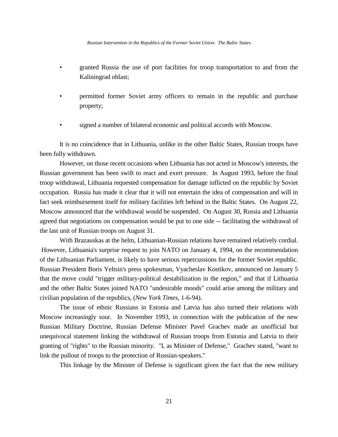- granted Russia the use of port facilities for troop transportation to and from the Kaliningrad oblast;
- permitted former Soviet army officers to remain in the republic and purchase property;
- signed a number of bilateral economic and political accords with Moscow.

It is no coincidence that in Lithuania, unlike in the other Baltic States, Russian troops have been fully withdrawn.

However, on those recent occasions when Lithuania has not acted in Moscow's interests, the Russian government has been swift to react and exert pressure. In August 1993, before the final troop withdrawal, Lithuania requested compensation for damage inflicted on the republic by Soviet occupation. Russia has made it clear that it will not entertain the idea of compensation and will in fact seek reimbursement itself for military facilities left behind in the Baltic States. On August 22, Moscow announced that the withdrawal would be suspended. On August 30, Russia and Lithuania agreed that negotiations on compensation would be put to one side -- facilitating the withdrawal of the last unit of Russian troops on August 31.

With Brazauskas at the helm, Lithuanian-Russian relations have remained relatively cordial. However, Lithuania's surprise request to join NATO on January 4, 1994, on the recommendation of the Lithuanian Parliament, is likely to have serious repercussions for the former Soviet republic. Russian President Boris Yeltsin's press spokesman, Vyacheslav Kostikov, announced on January 5 that the move could "trigger military-political destabilization in the region," and that if Lithuania and the other Baltic States joined NATO "undesirable moods" could arise among the military and civilian population of the republics, (*New York Times*, 1-6-94).

The issue of ethnic Russians in Estonia and Latvia has also turned their relations with Moscow increasingly sour. In November 1993, in connection with the publication of the new Russian Military Doctrine, Russian Defense Minister Pavel Grachev made an unofficial but unequivocal statement linking the withdrawal of Russian troops from Estonia and Latvia to their granting of "rights" to the Russian minority. "I, as Minister of Defense," Grachev stated, "want to link the pullout of troops to the protection of Russian-speakers."

This linkage by the Minister of Defense is significant given the fact that the new military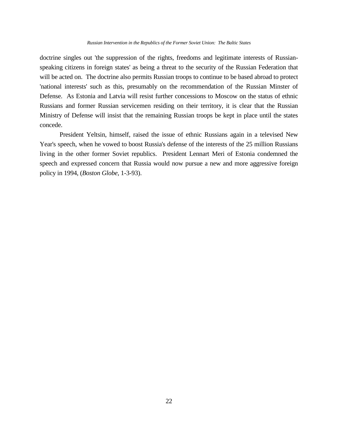#### *Russian Intervention in the Republics of the Former Soviet Union: The Baltic States*

doctrine singles out 'the suppression of the rights, freedoms and legitimate interests of Russianspeaking citizens in foreign states' as being a threat to the security of the Russian Federation that will be acted on. The doctrine also permits Russian troops to continue to be based abroad to protect 'national interests' such as this, presumably on the recommendation of the Russian Minster of Defense. As Estonia and Latvia will resist further concessions to Moscow on the status of ethnic Russians and former Russian servicemen residing on their territory, it is clear that the Russian Ministry of Defense will insist that the remaining Russian troops be kept in place until the states concede.

President Yeltsin, himself, raised the issue of ethnic Russians again in a televised New Year's speech, when he vowed to boost Russia's defense of the interests of the 25 million Russians living in the other former Soviet republics. President Lennart Meri of Estonia condemned the speech and expressed concern that Russia would now pursue a new and more aggressive foreign policy in 1994, (*Boston Globe*, 1-3-93).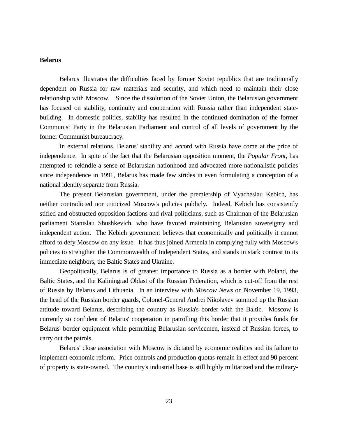## **Belarus**

Belarus illustrates the difficulties faced by former Soviet republics that are traditionally dependent on Russia for raw materials and security, and which need to maintain their close relationship with Moscow. Since the dissolution of the Soviet Union, the Belarusian government has focused on stability, continuity and cooperation with Russia rather than independent statebuilding. In domestic politics, stability has resulted in the continued domination of the former Communist Party in the Belarusian Parliament and control of all levels of government by the former Communist bureaucracy.

In external relations, Belarus' stability and accord with Russia have come at the price of independence. In spite of the fact that the Belarusian opposition moment, the *Popular Front*, has attempted to rekindle a sense of Belarusian nationhood and advocated more nationalistic policies since independence in 1991, Belarus has made few strides in even formulating a conception of a national identity separate from Russia.

The present Belarusian government, under the premiership of Vyacheslau Kebich, has neither contradicted nor criticized Moscow's policies publicly. Indeed, Kebich has consistently stifled and obstructed opposition factions and rival politicians, such as Chairman of the Belarusian parliament Stanislau Shushkevich, who have favored maintaining Belarusian sovereignty and independent action. The Kebich government believes that economically and politically it cannot afford to defy Moscow on any issue. It has thus joined Armenia in complying fully with Moscow's policies to strengthen the Commonwealth of Independent States, and stands in stark contrast to its immediate neighbors, the Baltic States and Ukraine.

Geopolitically, Belarus is of greatest importance to Russia as a border with Poland, the Baltic States, and the Kaliningrad Oblast of the Russian Federation, which is cut-off from the rest of Russia by Belarus and Lithuania. In an interview with *Moscow News* on November 19, 1993, the head of the Russian border guards, Colonel-General Andrei Nikolayev summed up the Russian attitude toward Belarus, describing the country as Russia's border with the Baltic. Moscow is currently so confident of Belarus' cooperation in patrolling this border that it provides funds for Belarus' border equipment while permitting Belarusian servicemen, instead of Russian forces, to carry out the patrols.

Belarus' close association with Moscow is dictated by economic realities and its failure to implement economic reform. Price controls and production quotas remain in effect and 90 percent of property is state-owned. The country's industrial base is still highly militarized and the military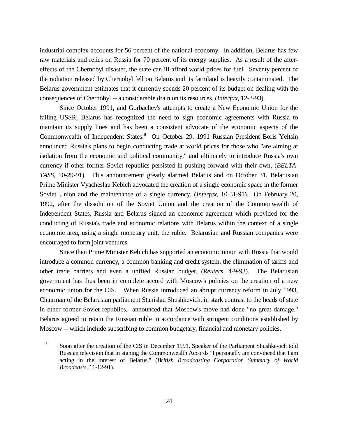industrial complex accounts for 56 percent of the national economy. In addition, Belarus has few raw materials and relies on Russia for 70 percent of its energy supplies. As a result of the aftereffects of the Chernobyl disaster, the state can ill-afford world prices for fuel. Seventy percent of the radiation released by Chernobyl fell on Belarus and its farmland is heavily contaminated. The Belarus government estimates that it currently spends 20 percent of its budget on dealing with the consequences of Chernobyl -- a considerable drain on its resources, (*Interfax*, 12-3-93).

Since October 1991, and Gorbachev's attempts to create a New Economic Union for the failing USSR, Belarus has recognized the need to sign economic agreements with Russia to maintain its supply lines and has been a consistent advocate of the economic aspects of the Commonwealth of Independent States.<sup>8</sup> On October 29, 1991 Russian President Boris Yeltsin announced Russia's plans to begin conducting trade at world prices for those who "are aiming at isolation from the economic and political community," and ultimately to introduce Russia's own currency if other former Soviet republics persisted in pushing forward with their own, (*BELTA-TASS*, 10-29-91). This announcement greatly alarmed Belarus and on October 31, Belarusian Prime Minister Vyacheslau Kebich advocated the creation of a single economic space in the former Soviet Union and the maintenance of a single currency, (*Interfax*, 10-31-91). On February 20, 1992, after the dissolution of the Soviet Union and the creation of the Commonwealth of Independent States, Russia and Belarus signed an economic agreement which provided for the conducting of Russia's trade and economic relations with Belarus within the context of a single economic area, using a single monetary unit, the ruble. Belarusian and Russian companies were encouraged to form joint ventures.

Since then Prime Minister Kebich has supported an economic union with Russia that would introduce a common currency, a common banking and credit system, the elimination of tariffs and other trade barriers and even a unified Russian budget, (*Reuters*, 4-9-93). The Belarusian government has thus been in complete accord with Moscow's policies on the creation of a new economic union for the CIS. When Russia introduced an abrupt currency reform in July 1993, Chairman of the Belarusian parliament Stanislau Shushkevich, in stark contrast to the heads of state in other former Soviet republics, announced that Moscow's move had done "no great damage." Belarus agreed to retain the Russian ruble in accordance with stringent conditions established by Moscow -- which include subscribing to common budgetary, financial and monetary policies.

a<br>B

<sup>8</sup> Soon after the creation of the CIS in December 1991, Speaker of the Parliament Shushkevich told Russian television that in signing the Commonwealth Accords "I personally am convinced that I am acting in the interest of Belarus," (*British Broadcasting Corporation Summary of World Broadcasts*, 11-12-91).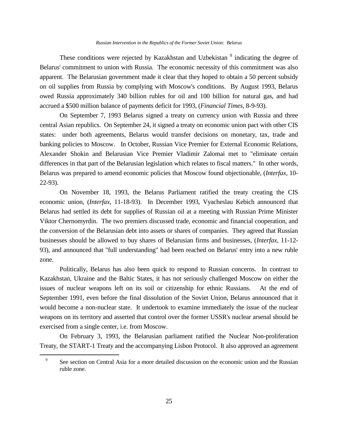These conditions were rejected by Kazakhstan and Uzbekistan <sup>9</sup> indicating the degree of Belarus' commitment to union with Russia. The economic necessity of this commitment was also apparent. The Belarusian government made it clear that they hoped to obtain a 50 percent subsidy on oil supplies from Russia by complying with Moscow's conditions. By August 1993, Belarus owed Russia approximately 340 billion rubles for oil and 100 billion for natural gas, and had accrued a \$500 million balance of payments deficit for 1993, (*Financial Times*, 8-9-93).

On September 7, 1993 Belarus signed a treaty on currency union with Russia and three central Asian republics. On September 24, it signed a treaty on economic union pact with other CIS states: under both agreements, Belarus would transfer decisions on monetary, tax, trade and banking policies to Moscow. In October, Russian Vice Premier for External Economic Relations, Alexander Shokin and Belarusian Vice Premier Vladimir Zalomai met to "eliminate certain differences in that part of the Belarusian legislation which relates to fiscal matters." In other words, Belarus was prepared to amend economic policies that Moscow found objectionable, (*Interfax*, 10- 22-93).

On November 18, 1993, the Belarus Parliament ratified the treaty creating the CIS economic union, (*Interfax*, 11-18-93). In December 1993, Vyacheslau Kebich announced that Belarus had settled its debt for supplies of Russian oil at a meeting with Russian Prime Minister Viktor Chernomyrdin. The two premiers discussed trade, economic and financial cooperation, and the conversion of the Belarusian debt into assets or shares of companies. They agreed that Russian businesses should be allowed to buy shares of Belarusian firms and businesses, (*Interfax*, 11-12- 93), and announced that "full understanding" had been reached on Belarus' entry into a new ruble zone.

Politically, Belarus has also been quick to respond to Russian concerns. In contrast to Kazakhstan, Ukraine and the Baltic States, it has not seriously challenged Moscow on either the issues of nuclear weapons left on its soil or citizenship for ethnic Russians. At the end of September 1991, even before the final dissolution of the Soviet Union, Belarus announced that it would become a non-nuclear state. It undertook to examine immediately the issue of the nuclear weapons on its territory and asserted that control over the former USSR's nuclear arsenal should be exercised from a single center, i.e. from Moscow.

On February 3, 1993, the Belarusian parliament ratified the Nuclear Non-proliferation Treaty, the START-1 Treaty and the accompanying Lisbon Protocol. It also approved an agreement

a<br>B

<sup>9</sup> See section on Central Asia for a more detailed discussion on the economic union and the Russian ruble zone.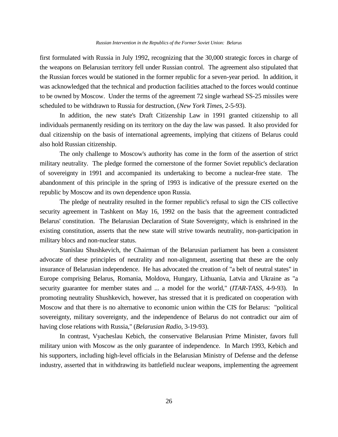first formulated with Russia in July 1992, recognizing that the 30,000 strategic forces in charge of the weapons on Belarusian territory fell under Russian control. The agreement also stipulated that the Russian forces would be stationed in the former republic for a seven-year period. In addition, it was acknowledged that the technical and production facilities attached to the forces would continue to be owned by Moscow. Under the terms of the agreement 72 single warhead SS-25 missiles were scheduled to be withdrawn to Russia for destruction, (*New York Times*, 2-5-93).

In addition, the new state's Draft Citizenship Law in 1991 granted citizenship to all individuals permanently residing on its territory on the day the law was passed. It also provided for dual citizenship on the basis of international agreements, implying that citizens of Belarus could also hold Russian citizenship.

The only challenge to Moscow's authority has come in the form of the assertion of strict military neutrality. The pledge formed the cornerstone of the former Soviet republic's declaration of sovereignty in 1991 and accompanied its undertaking to become a nuclear-free state. The abandonment of this principle in the spring of 1993 is indicative of the pressure exerted on the republic by Moscow and its own dependence upon Russia.

The pledge of neutrality resulted in the former republic's refusal to sign the CIS collective security agreement in Tashkent on May 16, 1992 on the basis that the agreement contradicted Belarus' constitution. The Belarusian Declaration of State Sovereignty, which is enshrined in the existing constitution, asserts that the new state will strive towards neutrality, non-participation in military blocs and non-nuclear status.

Stanislau Shushkevich, the Chairman of the Belarusian parliament has been a consistent advocate of these principles of neutrality and non-alignment, asserting that these are the only insurance of Belarusian independence. He has advocated the creation of "a belt of neutral states" in Europe comprising Belarus, Romania, Moldova, Hungary, Lithuania, Latvia and Ukraine as "a security guarantee for member states and ... a model for the world," (*ITAR-TASS*, 4-9-93). In promoting neutrality Shushkevich, however, has stressed that it is predicated on cooperation with Moscow and that there is no alternative to economic union within the CIS for Belarus: "political sovereignty, military sovereignty, and the independence of Belarus do not contradict our aim of having close relations with Russia," (*Belarusian Radio*, 3-19-93).

In contrast, Vyacheslau Kebich, the conservative Belarusian Prime Minister, favors full military union with Moscow as the only guarantee of independence. In March 1993, Kebich and his supporters, including high-level officials in the Belarusian Ministry of Defense and the defense industry, asserted that in withdrawing its battlefield nuclear weapons, implementing the agreement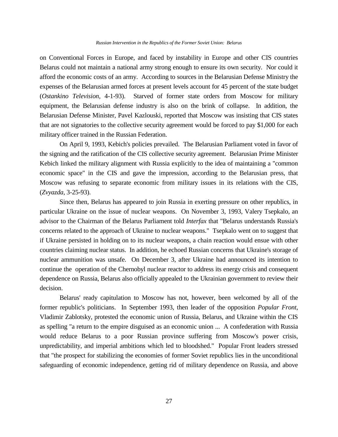on Conventional Forces in Europe, and faced by instability in Europe and other CIS countries Belarus could not maintain a national army strong enough to ensure its own security. Nor could it afford the economic costs of an army. According to sources in the Belarusian Defense Ministry the expenses of the Belarusian armed forces at present levels account for 45 percent of the state budget (*Ostankino Television*, 4-1-93). Starved of former state orders from Moscow for military equipment, the Belarusian defense industry is also on the brink of collapse. In addition, the Belarusian Defense Minister, Pavel Kazlouski, reported that Moscow was insisting that CIS states that are not signatories to the collective security agreement would be forced to pay \$1,000 for each military officer trained in the Russian Federation.

On April 9, 1993, Kebich's policies prevailed. The Belarusian Parliament voted in favor of the signing and the ratification of the CIS collective security agreement. Belarusian Prime Minister Kebich linked the military alignment with Russia explicitly to the idea of maintaining a "common economic space" in the CIS and gave the impression, according to the Belarusian press, that Moscow was refusing to separate economic from military issues in its relations with the CIS, (*Zvyazda*, 3-25-93).

Since then, Belarus has appeared to join Russia in exerting pressure on other republics, in particular Ukraine on the issue of nuclear weapons. On November 3, 1993, Valery Tsepkalo, an advisor to the Chairman of the Belarus Parliament told *Interfax* that "Belarus understands Russia's concerns related to the approach of Ukraine to nuclear weapons." Tsepkalo went on to suggest that if Ukraine persisted in holding on to its nuclear weapons, a chain reaction would ensue with other countries claiming nuclear status. In addition, he echoed Russian concerns that Ukraine's storage of nuclear ammunition was unsafe. On December 3, after Ukraine had announced its intention to continue the operation of the Chernobyl nuclear reactor to address its energy crisis and consequent dependence on Russia, Belarus also officially appealed to the Ukrainian government to review their decision.

Belarus' ready capitulation to Moscow has not, however, been welcomed by all of the former republic's politicians. In September 1993, then leader of the opposition *Popular Front*, Vladimir Zablotsky, protested the economic union of Russia, Belarus, and Ukraine within the CIS as spelling "a return to the empire disguised as an economic union ... A confederation with Russia would reduce Belarus to a poor Russian province suffering from Moscow's power crisis, unpredictability, and imperial ambitions which led to bloodshed." Popular Front leaders stressed that "the prospect for stabilizing the economies of former Soviet republics lies in the unconditional safeguarding of economic independence, getting rid of military dependence on Russia, and above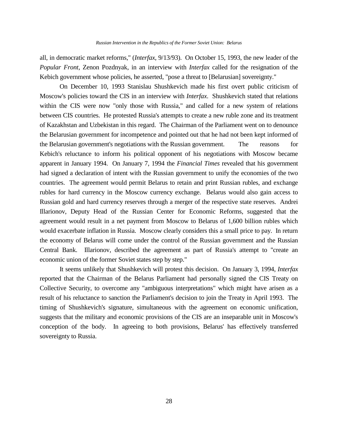all, in democratic market reforms," (*Interfax*, 9/13/93). On October 15, 1993, the new leader of the *Popular Front*, Zenon Pozdnyak, in an interview with *Interfax* called for the resignation of the Kebich government whose policies, he asserted, "pose a threat to [Belarusian] sovereignty."

On December 10, 1993 Stanislau Shushkevich made his first overt public criticism of Moscow's policies toward the CIS in an interview with *Interfax*. Shushkevich stated that relations within the CIS were now "only those with Russia," and called for a new system of relations between CIS countries. He protested Russia's attempts to create a new ruble zone and its treatment of Kazakhstan and Uzbekistan in this regard. The Chairman of the Parliament went on to denounce the Belarusian government for incompetence and pointed out that he had not been kept informed of the Belarusian government's negotiations with the Russian government. The reasons for Kebich's reluctance to inform his political opponent of his negotiations with Moscow became apparent in January 1994. On January 7, 1994 the *Financial Times* revealed that his government had signed a declaration of intent with the Russian government to unify the economies of the two countries. The agreement would permit Belarus to retain and print Russian rubles, and exchange rubles for hard currency in the Moscow currency exchange. Belarus would also gain access to Russian gold and hard currency reserves through a merger of the respective state reserves. Andrei Illarionov, Deputy Head of the Russian Center for Economic Reforms, suggested that the agreement would result in a net payment from Moscow to Belarus of 1,600 billion rubles which would exacerbate inflation in Russia. Moscow clearly considers this a small price to pay. In return the economy of Belarus will come under the control of the Russian government and the Russian Central Bank. Illarionov, described the agreement as part of Russia's attempt to "create an economic union of the former Soviet states step by step."

It seems unlikely that Shushkevich will protest this decision. On January 3, 1994, *Interfax* reported that the Chairman of the Belarus Parliament had personally signed the CIS Treaty on Collective Security, to overcome any "ambiguous interpretations" which might have arisen as a result of his reluctance to sanction the Parliament's decision to join the Treaty in April 1993. The timing of Shushkevich's signature, simultaneous with the agreement on economic unification, suggests that the military and economic provisions of the CIS are an inseparable unit in Moscow's conception of the body. In agreeing to both provisions, Belarus' has effectively transferred sovereignty to Russia.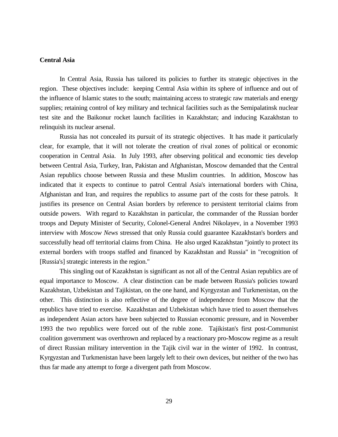## **Central Asia**

In Central Asia, Russia has tailored its policies to further its strategic objectives in the region. These objectives include: keeping Central Asia within its sphere of influence and out of the influence of Islamic states to the south; maintaining access to strategic raw materials and energy supplies; retaining control of key military and technical facilities such as the Semipalatinsk nuclear test site and the Baikonur rocket launch facilities in Kazakhstan; and inducing Kazakhstan to relinquish its nuclear arsenal.

Russia has not concealed its pursuit of its strategic objectives. It has made it particularly clear, for example, that it will not tolerate the creation of rival zones of political or economic cooperation in Central Asia. In July 1993, after observing political and economic ties develop between Central Asia, Turkey, Iran, Pakistan and Afghanistan, Moscow demanded that the Central Asian republics choose between Russia and these Muslim countries. In addition, Moscow has indicated that it expects to continue to patrol Central Asia's international borders with China, Afghanistan and Iran, and requires the republics to assume part of the costs for these patrols. It justifies its presence on Central Asian borders by reference to persistent territorial claims from outside powers. With regard to Kazakhstan in particular, the commander of the Russian border troops and Deputy Minister of Security, Colonel-General Andrei Nikolayev, in a November 1993 interview with *Moscow News* stressed that only Russia could guarantee Kazakhstan's borders and successfully head off territorial claims from China. He also urged Kazakhstan "jointly to protect its external borders with troops staffed and financed by Kazakhstan and Russia" in "recognition of [Russia's] strategic interests in the region."

This singling out of Kazakhstan is significant as not all of the Central Asian republics are of equal importance to Moscow. A clear distinction can be made between Russia's policies toward Kazakhstan, Uzbekistan and Tajikistan, on the one hand, and Kyrgyzstan and Turkmenistan, on the other. This distinction is also reflective of the degree of independence from Moscow that the republics have tried to exercise. Kazakhstan and Uzbekistan which have tried to assert themselves as independent Asian actors have been subjected to Russian economic pressure, and in November 1993 the two republics were forced out of the ruble zone. Tajikistan's first post-Communist coalition government was overthrown and replaced by a reactionary pro-Moscow regime as a result of direct Russian military intervention in the Tajik civil war in the winter of 1992. In contrast, Kyrgyzstan and Turkmenistan have been largely left to their own devices, but neither of the two has thus far made any attempt to forge a divergent path from Moscow.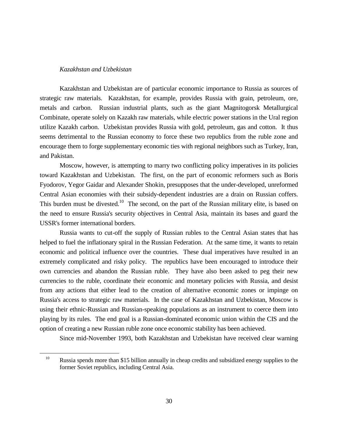## *Kazakhstan and Uzbekistan*

a<br>B

Kazakhstan and Uzbekistan are of particular economic importance to Russia as sources of strategic raw materials. Kazakhstan, for example, provides Russia with grain, petroleum, ore, metals and carbon. Russian industrial plants, such as the giant Magnitogorsk Metallurgical Combinate, operate solely on Kazakh raw materials, while electric power stations in the Ural region utilize Kazakh carbon. Uzbekistan provides Russia with gold, petroleum, gas and cotton. It thus seems detrimental to the Russian economy to force these two republics from the ruble zone and encourage them to forge supplementary economic ties with regional neighbors such as Turkey, Iran, and Pakistan.

Moscow, however, is attempting to marry two conflicting policy imperatives in its policies toward Kazakhstan and Uzbekistan. The first, on the part of economic reformers such as Boris Fyodorov, Yegor Gaidar and Alexander Shokin, presupposes that the under-developed, unreformed Central Asian economies with their subsidy-dependent industries are a drain on Russian coffers. This burden must be divested.<sup>10</sup> The second, on the part of the Russian military elite, is based on the need to ensure Russia's security objectives in Central Asia, maintain its bases and guard the USSR's former international borders.

Russia wants to cut-off the supply of Russian rubles to the Central Asian states that has helped to fuel the inflationary spiral in the Russian Federation. At the same time, it wants to retain economic and political influence over the countries. These dual imperatives have resulted in an extremely complicated and risky policy. The republics have been encouraged to introduce their own currencies and abandon the Russian ruble. They have also been asked to peg their new currencies to the ruble, coordinate their economic and monetary policies with Russia, and desist from any actions that either lead to the creation of alternative economic zones or impinge on Russia's access to strategic raw materials. In the case of Kazakhstan and Uzbekistan, Moscow is using their ethnic-Russian and Russian-speaking populations as an instrument to coerce them into playing by its rules. The end goal is a Russian-dominated economic union within the CIS and the option of creating a new Russian ruble zone once economic stability has been achieved.

Since mid-November 1993, both Kazakhstan and Uzbekistan have received clear warning

<sup>&</sup>lt;sup>10</sup> Russia spends more than \$15 billion annually in cheap credits and subsidized energy supplies to the former Soviet republics, including Central Asia.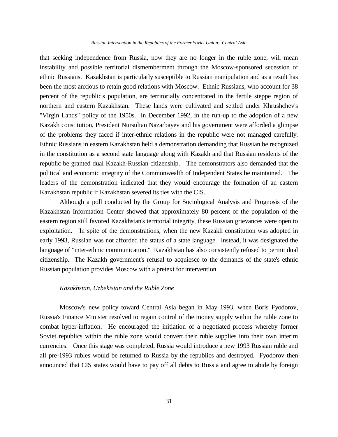#### *Russian Intervention in the Republics of the Former Soviet Union: Central Asia*

that seeking independence from Russia, now they are no longer in the ruble zone, will mean instability and possible territorial dismemberment through the Moscow-sponsored secession of ethnic Russians. Kazakhstan is particularly susceptible to Russian manipulation and as a result has been the most anxious to retain good relations with Moscow. Ethnic Russians, who account for 38 percent of the republic's population, are territorially concentrated in the fertile steppe region of northern and eastern Kazakhstan. These lands were cultivated and settled under Khrushchev's "Virgin Lands" policy of the 1950s. In December 1992, in the run-up to the adoption of a new Kazakh constitution, President Nursultan Nazarbayev and his government were afforded a glimpse of the problems they faced if inter-ethnic relations in the republic were not managed carefully. Ethnic Russians in eastern Kazakhstan held a demonstration demanding that Russian be recognized in the constitution as a second state language along with Kazakh and that Russian residents of the republic be granted dual Kazakh-Russian citizenship. The demonstrators also demanded that the political and economic integrity of the Commonwealth of Independent States be maintained. The leaders of the demonstration indicated that they would encourage the formation of an eastern Kazakhstan republic if Kazakhstan severed its ties with the CIS.

Although a poll conducted by the Group for Sociological Analysis and Prognosis of the Kazakhstan Information Center showed that approximately 80 percent of the population of the eastern region still favored Kazakhstan's territorial integrity, these Russian grievances were open to exploitation. In spite of the demonstrations, when the new Kazakh constitution was adopted in early 1993, Russian was not afforded the status of a state language. Instead, it was designated the language of "inter-ethnic communication." Kazakhstan has also consistently refused to permit dual citizenship. The Kazakh government's refusal to acquiesce to the demands of the state's ethnic Russian population provides Moscow with a pretext for intervention.

## *Kazakhstan, Uzbekistan and the Ruble Zone*

Moscow's new policy toward Central Asia began in May 1993, when Boris Fyodorov, Russia's Finance Minister resolved to regain control of the money supply within the ruble zone to combat hyper-inflation. He encouraged the initiation of a negotiated process whereby former Soviet republics within the ruble zone would convert their ruble supplies into their own interim currencies. Once this stage was completed, Russia would introduce a new 1993 Russian ruble and all pre-1993 rubles would be returned to Russia by the republics and destroyed. Fyodorov then announced that CIS states would have to pay off all debts to Russia and agree to abide by foreign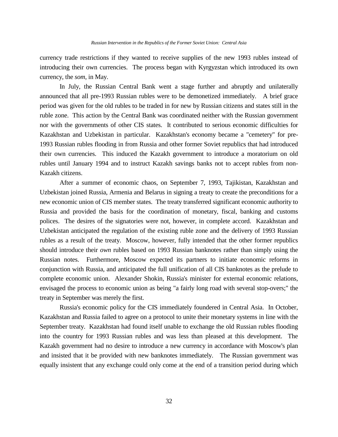currency trade restrictions if they wanted to receive supplies of the new 1993 rubles instead of introducing their own currencies. The process began with Kyrgyzstan which introduced its own currency, the *som*, in May.

In July, the Russian Central Bank went a stage further and abruptly and unilaterally announced that all pre-1993 Russian rubles were to be demonetized immediately. A brief grace period was given for the old rubles to be traded in for new by Russian citizens and states still in the ruble zone. This action by the Central Bank was coordinated neither with the Russian government nor with the governments of other CIS states. It contributed to serious economic difficulties for Kazakhstan and Uzbekistan in particular. Kazakhstan's economy became a "cemetery" for pre-1993 Russian rubles flooding in from Russia and other former Soviet republics that had introduced their own currencies. This induced the Kazakh government to introduce a moratorium on old rubles until January 1994 and to instruct Kazakh savings banks not to accept rubles from non-Kazakh citizens.

After a summer of economic chaos, on September 7, 1993, Tajikistan, Kazakhstan and Uzbekistan joined Russia, Armenia and Belarus in signing a treaty to create the preconditions for a new economic union of CIS member states. The treaty transferred significant economic authority to Russia and provided the basis for the coordination of monetary, fiscal, banking and customs polices. The desires of the signatories were not, however, in complete accord. Kazakhstan and Uzbekistan anticipated the regulation of the existing ruble zone and the delivery of 1993 Russian rubles as a result of the treaty. Moscow, however, fully intended that the other former republics should introduce their *own* rubles based on 1993 Russian banknotes rather than simply using the Russian notes. Furthermore, Moscow expected its partners to initiate economic reforms in conjunction with Russia, and anticipated the full unification of all CIS banknotes as the prelude to complete economic union. Alexander Shokin, Russia's minister for external economic relations, envisaged the process to economic union as being "a fairly long road with several stop-overs;" the treaty in September was merely the first.

Russia's economic policy for the CIS immediately foundered in Central Asia. In October, Kazakhstan and Russia failed to agree on a protocol to unite their monetary systems in line with the September treaty. Kazakhstan had found itself unable to exchange the old Russian rubles flooding into the country for 1993 Russian rubles and was less than pleased at this development. The Kazakh government had no desire to introduce a new currency in accordance with Moscow's plan and insisted that it be provided with new banknotes immediately. The Russian government was equally insistent that any exchange could only come at the end of a transition period during which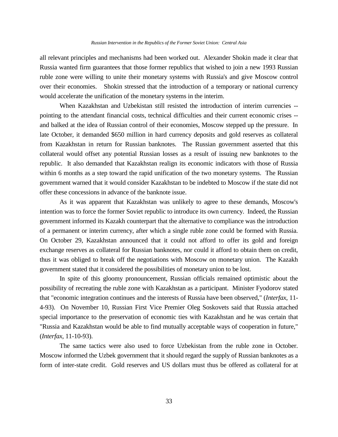all relevant principles and mechanisms had been worked out. Alexander Shokin made it clear that Russia wanted firm guarantees that those former republics that wished to join a new 1993 Russian ruble zone were willing to unite their monetary systems with Russia's and give Moscow control over their economies. Shokin stressed that the introduction of a temporary or national currency would accelerate the unification of the monetary systems in the interim.

When Kazakhstan and Uzbekistan still resisted the introduction of interim currencies - pointing to the attendant financial costs, technical difficulties and their current economic crises - and balked at the idea of Russian control of their economies, Moscow stepped up the pressure. In late October, it demanded \$650 million in hard currency deposits and gold reserves as collateral from Kazakhstan in return for Russian banknotes. The Russian government asserted that this collateral would offset any potential Russian losses as a result of issuing new banknotes to the republic. It also demanded that Kazakhstan realign its economic indicators with those of Russia within 6 months as a step toward the rapid unification of the two monetary systems. The Russian government warned that it would consider Kazakhstan to be indebted to Moscow if the state did not offer these concessions in advance of the banknote issue.

As it was apparent that Kazakhstan was unlikely to agree to these demands, Moscow's intention was to force the former Soviet republic to introduce its own currency. Indeed, the Russian government informed its Kazakh counterpart that the alternative to compliance was the introduction of a permanent or interim currency, after which a single ruble zone could be formed with Russia. On October 29, Kazakhstan announced that it could not afford to offer its gold and foreign exchange reserves as collateral for Russian banknotes, nor could it afford to obtain them on credit, thus it was obliged to break off the negotiations with Moscow on monetary union. The Kazakh government stated that it considered the possibilities of monetary union to be lost.

In spite of this gloomy pronouncement, Russian officials remained optimistic about the possibility of recreating the ruble zone with Kazakhstan as a participant. Minister Fyodorov stated that "economic integration continues and the interests of Russia have been observed," (*Interfax*, 11- 4-93). On November 10, Russian First Vice Premier Oleg Soskovets said that Russia attached special importance to the preservation of economic ties with Kazakhstan and he was certain that "Russia and Kazakhstan would be able to find mutually acceptable ways of cooperation in future," (*Interfax*, 11-10-93).

The same tactics were also used to force Uzbekistan from the ruble zone in October. Moscow informed the Uzbek government that it should regard the supply of Russian banknotes as a form of inter-state credit. Gold reserves and US dollars must thus be offered as collateral for at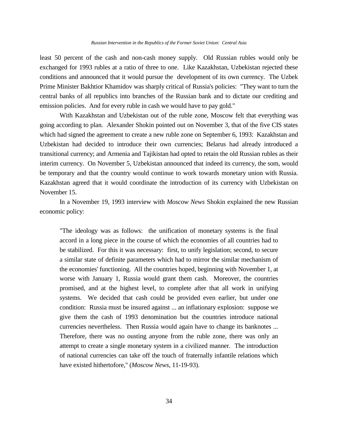least 50 percent of the cash and non-cash money supply. Old Russian rubles would only be exchanged for 1993 rubles at a ratio of three to one. Like Kazakhstan, Uzbekistan rejected these conditions and announced that it would pursue the development of its own currency. The Uzbek Prime Minister Bakhtior Khamidov was sharply critical of Russia's policies: "They want to turn the central banks of all republics into branches of the Russian bank and to dictate our crediting and emission policies. And for every ruble in cash we would have to pay gold."

With Kazakhstan and Uzbekistan out of the ruble zone, Moscow felt that everything was going according to plan. Alexander Shokin pointed out on November 3, that of the five CIS states which had signed the agreement to create a new ruble zone on September 6, 1993: Kazakhstan and Uzbekistan had decided to introduce their own currencies; Belarus had already introduced a transitional currency; and Armenia and Tajikistan had opted to retain the old Russian rubles as their interim currency. On November 5, Uzbekistan announced that indeed its currency, the som, would be temporary and that the country would continue to work towards monetary union with Russia. Kazakhstan agreed that it would coordinate the introduction of its currency with Uzbekistan on November 15.

In a November 19, 1993 interview with *Moscow News* Shokin explained the new Russian economic policy:

"The ideology was as follows: the unification of monetary systems is the final accord in a long piece in the course of which the economies of all countries had to be stabilized. For this it was necessary: first, to unify legislation; second, to secure a similar state of definite parameters which had to mirror the similar mechanism of the economies' functioning. All the countries hoped, beginning with November 1, at worse with January 1, Russia would grant them cash. Moreover, the countries promised, and at the highest level, to complete after that all work in unifying systems. We decided that cash could be provided even earlier, but under one condition: Russia must be insured against ... an inflationary explosion: suppose we give them the cash of 1993 denomination but the countries introduce national currencies nevertheless. Then Russia would again have to change its banknotes ... Therefore, there was no ousting anyone from the ruble zone, there was only an attempt to create a single monetary system in a civilized manner. The introduction of national currencies can take off the touch of fraternally infantile relations which have existed hithertofore," (*Moscow News*, 11-19-93).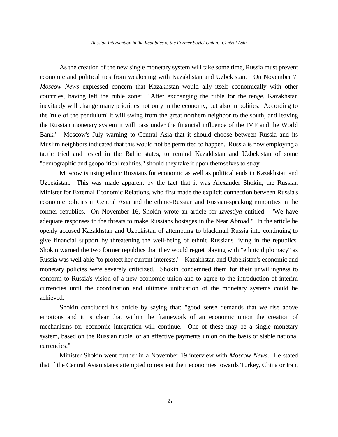As the creation of the new single monetary system will take some time, Russia must prevent economic and political ties from weakening with Kazakhstan and Uzbekistan. On November 7, *Moscow News* expressed concern that Kazakhstan would ally itself economically with other countries, having left the ruble zone: "After exchanging the ruble for the tenge, Kazakhstan inevitably will change many priorities not only in the economy, but also in politics. According to the 'rule of the pendulum' it will swing from the great northern neighbor to the south, and leaving the Russian monetary system it will pass under the financial influence of the IMF and the World Bank." Moscow's July warning to Central Asia that it should choose between Russia and its Muslim neighbors indicated that this would not be permitted to happen. Russia is now employing a tactic tried and tested in the Baltic states, to remind Kazakhstan and Uzbekistan of some "demographic and geopolitical realities," should they take it upon themselves to stray.

Moscow is using ethnic Russians for economic as well as political ends in Kazakhstan and Uzbekistan. This was made apparent by the fact that it was Alexander Shokin, the Russian Minister for External Economic Relations, who first made the explicit connection between Russia's economic policies in Central Asia and the ethnic-Russian and Russian-speaking minorities in the former republics. On November 16, Shokin wrote an article for *Izvestiya* entitled: "We have adequate responses to the threats to make Russians hostages in the Near Abroad." In the article he openly accused Kazakhstan and Uzbekistan of attempting to blackmail Russia into continuing to give financial support by threatening the well-being of ethnic Russians living in the republics. Shokin warned the two former republics that they would regret playing with "ethnic diplomacy" as Russia was well able "to protect her current interests." Kazakhstan and Uzbekistan's economic and monetary policies were severely criticized. Shokin condemned them for their unwillingness to conform to Russia's vision of a new economic union and to agree to the introduction of interim currencies until the coordination and ultimate unification of the monetary systems could be achieved.

Shokin concluded his article by saying that: "good sense demands that we rise above emotions and it is clear that within the framework of an economic union the creation of mechanisms for economic integration will continue. One of these may be a single monetary system, based on the Russian ruble, or an effective payments union on the basis of stable national currencies."

Minister Shokin went further in a November 19 interview with *Moscow News*. He stated that if the Central Asian states attempted to reorient their economies towards Turkey, China or Iran,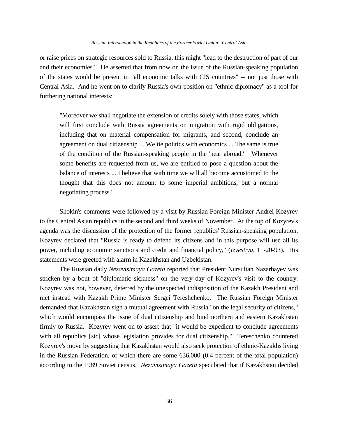#### *Russian Intervention in the Republics of the Former Soviet Union: Central Asia*

or raise prices on strategic resources sold to Russia, this might "lead to the destruction of part of our and their economies." He asserted that from now on the issue of the Russian-speaking population of the states would be present in "all economic talks with CIS countries" -- not just those with Central Asia. And he went on to clarify Russia's own position on "ethnic diplomacy" as a tool for furthering national interests:

"Moreover we shall negotiate the extension of credits solely with those states, which will first conclude with Russia agreements on migration with rigid obligations, including that on material compensation for migrants, and second, conclude an agreement on dual citizenship ... We tie politics with economics ... The same is true of the condition of the Russian-speaking people in the 'near abroad.' Whenever some benefits are requested from us, we are entitled to pose a question about the balance of interests ... I believe that with time we will all become accustomed to the thought that this does not amount to some imperial ambitions, but a normal negotiating process."

Shokin's comments were followed by a visit by Russian Foreign Minister Andrei Kozyrev to the Central Asian republics in the second and third weeks of November. At the top of Kozyrev's agenda was the discussion of the protection of the former republics' Russian-speaking population. Kozyrev declared that "Russia is ready to defend its citizens and in this purpose will use all its power, including economic sanctions and credit and financial policy," (*Izvestiya*, 11-20-93). His statements were greeted with alarm in Kazakhstan and Uzbekistan.

The Russian daily *Nezavisimaya Gazeta* reported that President Nursultan Nazarbayev was stricken by a bout of "diplomatic sickness" on the very day of Kozyrev's visit to the country. Kozyrev was not, however, deterred by the unexpected indisposition of the Kazakh President and met instead with Kazakh Prime Minister Sergei Tereshchenko. The Russian Foreign Minister demanded that Kazakhstan sign a mutual agreement with Russia "on the legal security of citizens," which would encompass the issue of dual citizenship and bind northern and eastern Kazakhstan firmly to Russia. Kozyrev went on to assert that "it would be expedient to conclude agreements with all republics [sic] whose legislation provides for dual citizenship." Tereschenko countered Kozyrev's move by suggesting that Kazakhstan would also seek protection of ethnic-Kazakhs living in the Russian Federation, of which there are some 636,000 (0.4 percent of the total population) according to the 1989 Soviet census. *Nezavisimaya Gazeta* speculated that if Kazakhstan decided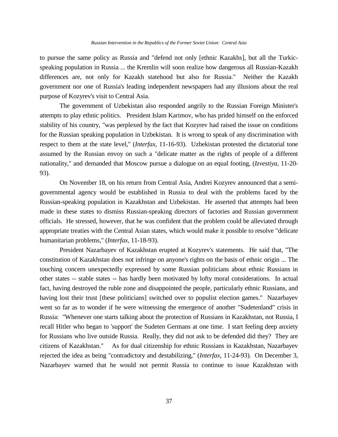to pursue the same policy as Russia and "defend not only [ethnic Kazakhs], but all the Turkicspeaking population in Russia ... the Kremlin will soon realize how dangerous all Russian-Kazakh differences are, not only for Kazakh statehood but also for Russia." Neither the Kazakh government nor one of Russia's leading independent newspapers had any illusions about the real purpose of Kozyrev's visit to Central Asia.

The government of Uzbekistan also responded angrily to the Russian Foreign Minister's attempts to play ethnic politics. President Islam Karimov, who has prided himself on the enforced stability of his country, "was perplexed by the fact that Kozyrev had raised the issue on conditions for the Russian speaking population in Uzbekistan. It is wrong to speak of any discrimination with respect to them at the state level," (*Interfax*, 11-16-93). Uzbekistan protested the dictatorial tone assumed by the Russian envoy on such a "delicate matter as the rights of people of a different nationality," and demanded that Moscow pursue a dialogue on an equal footing, (*Izvestiya*, 11-20- 93).

On November 18, on his return from Central Asia, Andrei Kozyrev announced that a semigovernmental agency would be established in Russia to deal with the problems faced by the Russian-speaking population in Kazakhstan and Uzbekistan. He asserted that attempts had been made in these states to dismiss Russian-speaking directors of factories and Russian government officials. He stressed, however, that he was confident that the problem could be alleviated through appropriate treaties with the Central Asian states, which would make it possible to resolve "delicate humanitarian problems," (*Interfax*, 11-18-93).

President Nazarbayev of Kazakhstan erupted at Kozyrev's statements. He said that, "The constitution of Kazakhstan does not infringe on anyone's rights on the basis of ethnic origin ... The touching concern unexpectedly expressed by some Russian politicians about ethnic Russians in other states -- stable states -- has hardly been motivated by lofty moral considerations. In actual fact, having destroyed the ruble zone and disappointed the people, particularly ethnic Russians, and having lost their trust [these politicians] switched over to populist election games." Nazarbayev went so far as to wonder if he were witnessing the emergence of another "Sudetenland" crisis in Russia: "Whenever one starts talking about the protection of Russians in Kazakhstan, not Russia, I recall Hitler who began to 'support' the Sudeten Germans at one time. I start feeling deep anxiety for Russians who live outside Russia. Really, they did not ask to be defended did they? They are citizens of Kazakhstan." As for dual citizenship for ethnic Russians in Kazakhstan, Nazarbayev rejected the idea as being "contradictory and destabilizing," (*Interfax*, 11-24-93). On December 3, Nazarbayev warned that he would not permit Russia to continue to issue Kazakhstan with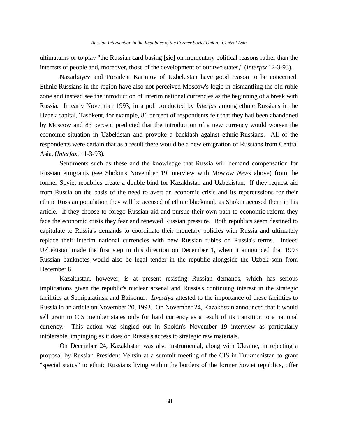ultimatums or to play "the Russian card basing [sic] on momentary political reasons rather than the interests of people and, moreover, those of the development of our two states," (*Interfax* 12-3-93).

Nazarbayev and President Karimov of Uzbekistan have good reason to be concerned. Ethnic Russians in the region have also not perceived Moscow's logic in dismantling the old ruble zone and instead see the introduction of interim national currencies as the beginning of a break with Russia. In early November 1993, in a poll conducted by *Interfax* among ethnic Russians in the Uzbek capital, Tashkent, for example, 86 percent of respondents felt that they had been abandoned by Moscow and 83 percent predicted that the introduction of a new currency would worsen the economic situation in Uzbekistan and provoke a backlash against ethnic-Russians. All of the respondents were certain that as a result there would be a new emigration of Russians from Central Asia, (*Interfax*, 11-3-93).

Sentiments such as these and the knowledge that Russia will demand compensation for Russian emigrants (see Shokin's November 19 interview with *Moscow News* above) from the former Soviet republics create a double bind for Kazakhstan and Uzbekistan. If they request aid from Russia on the basis of the need to avert an economic crisis and its repercussions for their ethnic Russian population they will be accused of ethnic blackmail, as Shokin accused them in his article. If they choose to forego Russian aid and pursue their own path to economic reform they face the economic crisis they fear and renewed Russian pressure. Both republics seem destined to capitulate to Russia's demands to coordinate their monetary policies with Russia and ultimately replace their interim national currencies with new Russian rubles on Russia's terms. Indeed Uzbekistan made the first step in this direction on December 1, when it announced that 1993 Russian banknotes would also be legal tender in the republic alongside the Uzbek som from December 6.

Kazakhstan, however, is at present resisting Russian demands, which has serious implications given the republic's nuclear arsenal and Russia's continuing interest in the strategic facilities at Semipalatinsk and Baikonur. *Izvestiya* attested to the importance of these facilities to Russia in an article on November 20, 1993. On November 24, Kazakhstan announced that it would sell grain to CIS member states only for hard currency as a result of its transition to a national currency. This action was singled out in Shokin's November 19 interview as particularly intolerable, impinging as it does on Russia's access to strategic raw materials.

On December 24, Kazakhstan was also instrumental, along with Ukraine, in rejecting a proposal by Russian President Yeltsin at a summit meeting of the CIS in Turkmenistan to grant "special status" to ethnic Russians living within the borders of the former Soviet republics, offer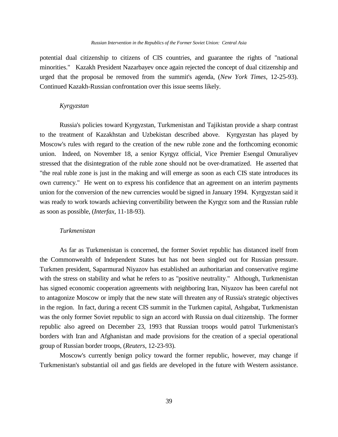potential dual citizenship to citizens of CIS countries, and guarantee the rights of "national minorities." Kazakh President Nazarbayev once again rejected the concept of dual citizenship and urged that the proposal be removed from the summit's agenda, (*New York Times*, 12-25-93). Continued Kazakh-Russian confrontation over this issue seems likely.

## *Kyrgyzstan*

Russia's policies toward Kyrgyzstan, Turkmenistan and Tajikistan provide a sharp contrast to the treatment of Kazakhstan and Uzbekistan described above. Kyrgyzstan has played by Moscow's rules with regard to the creation of the new ruble zone and the forthcoming economic union. Indeed, on November 18, a senior Kyrgyz official, Vice Premier Esengul Omuraliyev stressed that the disintegration of the ruble zone should not be over-dramatized. He asserted that "the real ruble zone is just in the making and will emerge as soon as each CIS state introduces its own currency." He went on to express his confidence that an agreement on an interim payments union for the conversion of the new currencies would be signed in January 1994. Kyrgyzstan said it was ready to work towards achieving convertibility between the Kyrgyz som and the Russian ruble as soon as possible, (*Interfax*, 11-18-93).

### *Turkmenistan*

As far as Turkmenistan is concerned, the former Soviet republic has distanced itself from the Commonwealth of Independent States but has not been singled out for Russian pressure. Turkmen president, Saparmurad Niyazov has established an authoritarian and conservative regime with the stress on stability and what he refers to as "positive neutrality." Although, Turkmenistan has signed economic cooperation agreements with neighboring Iran, Niyazov has been careful not to antagonize Moscow or imply that the new state will threaten any of Russia's strategic objectives in the region. In fact, during a recent CIS summit in the Turkmen capital, Ashgabat, Turkmenistan was the only former Soviet republic to sign an accord with Russia on dual citizenship. The former republic also agreed on December 23, 1993 that Russian troops would patrol Turkmenistan's borders with Iran and Afghanistan and made provisions for the creation of a special operational group of Russian border troops, (*Reuters*, 12-23-93).

Moscow's currently benign policy toward the former republic, however, may change if Turkmenistan's substantial oil and gas fields are developed in the future with Western assistance.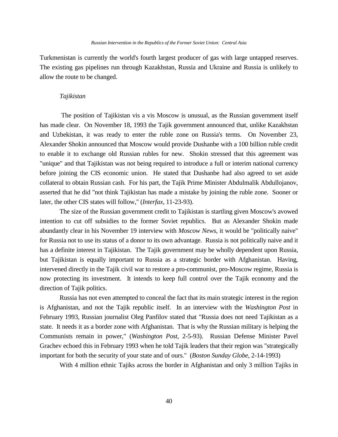Turkmenistan is currently the world's fourth largest producer of gas with large untapped reserves. The existing gas pipelines run through Kazakhstan, Russia and Ukraine and Russia is unlikely to allow the route to be changed.

### *Tajikistan*

The position of Tajikistan vis a vis Moscow is unusual, as the Russian government itself has made clear. On November 18, 1993 the Tajik government announced that, unlike Kazakhstan and Uzbekistan, it was ready to enter the ruble zone on Russia's terms. On November 23, Alexander Shokin announced that Moscow would provide Dushanbe with a 100 billion ruble credit to enable it to exchange old Russian rubles for new. Shokin stressed that this agreement was "unique" and that Tajikistan was not being required to introduce a full or interim national currency before joining the CIS economic union. He stated that Dushanbe had also agreed to set aside collateral to obtain Russian cash. For his part, the Tajik Prime Minister Abdulmalik Abdullojanov, asserted that he did "not think Tajikistan has made a mistake by joining the ruble zone. Sooner or later, the other CIS states will follow," (*Interfax*, 11-23-93).

The size of the Russian government credit to Tajikistan is startling given Moscow's avowed intention to cut off subsidies to the former Soviet republics. But as Alexander Shokin made abundantly clear in his November 19 interview with *Moscow News*, it would be "politically naive" for Russia not to use its status of a donor to its own advantage. Russia is not politically naive and it has a definite interest in Tajikistan. The Tajik government may be wholly dependent upon Russia, but Tajikistan is equally important to Russia as a strategic border with Afghanistan. Having, intervened directly in the Tajik civil war to restore a pro-communist, pro-Moscow regime, Russia is now protecting its investment. It intends to keep full control over the Tajik economy and the direction of Tajik politics.

Russia has not even attempted to conceal the fact that its main strategic interest in the region is Afghanistan, and not the Tajik republic itself. In an interview with the *Washington Post* in February 1993, Russian journalist Oleg Panfilov stated that "Russia does not need Tajikistan as a state. It needs it as a border zone with Afghanistan. That is why the Russian military is helping the Communists remain in power," (*Washington Post*, 2-5-93). Russian Defense Minister Pavel Grachev echoed this in February 1993 when he told Tajik leaders that their region was "strategically important for both the security of your state and of ours." (*Boston Sunday Globe*, 2-14-1993)

With 4 million ethnic Tajiks across the border in Afghanistan and only 3 million Tajiks in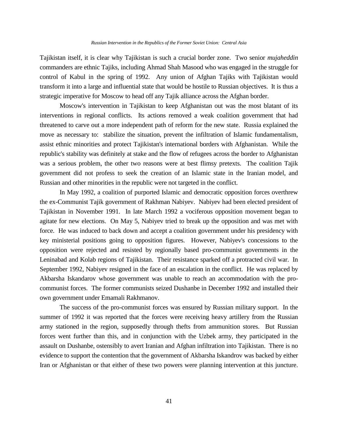Tajikistan itself, it is clear why Tajikistan is such a crucial border zone. Two senior *mujaheddin* commanders are ethnic Tajiks, including Ahmad Shah Masood who was engaged in the struggle for control of Kabul in the spring of 1992. Any union of Afghan Tajiks with Tajikistan would transform it into a large and influential state that would be hostile to Russian objectives. It is thus a strategic imperative for Moscow to head off any Tajik alliance across the Afghan border.

Moscow's intervention in Tajikistan to keep Afghanistan out was the most blatant of its interventions in regional conflicts. Its actions removed a weak coalition government that had threatened to carve out a more independent path of reform for the new state. Russia explained the move as necessary to: stabilize the situation, prevent the infiltration of Islamic fundamentalism, assist ethnic minorities and protect Tajikistan's international borders with Afghanistan. While the republic's stability was definitely at stake and the flow of refugees across the border to Afghanistan was a serious problem, the other two reasons were at best flimsy pretexts. The coalition Tajik government did not profess to seek the creation of an Islamic state in the Iranian model, and Russian and other minorities in the republic were not targeted in the conflict.

In May 1992, a coalition of purported Islamic and democratic opposition forces overthrew the ex-Communist Tajik government of Rakhman Nabiyev. Nabiyev had been elected president of Tajikistan in November 1991. In late March 1992 a vociferous opposition movement began to agitate for new elections. On May 5, Nabiyev tried to break up the opposition and was met with force. He was induced to back down and accept a coalition government under his presidency with key ministerial positions going to opposition figures. However, Nabiyev's concessions to the opposition were rejected and resisted by regionally based pro-communist governments in the Leninabad and Kolab regions of Tajikistan. Their resistance sparked off a protracted civil war. In September 1992, Nabiyev resigned in the face of an escalation in the conflict. He was replaced by Akbarsha Iskandarov whose government was unable to reach an accommodation with the procommunist forces. The former communists seized Dushanbe in December 1992 and installed their own government under Emamali Rakhmanov.

The success of the pro-communist forces was ensured by Russian military support. In the summer of 1992 it was reported that the forces were receiving heavy artillery from the Russian army stationed in the region, supposedly through thefts from ammunition stores. But Russian forces went further than this, and in conjunction with the Uzbek army, they participated in the assault on Dushanbe, ostensibly to avert Iranian and Afghan infiltration into Tajikistan. There is no evidence to support the contention that the government of Akbarsha Iskandrov was backed by either Iran or Afghanistan or that either of these two powers were planning intervention at this juncture.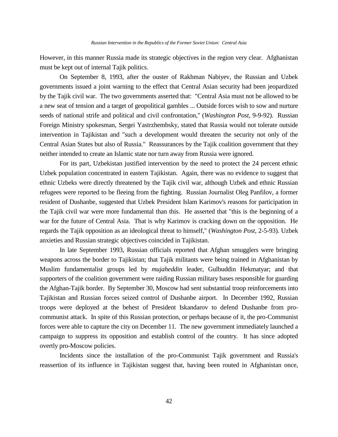However, in this manner Russia made its strategic objectives in the region very clear. Afghanistan must be kept out of internal Tajik politics.

On September 8, 1993, after the ouster of Rakhman Nabiyev, the Russian and Uzbek governments issued a joint warning to the effect that Central Asian security had been jeopardized by the Tajik civil war. The two governments asserted that: "Central Asia must not be allowed to be a new seat of tension and a target of geopolitical gambles ... Outside forces wish to sow and nurture seeds of national strife and political and civil confrontation," (*Washington Post*, 9-9-92). Russian Foreign Ministry spokesman, Sergei Yastrzhembsky, stated that Russia would not tolerate outside intervention in Tajikistan and "such a development would threaten the security not only of the Central Asian States but also of Russia." Reassurances by the Tajik coalition government that they neither intended to create an Islamic state nor turn away from Russia were ignored.

For its part, Uzbekistan justified intervention by the need to protect the 24 percent ethnic Uzbek population concentrated in eastern Tajikistan. Again, there was no evidence to suggest that ethnic Uzbeks were directly threatened by the Tajik civil war, although Uzbek and ethnic Russian refugees were reported to be fleeing from the fighting. Russian Journalist Oleg Panfilov, a former resident of Dushanbe, suggested that Uzbek President Islam Karimov's reasons for participation in the Tajik civil war were more fundamental than this. He asserted that "this is the beginning of a war for the future of Central Asia. That is why Karimov is cracking down on the opposition. He regards the Tajik opposition as an ideological threat to himself," (*Washington Post*, 2-5-93). Uzbek anxieties and Russian strategic objectives coincided in Tajikistan.

In late September 1993, Russian officials reported that Afghan smugglers were bringing weapons across the border to Tajikistan; that Tajik militants were being trained in Afghanistan by Muslim fundamentalist groups led by *mujaheddin* leader, Gulbuddin Hekmatyar; and that supporters of the coalition government were raiding Russian military bases responsible for guarding the Afghan-Tajik border. By September 30, Moscow had sent substantial troop reinforcements into Tajikistan and Russian forces seized control of Dushanbe airport. In December 1992, Russian troops were deployed at the behest of President Iskandarov to defend Dushanbe from procommunist attack. In spite of this Russian protection, or perhaps because of it, the pro-Communist forces were able to capture the city on December 11. The new government immediately launched a campaign to suppress its opposition and establish control of the country. It has since adopted overtly pro-Moscow policies.

Incidents since the installation of the pro-Communist Tajik government and Russia's reassertion of its influence in Tajikistan suggest that, having been routed in Afghanistan once,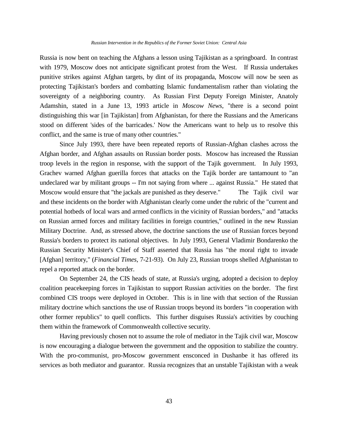Russia is now bent on teaching the Afghans a lesson using Tajikistan as a springboard. In contrast with 1979, Moscow does not anticipate significant protest from the West. If Russia undertakes punitive strikes against Afghan targets, by dint of its propaganda, Moscow will now be seen as protecting Tajikistan's borders and combatting Islamic fundamentalism rather than violating the sovereignty of a neighboring country. As Russian First Deputy Foreign Minister, Anatoly Adamshin, stated in a June 13, 1993 article in *Moscow News*, "there is a second point distinguishing this war [in Tajikistan] from Afghanistan, for there the Russians and the Americans stood on different 'sides of the barricades.' Now the Americans want to help us to resolve this conflict, and the same is true of many other countries."

Since July 1993, there have been repeated reports of Russian-Afghan clashes across the Afghan border, and Afghan assaults on Russian border posts. Moscow has increased the Russian troop levels in the region in response, with the support of the Tajik government. In July 1993, Grachev warned Afghan guerilla forces that attacks on the Tajik border are tantamount to "an undeclared war by militant groups -- I'm not saying from where ... against Russia." He stated that Moscow would ensure that "the jackals are punished as they deserve." The Tajik civil war and these incidents on the border with Afghanistan clearly come under the rubric of the "current and potential hotbeds of local wars and armed conflicts in the vicinity of Russian borders," and "attacks on Russian armed forces and military facilities in foreign countries," outlined in the new Russian Military Doctrine. And, as stressed above, the doctrine sanctions the use of Russian forces beyond Russia's borders to protect its national objectives. In July 1993, General Vladimir Bondarenko the Russian Security Minister's Chief of Staff asserted that Russia has "the moral right to invade [Afghan] territory," (*Financial Times*, 7-21-93). On July 23, Russian troops shelled Afghanistan to repel a reported attack on the border.

On September 24, the CIS heads of state, at Russia's urging, adopted a decision to deploy coalition peacekeeping forces in Tajikistan to support Russian activities on the border. The first combined CIS troops were deployed in October. This is in line with that section of the Russian military doctrine which sanctions the use of Russian troops beyond its borders "in cooperation with other former republics" to quell conflicts. This further disguises Russia's activities by couching them within the framework of Commonwealth collective security.

Having previously chosen not to assume the role of mediator in the Tajik civil war, Moscow is now encouraging a dialogue between the government and the opposition to stabilize the country. With the pro-communist, pro-Moscow government ensconced in Dushanbe it has offered its services as both mediator and guarantor. Russia recognizes that an unstable Tajikistan with a weak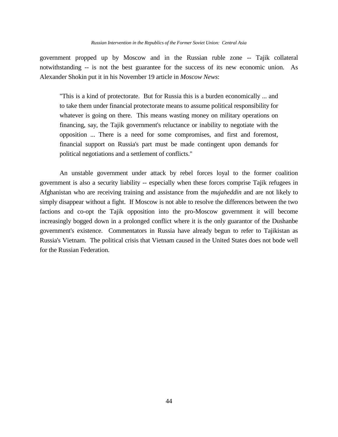government propped up by Moscow and in the Russian ruble zone -- Tajik collateral notwithstanding -- is not the best guarantee for the success of its new economic union. As Alexander Shokin put it in his November 19 article in *Moscow News*:

"This is a kind of protectorate. But for Russia this is a burden economically ... and to take them under financial protectorate means to assume political responsibility for whatever is going on there. This means wasting money on military operations on financing, say, the Tajik government's reluctance or inability to negotiate with the opposition ... There is a need for some compromises, and first and foremost, financial support on Russia's part must be made contingent upon demands for political negotiations and a settlement of conflicts."

An unstable government under attack by rebel forces loyal to the former coalition government is also a security liability -- especially when these forces comprise Tajik refugees in Afghanistan who are receiving training and assistance from the *mujaheddin* and are not likely to simply disappear without a fight. If Moscow is not able to resolve the differences between the two factions and co-opt the Tajik opposition into the pro-Moscow government it will become increasingly bogged down in a prolonged conflict where it is the only guarantor of the Dushanbe government's existence. Commentators in Russia have already begun to refer to Tajikistan as Russia's Vietnam. The political crisis that Vietnam caused in the United States does not bode well for the Russian Federation.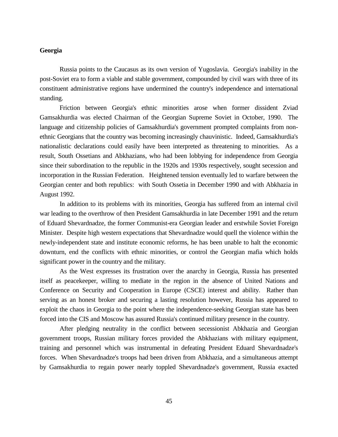# **Georgia**

Russia points to the Caucasus as its own version of Yugoslavia. Georgia's inability in the post-Soviet era to form a viable and stable government, compounded by civil wars with three of its constituent administrative regions have undermined the country's independence and international standing.

Friction between Georgia's ethnic minorities arose when former dissident Zviad Gamsakhurdia was elected Chairman of the Georgian Supreme Soviet in October, 1990. The language and citizenship policies of Gamsakhurdia's government prompted complaints from nonethnic Georgians that the country was becoming increasingly chauvinistic. Indeed, Gamsakhurdia's nationalistic declarations could easily have been interpreted as threatening to minorities. As a result, South Ossetians and Abkhazians, who had been lobbying for independence from Georgia since their subordination to the republic in the 1920s and 1930s respectively, sought secession and incorporation in the Russian Federation. Heightened tension eventually led to warfare between the Georgian center and both republics: with South Ossetia in December 1990 and with Abkhazia in August 1992.

In addition to its problems with its minorities, Georgia has suffered from an internal civil war leading to the overthrow of then President Gamsakhurdia in late December 1991 and the return of Eduard Shevardnadze, the former Communist-era Georgian leader and erstwhile Soviet Foreign Minister. Despite high western expectations that Shevardnadze would quell the violence within the newly-independent state and institute economic reforms, he has been unable to halt the economic downturn, end the conflicts with ethnic minorities, or control the Georgian mafia which holds significant power in the country and the military.

As the West expresses its frustration over the anarchy in Georgia, Russia has presented itself as peacekeeper, willing to mediate in the region in the absence of United Nations and Conference on Security and Cooperation in Europe (CSCE) interest and ability. Rather than serving as an honest broker and securing a lasting resolution however, Russia has appeared to exploit the chaos in Georgia to the point where the independence-seeking Georgian state has been forced into the CIS and Moscow has assured Russia's continued military presence in the country.

After pledging neutrality in the conflict between secessionist Abkhazia and Georgian government troops, Russian military forces provided the Abkhazians with military equipment, training and personnel which was instrumental in defeating President Eduard Shevardnadze's forces. When Shevardnadze's troops had been driven from Abkhazia, and a simultaneous attempt by Gamsakhurdia to regain power nearly toppled Shevardnadze's government, Russia exacted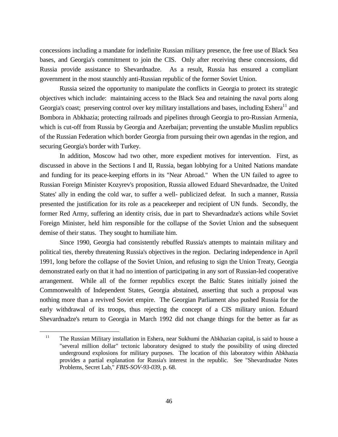concessions including a mandate for indefinite Russian military presence, the free use of Black Sea bases, and Georgia's commitment to join the CIS. Only after receiving these concessions, did Russia provide assistance to Shevardnadze. As a result, Russia has ensured a compliant government in the most staunchly anti-Russian republic of the former Soviet Union.

Russia seized the opportunity to manipulate the conflicts in Georgia to protect its strategic objectives which include: maintaining access to the Black Sea and retaining the naval ports along Georgia's coast; preserving control over key military installations and bases, including Eshera<sup>11</sup> and Bombora in Abkhazia; protecting railroads and pipelines through Georgia to pro-Russian Armenia, which is cut-off from Russia by Georgia and Azerbaijan; preventing the unstable Muslim republics of the Russian Federation which border Georgia from pursuing their own agendas in the region, and securing Georgia's border with Turkey.

In addition, Moscow had two other, more expedient motives for intervention. First, as discussed in above in the Sections I and II, Russia, began lobbying for a United Nations mandate and funding for its peace-keeping efforts in its "Near Abroad." When the UN failed to agree to Russian Foreign Minister Kozyrev's proposition, Russia allowed Eduard Shevardnadze, the United States' ally in ending the cold war, to suffer a well- publicized defeat. In such a manner, Russia presented the justification for its role as a peacekeeper and recipient of UN funds. Secondly, the former Red Army, suffering an identity crisis, due in part to Shevardnadze's actions while Soviet Foreign Minister, held him responsible for the collapse of the Soviet Union and the subsequent demise of their status. They sought to humiliate him.

Since 1990, Georgia had consistently rebuffed Russia's attempts to maintain military and political ties, thereby threatening Russia's objectives in the region. Declaring independence in April 1991, long before the collapse of the Soviet Union, and refusing to sign the Union Treaty, Georgia demonstrated early on that it had no intention of participating in any sort of Russian-led cooperative arrangement. While all of the former republics except the Baltic States initially joined the Commonwealth of Independent States, Georgia abstained, asserting that such a proposal was nothing more than a revived Soviet empire. The Georgian Parliament also pushed Russia for the early withdrawal of its troops, thus rejecting the concept of a CIS military union. Eduard Shevardnadze's return to Georgia in March 1992 did not change things for the better as far as

<sup>&</sup>lt;sup>11</sup> The Russian Military installation in Eshera, near Sukhumi the Abkhazian capital, is said to house a "several million dollar" tectonic laboratory designed to study the possibility of using directed underground explosions for military purposes. The location of this laboratory within Abkhazia provides a partial explanation for Russia's interest in the republic. See "Shevardnadze Notes Problems, Secret Lab," *FBIS-SOV-93-039*, p. 68.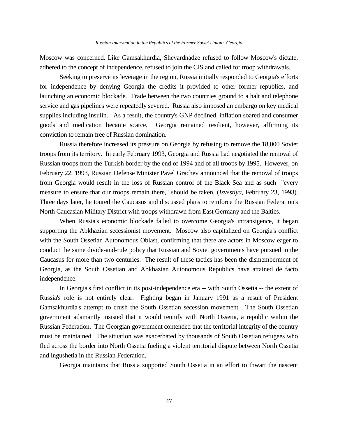Moscow was concerned. Like Gamsakhurdia, Shevardnadze refused to follow Moscow's dictate, adhered to the concept of independence, refused to join the CIS and called for troop withdrawals.

Seeking to preserve its leverage in the region, Russia initially responded to Georgia's efforts for independence by denying Georgia the credits it provided to other former republics, and launching an economic blockade. Trade between the two countries ground to a halt and telephone service and gas pipelines were repeatedly severed. Russia also imposed an embargo on key medical supplies including insulin. As a result, the country's GNP declined, inflation soared and consumer goods and medication became scarce. Georgia remained resilient, however, affirming its conviction to remain free of Russian domination.

Russia therefore increased its pressure on Georgia by refusing to remove the 18,000 Soviet troops from its territory. In early February 1993, Georgia and Russia had negotiated the removal of Russian troops from the Turkish border by the end of 1994 and of all troops by 1995. However, on February 22, 1993, Russian Defense Minister Pavel Grachev announced that the removal of troops from Georgia would result in the loss of Russian control of the Black Sea and as such "every measure to ensure that our troops remain there," should be taken, (*Izvestiya*, February 23, 1993). Three days later, he toured the Caucasus and discussed plans to reinforce the Russian Federation's North Caucasian Military District with troops withdrawn from East Germany and the Baltics.

When Russia's economic blockade failed to overcome Georgia's intransigence, it began supporting the Abkhazian secessionist movement. Moscow also capitalized on Georgia's conflict with the South Ossetian Autonomous Oblast, confirming that there are actors in Moscow eager to conduct the same divide-and-rule policy that Russian and Soviet governments have pursued in the Caucasus for more than two centuries. The result of these tactics has been the dismemberment of Georgia, as the South Ossetian and Abkhazian Autonomous Republics have attained de facto independence.

In Georgia's first conflict in its post-independence era -- with South Ossetia -- the extent of Russia's role is not entirely clear. Fighting began in January 1991 as a result of President Gamsakhurdia's attempt to crush the South Ossetian secession movement. The South Ossetian government adamantly insisted that it would reunify with North Ossetia, a republic within the Russian Federation. The Georgian government contended that the territorial integrity of the country must be maintained. The situation was exacerbated by thousands of South Ossetian refugees who fled across the border into North Ossetia fueling a violent territorial dispute between North Ossetia and Ingushetia in the Russian Federation.

Georgia maintains that Russia supported South Ossetia in an effort to thwart the nascent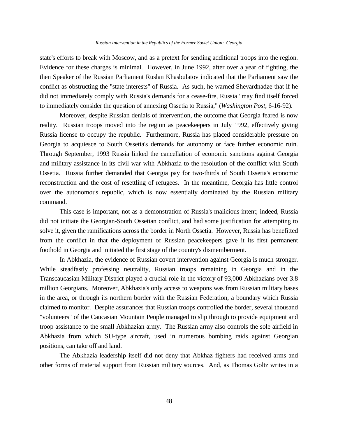#### *Russian Intervention in the Republics of the Former Soviet Union: Georgia*

state's efforts to break with Moscow, and as a pretext for sending additional troops into the region. Evidence for these charges is minimal. However, in June 1992, after over a year of fighting, the then Speaker of the Russian Parliament Ruslan Khasbulatov indicated that the Parliament saw the conflict as obstructing the "state interests" of Russia. As such, he warned Shevardnadze that if he did not immediately comply with Russia's demands for a cease-fire, Russia "may find itself forced to immediately consider the question of annexing Ossetia to Russia," (*Washington Post*, 6-16-92).

Moreover, despite Russian denials of intervention, the outcome that Georgia feared is now reality. Russian troops moved into the region as peacekeepers in July 1992, effectively giving Russia license to occupy the republic. Furthermore, Russia has placed considerable pressure on Georgia to acquiesce to South Ossetia's demands for autonomy or face further economic ruin. Through September, 1993 Russia linked the cancellation of economic sanctions against Georgia and military assistance in its civil war with Abkhazia to the resolution of the conflict with South Ossetia. Russia further demanded that Georgia pay for two-thirds of South Ossetia's economic reconstruction and the cost of resettling of refugees. In the meantime, Georgia has little control over the autonomous republic, which is now essentially dominated by the Russian military command.

This case is important, not as a demonstration of Russia's malicious intent; indeed, Russia did not initiate the Georgian-South Ossetian conflict, and had some justification for attempting to solve it, given the ramifications across the border in North Ossetia. However, Russia has benefitted from the conflict in that the deployment of Russian peacekeepers gave it its first permanent foothold in Georgia and initiated the first stage of the country's dismemberment.

In Abkhazia, the evidence of Russian covert intervention against Georgia is much stronger. While steadfastly professing neutrality, Russian troops remaining in Georgia and in the Transcaucasian Military District played a crucial role in the victory of 93,000 Abkhazians over 3.8 million Georgians. Moreover, Abkhazia's only access to weapons was from Russian military bases in the area, or through its northern border with the Russian Federation, a boundary which Russia claimed to monitor. Despite assurances that Russian troops controlled the border, several thousand "volunteers" of the Caucasian Mountain People managed to slip through to provide equipment and troop assistance to the small Abkhazian army. The Russian army also controls the sole airfield in Abkhazia from which SU-type aircraft, used in numerous bombing raids against Georgian positions, can take off and land.

The Abkhazia leadership itself did not deny that Abkhaz fighters had received arms and other forms of material support from Russian military sources. And, as Thomas Goltz writes in a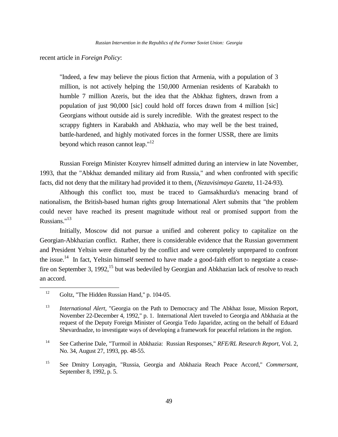recent article in *Foreign Policy*:

"Indeed, a few may believe the pious fiction that Armenia, with a population of 3 million, is not actively helping the 150,000 Armenian residents of Karabakh to humble 7 million Azeris, but the idea that the Abkhaz fighters, drawn from a population of just 90,000 [sic] could hold off forces drawn from 4 million [sic] Georgians without outside aid is surely incredible. With the greatest respect to the scrappy fighters in Karabakh and Abkhazia, who may well be the best trained, battle-hardened, and highly motivated forces in the former USSR, there are limits beyond which reason cannot leap."<sup>12</sup>

Russian Foreign Minister Kozyrev himself admitted during an interview in late November, 1993, that the "Abkhaz demanded military aid from Russia," and when confronted with specific facts, did not deny that the military had provided it to them, (*Nezavisimaya Gazeta*, 11-24-93).

Although this conflict too, must be traced to Gamsakhurdia's menacing brand of nationalism, the British-based human rights group International Alert submits that "the problem could never have reached its present magnitude without real or promised support from the Russians."<sup>13</sup>

Initially, Moscow did not pursue a unified and coherent policy to capitalize on the Georgian-Abkhazian conflict. Rather, there is considerable evidence that the Russian government and President Yeltsin were disturbed by the conflict and were completely unprepared to confront the issue.<sup>14</sup> In fact, Yeltsin himself seemed to have made a good-faith effort to negotiate a ceasefire on September 3, 1992,<sup>15</sup> but was bedeviled by Georgian and Abkhazian lack of resolve to reach an accord.

<sup>&</sup>lt;sup>12</sup> Goltz, "The Hidden Russian Hand," p. 104-05.

<sup>13</sup> *International Alert*, "Georgia on the Path to Democracy and The Abkhaz Issue, Mission Report, November 22-December 4, 1992," p. 1. International Alert traveled to Georgia and Abkhazia at the request of the Deputy Foreign Minister of Georgia Tedo Japaridze, acting on the behalf of Eduard Shevardnadze, to investigate ways of developing a framework for peaceful relations in the region.

<sup>14</sup> See Catherine Dale, "Turmoil in Abkhazia: Russian Responses," *RFE/RL Research Report*, Vol. 2, No. 34, August 27, 1993, pp. 48-55.

<sup>15</sup> See Dmitry Lonyagin, "Russia, Georgia and Abkhazia Reach Peace Accord," *Commersant*, September 8, 1992, p. 5.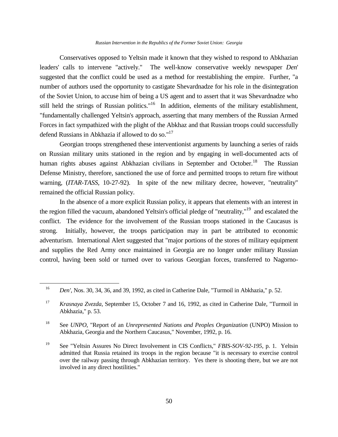#### *Russian Intervention in the Republics of the Former Soviet Union: Georgia*

Conservatives opposed to Yeltsin made it known that they wished to respond to Abkhazian leaders' calls to intervene "actively." The well-know conservative weekly newspaper *Den*' suggested that the conflict could be used as a method for reestablishing the empire. Further, "a number of authors used the opportunity to castigate Shevardnadze for his role in the disintegration of the Soviet Union, to accuse him of being a US agent and to assert that it was Shevardnadze who still held the strings of Russian politics."<sup>16</sup> In addition, elements of the military establishment, "fundamentally challenged Yeltsin's approach, asserting that many members of the Russian Armed Forces in fact sympathized with the plight of the Abkhaz and that Russian troops could successfully defend Russians in Abkhazia if allowed to do so."<sup>17</sup>

Georgian troops strengthened these interventionist arguments by launching a series of raids on Russian military units stationed in the region and by engaging in well-documented acts of human rights abuses against Abkhazian civilians in September and October.<sup>18</sup> The Russian Defense Ministry, therefore, sanctioned the use of force and permitted troops to return fire without warning, (*ITAR-TASS*, 10-27-92). In spite of the new military decree, however, "neutrality" remained the official Russian policy.

In the absence of a more explicit Russian policy, it appears that elements with an interest in the region filled the vacuum, abandoned Yeltsin's official pledge of "neutrality,"<sup>19</sup> and escalated the conflict. The evidence for the involvement of the Russian troops stationed in the Caucasus is strong. Initially, however, the troops participation may in part be attributed to economic adventurism. International Alert suggested that "major portions of the stores of military equipment and supplies the Red Army once maintained in Georgia are no longer under military Russian control, having been sold or turned over to various Georgian forces, transferred to Nagorno-

<sup>16</sup> *Den'*, Nos. 30, 34, 36, and 39, 1992, as cited in Catherine Dale, "Turmoil in Abkhazia," p. 52.

<sup>17</sup> *Krasnaya Zvezda*, September 15, October 7 and 16, 1992, as cited in Catherine Dale, "Turmoil in Abkhazia," p. 53.

<sup>18</sup> See *UNPO*, "Report of an *Unrepresented Nations and Peoples Organization* (UNPO) Mission to Abkhazia, Georgia and the Northern Caucasus," November, 1992, p. 16.

<sup>19</sup> See "Yeltsin Assures No Direct Involvement in CIS Conflicts," *FBIS-SOV-92-195*, p. 1. Yeltsin admitted that Russia retained its troops in the region because "it is necessary to exercise control over the railway passing through Abkhazian territory. Yes there is shooting there, but we are not involved in any direct hostilities."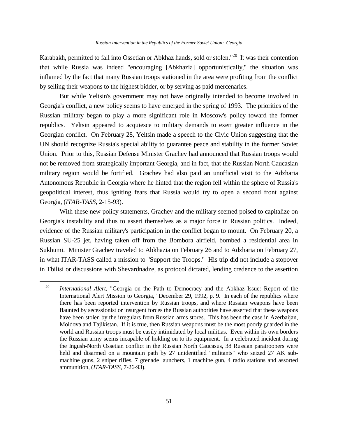Karabakh, permitted to fall into Ossetian or Abkhaz hands, sold or stolen."<sup>20</sup> It was their contention that while Russia was indeed "encouraging [Abkhazia] opportunistically," the situation was inflamed by the fact that many Russian troops stationed in the area were profiting from the conflict by selling their weapons to the highest bidder, or by serving as paid mercenaries.

But while Yeltsin's government may not have originally intended to become involved in Georgia's conflict, a new policy seems to have emerged in the spring of 1993. The priorities of the Russian military began to play a more significant role in Moscow's policy toward the former republics. Yeltsin appeared to acquiesce to military demands to exert greater influence in the Georgian conflict. On February 28, Yeltsin made a speech to the Civic Union suggesting that the UN should recognize Russia's special ability to guarantee peace and stability in the former Soviet Union. Prior to this, Russian Defense Minister Grachev had announced that Russian troops would not be removed from strategically important Georgia, and in fact, that the Russian North Caucasian military region would be fortified. Grachev had also paid an unofficial visit to the Adzharia Autonomous Republic in Georgia where he hinted that the region fell within the sphere of Russia's geopolitical interest, thus igniting fears that Russia would try to open a second front against Georgia, (*ITAR-TASS*, 2-15-93).

With these new policy statements, Grachev and the military seemed poised to capitalize on Georgia's instability and thus to assert themselves as a major force in Russian politics. Indeed, evidence of the Russian military's participation in the conflict began to mount. On February 20, a Russian SU-25 jet, having taken off from the Bombora airfield, bombed a residential area in Sukhumi. Minister Grachev traveled to Abkhazia on February 26 and to Adzharia on February 27, in what ITAR-TASS called a mission to "Support the Troops." His trip did not include a stopover in Tbilisi or discussions with Shevardnadze, as protocol dictated, lending credence to the assertion

<sup>20</sup> *International Alert*, "Georgia on the Path to Democracy and the Abkhaz Issue: Report of the International Alert Mission to Georgia," December 29, 1992, p. 9. In each of the republics where there has been reported intervention by Russian troops, and where Russian weapons have been flaunted by secessionist or insurgent forces the Russian authorities have asserted that these weapons have been stolen by the irregulars from Russian arms stores. This has been the case in Azerbaijan, Moldova and Tajikistan. If it is true, then Russian weapons must be the most poorly guarded in the world and Russian troops must be easily intimidated by local militias. Even within its own borders the Russian army seems incapable of holding on to its equipment. In a celebrated incident during the Ingush-North Ossetian conflict in the Russian North Caucasus, 38 Russian paratroopers were held and disarmed on a mountain path by 27 unidentified "militants" who seized 27 AK submachine guns, 2 sniper rifles, 7 grenade launchers, 1 machine gun, 4 radio stations and assorted ammunition, (*ITAR-TASS*, 7-26-93).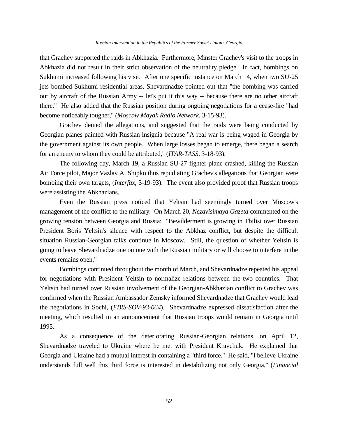that Grachev supported the raids in Abkhazia. Furthermore, Minster Grachev's visit to the troops in Abkhazia did not result in their strict observation of the neutrality pledge. In fact, bombings on Sukhumi increased following his visit. After one specific instance on March 14, when two SU-25 jets bombed Sukhumi residential areas, Shevardnadze pointed out that "the bombing was carried out by aircraft of the Russian Army -- let's put it this way -- because there are no other aircraft there." He also added that the Russian position during ongoing negotiations for a cease-fire "had become noticeably tougher," (*Moscow Mayak Radio Network*, 3-15-93).

Grachev denied the allegations, and suggested that the raids were being conducted by Georgian planes painted with Russian insignia because "A real war is being waged in Georgia by the government against its own people. When large losses began to emerge, there began a search for an enemy to whom they could be attributed," (*ITAR-TASS*, 3-18-93).

The following day, March 19, a Russian SU-27 fighter plane crashed, killing the Russian Air Force pilot, Major Vazlav A. Shipko thus repudiating Grachev's allegations that Georgian were bombing their own targets, (*Interfax*, 3-19-93). The event also provided proof that Russian troops were assisting the Abkhazians.

Even the Russian press noticed that Yeltsin had seemingly turned over Moscow's management of the conflict to the military. On March 20, *Nezavisimaya Gazeta* commented on the growing tension between Georgia and Russia: "Bewilderment is growing in Tbilisi over Russian President Boris Yeltsin's silence with respect to the Abkhaz conflict, but despite the difficult situation Russian-Georgian talks continue in Moscow. Still, the question of whether Yeltsin is going to leave Shevardnadze one on one with the Russian military or will choose to interfere in the events remains open."

Bombings continued throughout the month of March, and Shevardnadze repeated his appeal for negotiations with President Yeltsin to normalize relations between the two countries. That Yeltsin had turned over Russian involvement of the Georgian-Abkhazian conflict to Grachev was confirmed when the Russian Ambassador Zemsky informed Shevardnadze that Grachev would lead the negotiations in Sochi, (*FBIS-SOV-93-064*). Shevardnadze expressed dissatisfaction after the meeting, which resulted in an announcement that Russian troops would remain in Georgia until 1995.

As a consequence of the deteriorating Russian-Georgian relations, on April 12, Shevardnadze traveled to Ukraine where he met with President Kravchuk. He explained that Georgia and Ukraine had a mutual interest in containing a "third force." He said, "I believe Ukraine understands full well this third force is interested in destabilizing not only Georgia," (*Financial*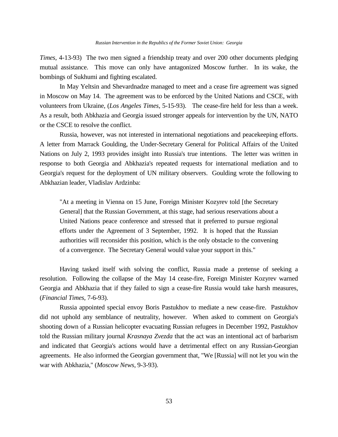*Times*, 4-13-93) The two men signed a friendship treaty and over 200 other documents pledging mutual assistance. This move can only have antagonized Moscow further. In its wake, the bombings of Sukhumi and fighting escalated.

In May Yeltsin and Shevardnadze managed to meet and a cease fire agreement was signed in Moscow on May 14. The agreement was to be enforced by the United Nations and CSCE, with volunteers from Ukraine, (*Los Angeles Times*, 5-15-93). The cease-fire held for less than a week. As a result, both Abkhazia and Georgia issued stronger appeals for intervention by the UN, NATO or the CSCE to resolve the conflict.

Russia, however, was not interested in international negotiations and peacekeeping efforts. A letter from Marrack Goulding, the Under-Secretary General for Political Affairs of the United Nations on July 2, 1993 provides insight into Russia's true intentions. The letter was written in response to both Georgia and Abkhazia's repeated requests for international mediation and to Georgia's request for the deployment of UN military observers. Goulding wrote the following to Abkhazian leader, Vladislav Ardzinba:

"At a meeting in Vienna on 15 June, Foreign Minister Kozyrev told [the Secretary General] that the Russian Government, at this stage, had serious reservations about a United Nations peace conference and stressed that it preferred to pursue regional efforts under the Agreement of 3 September, 1992. It is hoped that the Russian authorities will reconsider this position, which is the only obstacle to the convening of a convergence. The Secretary General would value your support in this."

Having tasked itself with solving the conflict, Russia made a pretense of seeking a resolution. Following the collapse of the May 14 cease-fire, Foreign Minister Kozyrev warned Georgia and Abkhazia that if they failed to sign a cease-fire Russia would take harsh measures, (*Financial Times*, 7-6-93).

Russia appointed special envoy Boris Pastukhov to mediate a new cease-fire. Pastukhov did not uphold any semblance of neutrality, however. When asked to comment on Georgia's shooting down of a Russian helicopter evacuating Russian refugees in December 1992, Pastukhov told the Russian military journal *Krasnaya Zvezda* that the act was an intentional act of barbarism and indicated that Georgia's actions would have a detrimental effect on any Russian-Georgian agreements. He also informed the Georgian government that, "We [Russia] will not let you win the war with Abkhazia," (*Moscow News*, 9-3-93).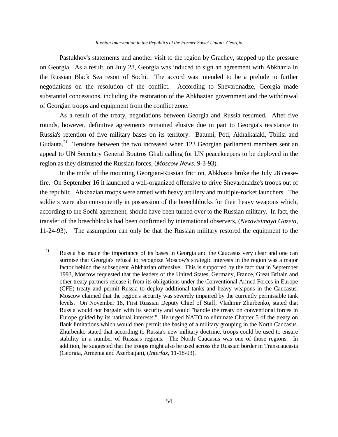Pastukhov's statements and another visit to the region by Grachev, stepped up the pressure on Georgia. As a result, on July 28, Georgia was induced to sign an agreement with Abkhazia in the Russian Black Sea resort of Sochi. The accord was intended to be a prelude to further negotiations on the resolution of the conflict. According to Shevardnadze, Georgia made substantial concessions, including the restoration of the Abkhazian government and the withdrawal of Georgian troops and equipment from the conflict zone.

As a result of the treaty, negotiations between Georgia and Russia resumed. After five rounds, however, definitive agreements remained elusive due in part to Georgia's resistance to Russia's retention of five military bases on its territory: Batumi, Poti, Akhalkalaki, Tbilisi and Gudauta.<sup>21</sup> Tensions between the two increased when 123 Georgian parliament members sent an appeal to UN Secretary General Boutros Ghali calling for UN peacekeepers to be deployed in the region as they distrusted the Russian forces, (*Moscow News*, 9-3-93).

In the midst of the mounting Georgian-Russian friction, Abkhazia broke the July 28 ceasefire. On September 16 it launched a well-organized offensive to drive Shevardnadze's troops out of the republic. Abkhazian troops were armed with heavy artillery and multiple-rocket launchers. The soldiers were also conveniently in possession of the breechblocks for their heavy weapons which, according to the Sochi agreement, should have been turned over to the Russian military. In fact, the transfer of the breechblocks had been confirmed by international observers, (*Nezavisimaya Gazeta*, 11-24-93). The assumption can only be that the Russian military restored the equipment to the

L,

<sup>&</sup>lt;sup>21</sup> Russia has made the importance of its bases in Georgia and the Caucasus very clear and one can surmise that Georgia's refusal to recognize Moscow's strategic interests in the region was a major factor behind the subsequent Abkhazian offensive. This is supported by the fact that in September 1993, Moscow requested that the leaders of the United States, Germany, France, Great Britain and other treaty partners release it from its obligations under the Conventional Armed Forces in Europe (CFE) treaty and permit Russia to deploy additional tanks and heavy weapons in the Caucasus. Moscow claimed that the region's security was severely impaired by the currently permissible tank levels. On November 18, First Russian Deputy Chief of Staff, Vladimir Zhurbenko, stated that Russia would not bargain with its security and would "handle the treaty on conventional forces in Europe guided by its national interests." He urged NATO to eliminate Chapter 5 of the treaty on flank limitations which would then permit the basing of a military grouping in the North Caucasus. Zhurbenko stated that according to Russia's new military doctrine, troops could be used to ensure stability in a number of Russia's regions. The North Caucasus was one of those regions. In addition, he suggested that the troops might also be used across the Russian border in Transcaucasia (Georgia, Armenia and Azerbaijan), (*Interfax,* 11-18-93).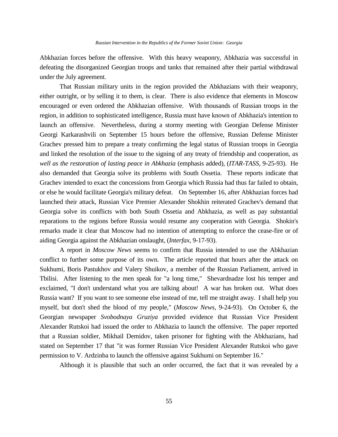Abkhazian forces before the offensive. With this heavy weaponry, Abkhazia was successful in defeating the disorganized Georgian troops and tanks that remained after their partial withdrawal under the July agreement.

That Russian military units in the region provided the Abkhazians with their weaponry, either outright, or by selling it to them, is clear. There is also evidence that elements in Moscow encouraged or even ordered the Abkhazian offensive. With thousands of Russian troops in the region, in addition to sophisticated intelligence, Russia must have known of Abkhazia's intention to launch an offensive. Nevertheless, during a stormy meeting with Georgian Defense Minister Georgi Karkarashvili on September 15 hours before the offensive, Russian Defense Minister Grachev pressed him to prepare a treaty confirming the legal status of Russian troops in Georgia and linked the resolution of the issue to the signing of any treaty of friendship and cooperation, *as well as the restoration of lasting peace in Abkhazia* (emphasis added), (*ITAR-TASS*, 9-25-93). He also demanded that Georgia solve its problems with South Ossetia. These reports indicate that Grachev intended to exact the concessions from Georgia which Russia had thus far failed to obtain, or else he would facilitate Georgia's military defeat. On September 16, after Abkhazian forces had launched their attack, Russian Vice Premier Alexander Shokhin reiterated Grachev's demand that Georgia solve its conflicts with both South Ossetia and Abkhazia, as well as pay substantial reparations to the regions before Russia would resume any cooperation with Georgia. Shokin's remarks made it clear that Moscow had no intention of attempting to enforce the cease-fire or of aiding Georgia against the Abkhazian onslaught, (*Interfax*, 9-17-93).

A report in *Moscow News* seems to confirm that Russia intended to use the Abkhazian conflict to further some purpose of its own. The article reported that hours after the attack on Sukhumi, Boris Pastukhov and Valery Shuikov, a member of the Russian Parliament, arrived in Tbilisi. After listening to the men speak for "a long time," Shevardnadze lost his temper and exclaimed, "I don't understand what you are talking about! A war has broken out. What does Russia want? If you want to see someone else instead of me, tell me straight away. I shall help you myself, but don't shed the blood of my people," (*Moscow News*, 9-24-93). On October 6, the Georgian newspaper *Svobodnaya Gruziya* provided evidence that Russian Vice President Alexander Rutskoi had issued the order to Abkhazia to launch the offensive. The paper reported that a Russian soldier, Mikhail Demidov, taken prisoner for fighting with the Abkhazians, had stated on September 17 that "it was former Russian Vice President Alexander Rutskoi who gave permission to V. Ardzinba to launch the offensive against Sukhumi on September 16."

Although it is plausible that such an order occurred, the fact that it was revealed by a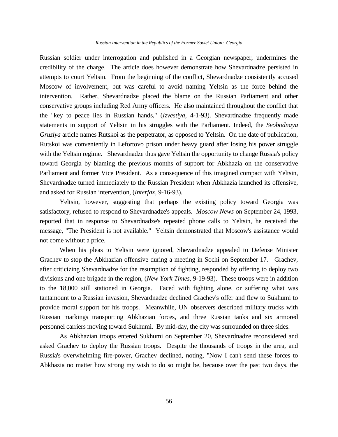#### *Russian Intervention in the Republics of the Former Soviet Union: Georgia*

Russian soldier under interrogation and published in a Georgian newspaper, undermines the credibility of the charge. The article does however demonstrate how Shevardnadze persisted in attempts to court Yeltsin. From the beginning of the conflict, Shevardnadze consistently accused Moscow of involvement, but was careful to avoid naming Yeltsin as the force behind the intervention. Rather, Shevardnadze placed the blame on the Russian Parliament and other conservative groups including Red Army officers. He also maintained throughout the conflict that the "key to peace lies in Russian hands," (*Izvestiya*, 4-1-93). Shevardnadze frequently made statements in support of Yeltsin in his struggles with the Parliament. Indeed, the *Svobodnaya Gruziya* article names Rutskoi as the perpetrator, as opposed to Yeltsin. On the date of publication, Rutskoi was conveniently in Lefortovo prison under heavy guard after losing his power struggle with the Yeltsin regime. Shevardnadze thus gave Yeltsin the opportunity to change Russia's policy toward Georgia by blaming the previous months of support for Abkhazia on the conservative Parliament and former Vice President. As a consequence of this imagined compact with Yeltsin, Shevardnadze turned immediately to the Russian President when Abkhazia launched its offensive, and asked for Russian intervention, (*Interfax*, 9-16-93).

Yeltsin, however, suggesting that perhaps the existing policy toward Georgia was satisfactory, refused to respond to Shevardnadze's appeals. *Moscow News* on September 24, 1993, reported that in response to Shevardnadze's repeated phone calls to Yeltsin, he received the message, "The President is not available." Yeltsin demonstrated that Moscow's assistance would not come without a price.

When his pleas to Yeltsin were ignored, Shevardnadze appealed to Defense Minister Grachev to stop the Abkhazian offensive during a meeting in Sochi on September 17. Grachev, after criticizing Shevardnadze for the resumption of fighting, responded by offering to deploy two divisions and one brigade in the region, (*New York Times*, 9-19-93). These troops were in addition to the 18,000 still stationed in Georgia. Faced with fighting alone, or suffering what was tantamount to a Russian invasion, Shevardnadze declined Grachev's offer and flew to Sukhumi to provide moral support for his troops. Meanwhile, UN observers described military trucks with Russian markings transporting Abkhazian forces, and three Russian tanks and six armored personnel carriers moving toward Sukhumi. By mid-day, the city was surrounded on three sides.

As Abkhazian troops entered Sukhumi on September 20, Shevardnadze reconsidered and asked Grachev to deploy the Russian troops. Despite the thousands of troops in the area, and Russia's overwhelming fire-power, Grachev declined, noting, "Now I can't send these forces to Abkhazia no matter how strong my wish to do so might be, because over the past two days, the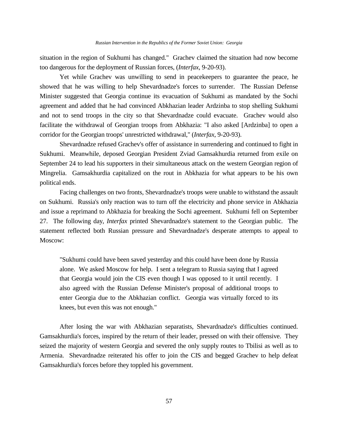situation in the region of Sukhumi has changed." Grachev claimed the situation had now become too dangerous for the deployment of Russian forces, (*Interfax*, 9-20-93).

Yet while Grachev was unwilling to send in peacekeepers to guarantee the peace, he showed that he was willing to help Shevardnadze's forces to surrender. The Russian Defense Minister suggested that Georgia continue its evacuation of Sukhumi as mandated by the Sochi agreement and added that he had convinced Abkhazian leader Ardzinba to stop shelling Sukhumi and not to send troops in the city so that Shevardnadze could evacuate. Grachev would also facilitate the withdrawal of Georgian troops from Abkhazia: "I also asked [Ardzinba] to open a corridor for the Georgian troops' unrestricted withdrawal," (*Interfax*, 9-20-93).

Shevardnadze refused Grachev's offer of assistance in surrendering and continued to fight in Sukhumi. Meanwhile, deposed Georgian President Zviad Gamsakhurdia returned from exile on September 24 to lead his supporters in their simultaneous attack on the western Georgian region of Mingrelia. Gamsakhurdia capitalized on the rout in Abkhazia for what appears to be his own political ends.

Facing challenges on two fronts, Shevardnadze's troops were unable to withstand the assault on Sukhumi. Russia's only reaction was to turn off the electricity and phone service in Abkhazia and issue a reprimand to Abkhazia for breaking the Sochi agreement. Sukhumi fell on September 27. The following day, *Interfax* printed Shevardnadze's statement to the Georgian public. The statement reflected both Russian pressure and Shevardnadze's desperate attempts to appeal to Moscow:

"Sukhumi could have been saved yesterday and this could have been done by Russia alone. We asked Moscow for help. I sent a telegram to Russia saying that I agreed that Georgia would join the CIS even though I was opposed to it until recently. I also agreed with the Russian Defense Minister's proposal of additional troops to enter Georgia due to the Abkhazian conflict. Georgia was virtually forced to its knees, but even this was not enough."

After losing the war with Abkhazian separatists, Shevardnadze's difficulties continued. Gamsakhurdia's forces, inspired by the return of their leader, pressed on with their offensive. They seized the majority of western Georgia and severed the only supply routes to Tbilisi as well as to Armenia. Shevardnadze reiterated his offer to join the CIS and begged Grachev to help defeat Gamsakhurdia's forces before they toppled his government.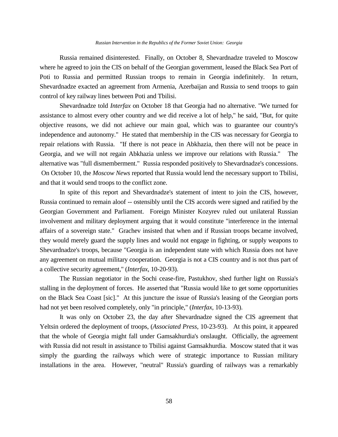Russia remained disinterested. Finally, on October 8, Shevardnadze traveled to Moscow where he agreed to join the CIS on behalf of the Georgian government, leased the Black Sea Port of Poti to Russia and permitted Russian troops to remain in Georgia indefinitely. In return, Shevardnadze exacted an agreement from Armenia, Azerbaijan and Russia to send troops to gain control of key railway lines between Poti and Tbilisi.

Shevardnadze told *Interfax* on October 18 that Georgia had no alternative. "We turned for assistance to almost every other country and we did receive a lot of help," he said, "But, for quite objective reasons, we did not achieve our main goal, which was to guarantee our country's independence and autonomy." He stated that membership in the CIS was necessary for Georgia to repair relations with Russia. "If there is not peace in Abkhazia, then there will not be peace in Georgia, and we will not regain Abkhazia unless we improve our relations with Russia." The alternative was "full dismemberment." Russia responded positively to Shevardnadze's concessions. On October 10, the *Moscow News* reported that Russia would lend the necessary support to Tbilisi, and that it would send troops to the conflict zone.

In spite of this report and Shevardnadze's statement of intent to join the CIS, however, Russia continued to remain aloof -- ostensibly until the CIS accords were signed and ratified by the Georgian Government and Parliament. Foreign Minister Kozyrev ruled out unilateral Russian involvement and military deployment arguing that it would constitute "interference in the internal affairs of a sovereign state." Grachev insisted that when and if Russian troops became involved, they would merely guard the supply lines and would not engage in fighting, or supply weapons to Shevardnadze's troops, because "Georgia is an independent state with which Russia does not have any agreement on mutual military cooperation. Georgia is not a CIS country and is not thus part of a collective security agreement," (*Interfax*, 10-20-93).

The Russian negotiator in the Sochi cease-fire, Pastukhov, shed further light on Russia's stalling in the deployment of forces. He asserted that "Russia would like to get some opportunities on the Black Sea Coast [sic]." At this juncture the issue of Russia's leasing of the Georgian ports had not yet been resolved completely, only "in principle," (*Interfax*, 10-13-93).

It was only on October 23, the day after Shevardnadze signed the CIS agreement that Yeltsin ordered the deployment of troops, (*Associated Press*, 10-23-93). At this point, it appeared that the whole of Georgia might fall under Gamsakhurdia's onslaught. Officially, the agreement with Russia did not result in assistance to Tbilisi against Gamsakhurdia. Moscow stated that it was simply the guarding the railways which were of strategic importance to Russian military installations in the area. However, "neutral" Russia's guarding of railways was a remarkably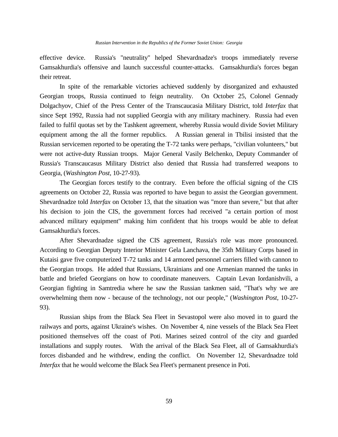effective device. Russia's "neutrality" helped Shevardnadze's troops immediately reverse Gamsakhurdia's offensive and launch successful counter-attacks. Gamsakhurdia's forces began their retreat.

In spite of the remarkable victories achieved suddenly by disorganized and exhausted Georgian troops, Russia continued to feign neutrality. On October 25, Colonel Gennady Dolgachyov, Chief of the Press Center of the Transcaucasia Military District, told *Interfax* that since Sept 1992, Russia had not supplied Georgia with any military machinery. Russia had even failed to fulfil quotas set by the Tashkent agreement, whereby Russia would divide Soviet Military equipment among the all the former republics. A Russian general in Tbilisi insisted that the Russian servicemen reported to be operating the T-72 tanks were perhaps, "civilian volunteers," but were not active-duty Russian troops. Major General Vasily Belchenko, Deputy Commander of Russia's Transcaucasus Military District also denied that Russia had transferred weapons to Georgia, (*Washington Post*, 10-27-93).

The Georgian forces testify to the contrary. Even before the official signing of the CIS agreements on October 22, Russia was reported to have begun to assist the Georgian government. Shevardnadze told *Interfax* on October 13, that the situation was "more than severe," but that after his decision to join the CIS, the government forces had received "a certain portion of most advanced military equipment" making him confident that his troops would be able to defeat Gamsakhurdia's forces.

After Shevardnadze signed the CIS agreement, Russia's role was more pronounced. According to Georgian Deputy Interior Minister Gela Lanchava, the 35th Military Corps based in Kutaisi gave five computerized T-72 tanks and 14 armored personnel carriers filled with cannon to the Georgian troops. He added that Russians, Ukrainians and one Armenian manned the tanks in battle and briefed Georgians on how to coordinate maneuvers. Captain Levan Iordanishvili, a Georgian fighting in Samtredia where he saw the Russian tankmen said, "That's why we are overwhelming them now - because of the technology, not our people," (*Washington Post*, 10-27- 93).

Russian ships from the Black Sea Fleet in Sevastopol were also moved in to guard the railways and ports, against Ukraine's wishes. On November 4, nine vessels of the Black Sea Fleet positioned themselves off the coast of Poti. Marines seized control of the city and guarded installations and supply routes. With the arrival of the Black Sea Fleet, all of Gamsakhurdia's forces disbanded and he withdrew, ending the conflict. On November 12, Shevardnadze told *Interfax* that he would welcome the Black Sea Fleet's permanent presence in Poti.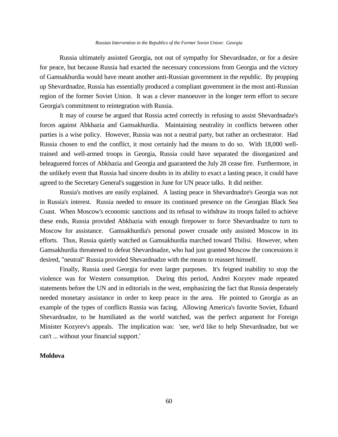Russia ultimately assisted Georgia, not out of sympathy for Shevardnadze, or for a desire for peace, but because Russia had exacted the necessary concessions from Georgia and the victory of Gamsakhurdia would have meant another anti-Russian government in the republic. By propping up Shevardnadze, Russia has essentially produced a compliant government in the most anti-Russian region of the former Soviet Union. It was a clever manoeuver in the longer term effort to secure Georgia's commitment to reintegration with Russia.

It may of course be argued that Russia acted correctly in refusing to assist Shevardnadze's forces against Abkhazia and Gamsakhurdia. Maintaining neutrality in conflicts between other parties is a wise policy. However, Russia was not a neutral party, but rather an orchestrator. Had Russia chosen to end the conflict, it most certainly had the means to do so. With 18,000 welltrained and well-armed troops in Georgia, Russia could have separated the disorganized and beleaguered forces of Abkhazia and Georgia and guaranteed the July 28 cease fire. Furthermore, in the unlikely event that Russia had sincere doubts in its ability to exact a lasting peace, it could have agreed to the Secretary General's suggestion in June for UN peace talks. It did neither.

Russia's motives are easily explained. A lasting peace in Shevardnadze's Georgia was not in Russia's interest. Russia needed to ensure its continued presence on the Georgian Black Sea Coast. When Moscow's economic sanctions and its refusal to withdraw its troops failed to achieve these ends, Russia provided Abkhazia with enough firepower to force Shevardnadze to turn to Moscow for assistance. Gamsakhurdia's personal power crusade only assisted Moscow in its efforts. Thus, Russia quietly watched as Gamsakhurdia marched toward Tbilisi. However, when Gamsakhurdia threatened to defeat Shevardnadze, who had just granted Moscow the concessions it desired, "neutral" Russia provided Shevardnadze with the means to reassert himself.

Finally, Russia used Georgia for even larger purposes. It's feigned inability to stop the violence was for Western consumption. During this period, Andrei Kozyrev made repeated statements before the UN and in editorials in the west, emphasizing the fact that Russia desperately needed monetary assistance in order to keep peace in the area. He pointed to Georgia as an example of the types of conflicts Russia was facing. Allowing America's favorite Soviet, Eduard Shevardnadze, to be humiliated as the world watched, was the perfect argument for Foreign Minister Kozyrev's appeals. The implication was: 'see, we'd like to help Shevardnadze, but we can't ... without your financial support.'

## **Moldova**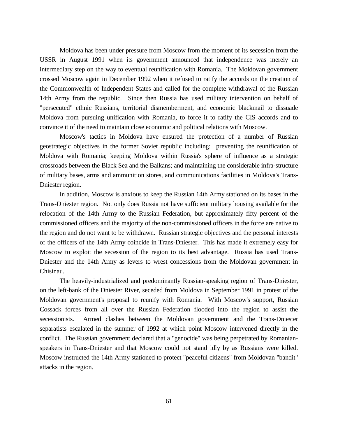Moldova has been under pressure from Moscow from the moment of its secession from the USSR in August 1991 when its government announced that independence was merely an intermediary step on the way to eventual reunification with Romania. The Moldovan government crossed Moscow again in December 1992 when it refused to ratify the accords on the creation of the Commonwealth of Independent States and called for the complete withdrawal of the Russian 14th Army from the republic. Since then Russia has used military intervention on behalf of "persecuted" ethnic Russians, territorial dismemberment, and economic blackmail to dissuade Moldova from pursuing unification with Romania, to force it to ratify the CIS accords and to convince it of the need to maintain close economic and political relations with Moscow.

Moscow's tactics in Moldova have ensured the protection of a number of Russian geostrategic objectives in the former Soviet republic including: preventing the reunification of Moldova with Romania; keeping Moldova within Russia's sphere of influence as a strategic crossroads between the Black Sea and the Balkans; and maintaining the considerable infra-structure of military bases, arms and ammunition stores, and communications facilities in Moldova's Trans-Dniester region.

In addition, Moscow is anxious to keep the Russian 14th Army stationed on its bases in the Trans-Dniester region. Not only does Russia not have sufficient military housing available for the relocation of the 14th Army to the Russian Federation, but approximately fifty percent of the commissioned officers and the majority of the non-commissioned officers in the force are native to the region and do not want to be withdrawn. Russian strategic objectives and the personal interests of the officers of the 14th Army coincide in Trans-Dniester. This has made it extremely easy for Moscow to exploit the secession of the region to its best advantage. Russia has used Trans-Dniester and the 14th Army as levers to wrest concessions from the Moldovan government in Chisinau.

The heavily-industrialized and predominantly Russian-speaking region of Trans-Dniester, on the left-bank of the Dniester River, seceded from Moldova in September 1991 in protest of the Moldovan government's proposal to reunify with Romania. With Moscow's support, Russian Cossack forces from all over the Russian Federation flooded into the region to assist the secessionists. Armed clashes between the Moldovan government and the Trans-Dniester separatists escalated in the summer of 1992 at which point Moscow intervened directly in the conflict. The Russian government declared that a "genocide" was being perpetrated by Romanianspeakers in Trans-Dniester and that Moscow could not stand idly by as Russians were killed. Moscow instructed the 14th Army stationed to protect "peaceful citizens" from Moldovan "bandit" attacks in the region.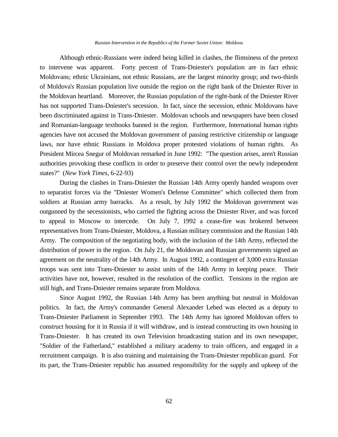#### *Russian Intervention in the Republics of the Former Soviet Union: Moldova*

Although ethnic-Russians were indeed being killed in clashes, the flimsiness of the pretext to intervene was apparent. Forty percent of Trans-Dniester's population are in fact ethnic Moldovans; ethnic Ukrainians, not ethnic Russians, are the largest minority group; and two-thirds of Moldova's Russian population live outside the region on the right bank of the Dniester River in the Moldovan heartland. Moreover, the Russian population of the right-bank of the Dniester River has not supported Trans-Dniester's secession. In fact, since the secession, ethnic Moldovans have been discriminated against in Trans-Dniester. Moldovan schools and newspapers have been closed and Romanian-language textbooks banned in the region. Furthermore, International human rights agencies have not accused the Moldovan government of passing restrictive citizenship or language laws, nor have ethnic Russians in Moldova proper protested violations of human rights. As President Mircea Snegur of Moldovan remarked in June 1992: "The question arises, aren't Russian authorities provoking these conflicts in order to preserve their control over the newly independent states?" (*New York Times*, 6-22-93)

During the clashes in Trans-Dniester the Russian 14th Army openly handed weapons over to separatist forces via the "Dniester Women's Defense Committee" which collected them from soldiers at Russian army barracks. As a result, by July 1992 the Moldovan government was outgunned by the secessionists, who carried the fighting across the Dniester River, and was forced to appeal to Moscow to intercede. On July 7, 1992 a cease-fire was brokered between representatives from Trans-Dniester, Moldova, a Russian military commission and the Russian 14th Army. The composition of the negotiating body, with the inclusion of the 14th Army, reflected the distribution of power in the region. On July 21, the Moldovan and Russian governments signed an agreement on the neutrality of the 14th Army. In August 1992, a contingent of 3,000 extra Russian troops was sent into Trans-Dniester to assist units of the 14th Army in keeping peace. Their activities have not, however, resulted in the resolution of the conflict. Tensions in the region are still high, and Trans-Dniester remains separate from Moldova.

Since August 1992, the Russian 14th Army has been anything but neutral in Moldovan politics. In fact, the Army's commander General Alexander Lebed was elected as a deputy to Trans-Dniester Parliament in September 1993. The 14th Army has ignored Moldovan offers to construct housing for it in Russia if it will withdraw, and is instead constructing its own housing in Trans-Dniester. It has created its own Television broadcasting station and its own newspaper, "Soldier of the Fatherland," established a military academy to train officers, and engaged in a recruitment campaign. It is also training and maintaining the Trans-Dniester republican guard. For its part, the Trans-Dniester republic has assumed responsibility for the supply and upkeep of the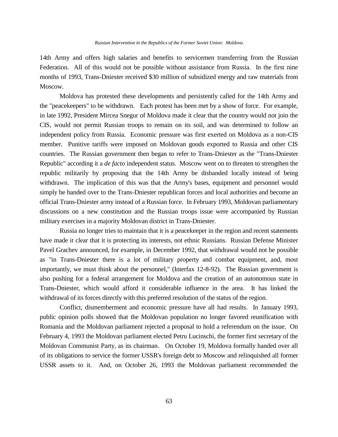14th Army and offers high salaries and benefits to servicemen transferring from the Russian Federation. All of this would not be possible without assistance from Russia. In the first nine months of 1993, Trans-Dniester received \$30 million of subsidized energy and raw materials from Moscow.

Moldova has protested these developments and persistently called for the 14th Army and the "peacekeepers" to be withdrawn. Each protest has been met by a show of force. For example, in late 1992, President Mircea Snegur of Moldova made it clear that the country would not join the CIS, would not permit Russian troops to remain on its soil, and was determined to follow an independent policy from Russia. Economic pressure was first exerted on Moldova as a non-CIS member. Punitive tariffs were imposed on Moldovan goods exported to Russia and other CIS countries. The Russian government then began to refer to Trans-Dniester as the "Trans-Dniester Republic" according it a *de facto* independent status. Moscow went on to threaten to strengthen the republic militarily by proposing that the 14th Army be disbanded locally instead of being withdrawn. The implication of this was that the Army's bases, equipment and personnel would simply be handed over to the Trans-Dniester republican forces and local authorities and become an official Trans-Dniester army instead of a Russian force. In February 1993, Moldovan parliamentary discussions on a new constitution and the Russian troops issue were accompanied by Russian military exercises in a majority Moldovan district in Trans-Dniester.

Russia no longer tries to maintain that it is a peacekeeper in the region and recent statements have made it clear that it is protecting its interests, not ethnic Russians. Russian Defense Minister Pavel Grachev announced, for example, in December 1992, that withdrawal would not be possible as "in Trans-Dniester there is a lot of military property and combat equipment, and, most importantly, we must think about the personnel," (Interfax 12-8-92). The Russian government is also pushing for a federal arrangement for Moldova and the creation of an autonomous state in Trans-Dniester, which would afford it considerable influence in the area. It has linked the withdrawal of its forces directly with this preferred resolution of the status of the region.

Conflict, dismemberment and economic pressure have all had results. In January 1993, public opinion polls showed that the Moldovan population no longer favored reunification with Romania and the Moldovan parliament rejected a proposal to hold a referendum on the issue. On February 4, 1993 the Moldovan parliament elected Petru Lucinschi, the former first secretary of the Moldovan Communist Party, as its chairman. On October 19, Moldova formally handed over all of its obligations to service the former USSR's foreign debt to Moscow and relinquished all former USSR assets to it. And, on October 26, 1993 the Moldovan parliament recommended the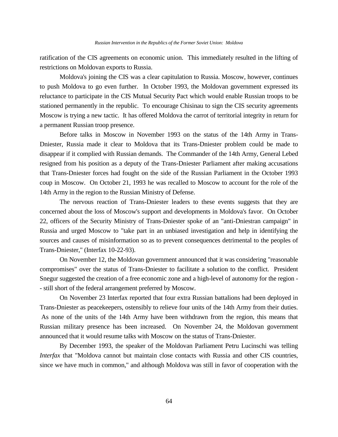ratification of the CIS agreements on economic union. This immediately resulted in the lifting of restrictions on Moldovan exports to Russia.

Moldova's joining the CIS was a clear capitulation to Russia. Moscow, however, continues to push Moldova to go even further. In October 1993, the Moldovan government expressed its reluctance to participate in the CIS Mutual Security Pact which would enable Russian troops to be stationed permanently in the republic. To encourage Chisinau to sign the CIS security agreements Moscow is trying a new tactic. It has offered Moldova the carrot of territorial integrity in return for a permanent Russian troop presence.

Before talks in Moscow in November 1993 on the status of the 14th Army in Trans-Dniester, Russia made it clear to Moldova that its Trans-Dniester problem could be made to disappear if it complied with Russian demands. The Commander of the 14th Army, General Lebed resigned from his position as a deputy of the Trans-Dniester Parliament after making accusations that Trans-Dniester forces had fought on the side of the Russian Parliament in the October 1993 coup in Moscow. On October 21, 1993 he was recalled to Moscow to account for the role of the 14th Army in the region to the Russian Ministry of Defense.

The nervous reaction of Trans-Dniester leaders to these events suggests that they are concerned about the loss of Moscow's support and developments in Moldova's favor. On October 22, officers of the Security Ministry of Trans-Dniester spoke of an "anti-Dniestran campaign" in Russia and urged Moscow to "take part in an unbiased investigation and help in identifying the sources and causes of misinformation so as to prevent consequences detrimental to the peoples of Trans-Dniester," (Interfax 10-22-93).

On November 12, the Moldovan government announced that it was considering "reasonable compromises" over the status of Trans-Dniester to facilitate a solution to the conflict. President Snegur suggested the creation of a free economic zone and a high-level of autonomy for the region - - still short of the federal arrangement preferred by Moscow.

On November 23 Interfax reported that four extra Russian battalions had been deployed in Trans-Dniester as peacekeepers, ostensibly to relieve four units of the 14th Army from their duties. As none of the units of the 14th Army have been withdrawn from the region, this means that Russian military presence has been increased. On November 24, the Moldovan government announced that it would resume talks with Moscow on the status of Trans-Dniester.

By December 1993, the speaker of the Moldovan Parliament Petru Lucinschi was telling *Interfax* that "Moldova cannot but maintain close contacts with Russia and other CIS countries, since we have much in common," and although Moldova was still in favor of cooperation with the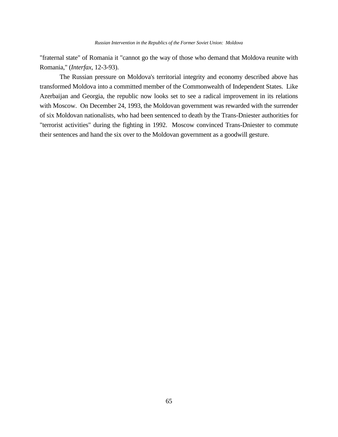"fraternal state" of Romania it "cannot go the way of those who demand that Moldova reunite with Romania," (*Interfax*, 12-3-93).

The Russian pressure on Moldova's territorial integrity and economy described above has transformed Moldova into a committed member of the Commonwealth of Independent States. Like Azerbaijan and Georgia, the republic now looks set to see a radical improvement in its relations with Moscow. On December 24, 1993, the Moldovan government was rewarded with the surrender of six Moldovan nationalists, who had been sentenced to death by the Trans-Dniester authorities for "terrorist activities" during the fighting in 1992. Moscow convinced Trans-Dniester to commute their sentences and hand the six over to the Moldovan government as a goodwill gesture.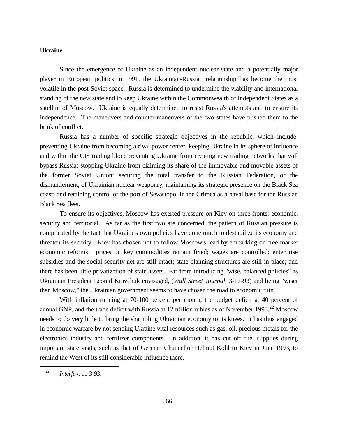# **Ukraine**

Since the emergence of Ukraine as an independent nuclear state and a potentially major player in European politics in 1991, the Ukrainian-Russian relationship has become the most volatile in the post-Soviet space. Russia is determined to undermine the viability and international standing of the new state and to keep Ukraine within the Commonwealth of Independent States as a satellite of Moscow. Ukraine is equally determined to resist Russia's attempts and to ensure its independence. The maneuvers and counter-maneuvers of the two states have pushed them to the brink of conflict.

Russia has a number of specific strategic objectives in the republic, which include: preventing Ukraine from becoming a rival power center; keeping Ukraine in its sphere of influence and within the CIS trading bloc; preventing Ukraine from creating new trading networks that will bypass Russia; stopping Ukraine from claiming its share of the immovable and movable assets of the former Soviet Union; securing the total transfer to the Russian Federation, or the dismantlement, of Ukrainian nuclear weaponry; maintaining its strategic presence on the Black Sea coast; and retaining control of the port of Sevastopol in the Crimea as a naval base for the Russian Black Sea fleet.

To ensure its objectives, Moscow has exerted pressure on Kiev on three fronts: economic, security and territorial. As far as the first two are concerned, the pattern of Russian pressure is complicated by the fact that Ukraine's own policies have done much to destabilize its economy and threaten its security. Kiev has chosen not to follow Moscow's lead by embarking on free market economic reforms: prices on key commodities remain fixed; wages are controlled; enterprise subsidies and the social security net are still intact; state planning structures are still in place; and there has been little privatization of state assets. Far from introducing "wise, balanced policies" as Ukrainian President Leonid Kravchuk envisaged, (*Wall Street Journal*, 3-17-93) and being "wiser than Moscow," the Ukrainian government seems to have chosen the road to economic ruin.

With inflation running at 70-100 percent per month, the budget deficit at 40 percent of annual GNP, and the trade deficit with Russia at 12 trillion rubles as of November 1993,  $^{22}$  Moscow needs to do very little to bring the shambling Ukrainian economy to its knees. It has thus engaged in economic warfare by not sending Ukraine vital resources such as gas, oil, precious metals for the electronics industry and fertilizer components. In addition, it has cut off fuel supplies during important state visits, such as that of German Chancellor Helmut Kohl to Kiev in June 1993, to remind the West of its still considerable influence there.

<sup>22</sup> *Interfax*, 11-3-93.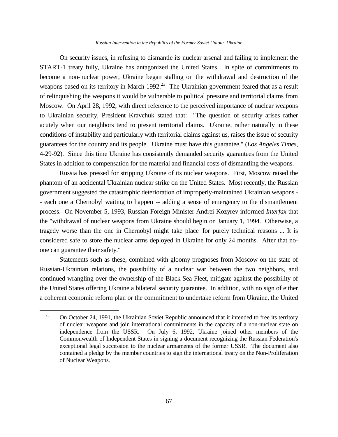#### *Russian Intervention in the Republics of the Former Soviet Union: Ukraine*

On security issues, in refusing to dismantle its nuclear arsenal and failing to implement the START-1 treaty fully, Ukraine has antagonized the United States. In spite of commitments to become a non-nuclear power, Ukraine began stalling on the withdrawal and destruction of the weapons based on its territory in March  $1992$ <sup>23</sup> The Ukrainian government feared that as a result of relinquishing the weapons it would be vulnerable to political pressure and territorial claims from Moscow. On April 28, 1992, with direct reference to the perceived importance of nuclear weapons to Ukrainian security, President Kravchuk stated that: "The question of security arises rather acutely when our neighbors tend to present territorial claims. Ukraine, rather naturally in these conditions of instability and particularly with territorial claims against us, raises the issue of security guarantees for the country and its people. Ukraine must have this guarantee," (*Los Angeles Times*, 4-29-92). Since this time Ukraine has consistently demanded security guarantees from the United States in addition to compensation for the material and financial costs of dismantling the weapons.

Russia has pressed for stripping Ukraine of its nuclear weapons. First, Moscow raised the phantom of an accidental Ukrainian nuclear strike on the United States. Most recently, the Russian government suggested the catastrophic deterioration of improperly-maintained Ukrainian weapons - - each one a Chernobyl waiting to happen -- adding a sense of emergency to the dismantlement process. On November 5, 1993, Russian Foreign Minister Andrei Kozyrev informed *Interfax* that the "withdrawal of nuclear weapons from Ukraine should begin on January 1, 1994. Otherwise, a tragedy worse than the one in Chernobyl might take place 'for purely technical reasons ... It is considered safe to store the nuclear arms deployed in Ukraine for only 24 months. After that noone can guarantee their safety."

Statements such as these, combined with gloomy prognoses from Moscow on the state of Russian-Ukrainian relations, the possibility of a nuclear war between the two neighbors, and continued wrangling over the ownership of the Black Sea Fleet, mitigate against the possibility of the United States offering Ukraine a bilateral security guarantee. In addition, with no sign of either a coherent economic reform plan or the commitment to undertake reform from Ukraine, the United

L,

<sup>&</sup>lt;sup>23</sup> On October 24, 1991, the Ukrainian Soviet Republic announced that it intended to free its territory of nuclear weapons and join international commitments in the capacity of a non-nuclear state on independence from the USSR. On July 6, 1992, Ukraine joined other members of the Commonwealth of Independent States in signing a document recognizing the Russian Federation's exceptional legal succession to the nuclear armaments of the former USSR. The document also contained a pledge by the member countries to sign the international treaty on the Non-Proliferation of Nuclear Weapons.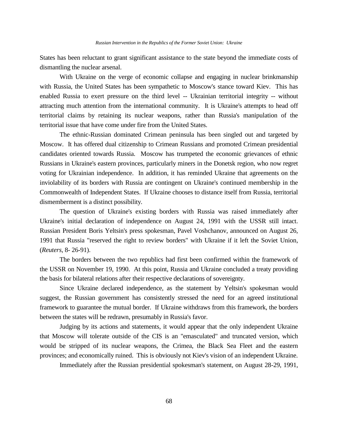States has been reluctant to grant significant assistance to the state beyond the immediate costs of dismantling the nuclear arsenal.

With Ukraine on the verge of economic collapse and engaging in nuclear brinkmanship with Russia, the United States has been sympathetic to Moscow's stance toward Kiev. This has enabled Russia to exert pressure on the third level -- Ukrainian territorial integrity -- without attracting much attention from the international community. It is Ukraine's attempts to head off territorial claims by retaining its nuclear weapons, rather than Russia's manipulation of the territorial issue that have come under fire from the United States.

The ethnic-Russian dominated Crimean peninsula has been singled out and targeted by Moscow. It has offered dual citizenship to Crimean Russians and promoted Crimean presidential candidates oriented towards Russia. Moscow has trumpeted the economic grievances of ethnic Russians in Ukraine's eastern provinces, particularly miners in the Donetsk region, who now regret voting for Ukrainian independence. In addition, it has reminded Ukraine that agreements on the inviolability of its borders with Russia are contingent on Ukraine's continued membership in the Commonwealth of Independent States. If Ukraine chooses to distance itself from Russia, territorial dismemberment is a distinct possibility.

The question of Ukraine's existing borders with Russia was raised immediately after Ukraine's initial declaration of independence on August 24, 1991 with the USSR still intact. Russian President Boris Yeltsin's press spokesman, Pavel Voshchanov, announced on August 26, 1991 that Russia "reserved the right to review borders" with Ukraine if it left the Soviet Union, (*Reuters*, 8- 26-91).

The borders between the two republics had first been confirmed within the framework of the USSR on November 19, 1990. At this point, Russia and Ukraine concluded a treaty providing the basis for bilateral relations after their respective declarations of sovereignty.

Since Ukraine declared independence, as the statement by Yeltsin's spokesman would suggest, the Russian government has consistently stressed the need for an agreed institutional framework to guarantee the mutual border. If Ukraine withdraws from this framework, the borders between the states will be redrawn, presumably in Russia's favor.

Judging by its actions and statements, it would appear that the only independent Ukraine that Moscow will tolerate outside of the CIS is an "emasculated" and truncated version, which would be stripped of its nuclear weapons, the Crimea, the Black Sea Fleet and the eastern provinces; and economically ruined. This is obviously not Kiev's vision of an independent Ukraine.

Immediately after the Russian presidential spokesman's statement, on August 28-29, 1991,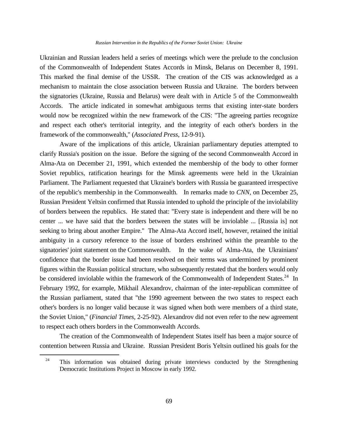#### *Russian Intervention in the Republics of the Former Soviet Union: Ukraine*

Ukrainian and Russian leaders held a series of meetings which were the prelude to the conclusion of the Commonwealth of Independent States Accords in Minsk, Belarus on December 8, 1991. This marked the final demise of the USSR. The creation of the CIS was acknowledged as a mechanism to maintain the close association between Russia and Ukraine. The borders between the signatories (Ukraine, Russia and Belarus) were dealt with in Article 5 of the Commonwealth Accords. The article indicated in somewhat ambiguous terms that existing inter-state borders would now be recognized within the new framework of the CIS: "The agreeing parties recognize and respect each other's territorial integrity, and the integrity of each other's borders in the framework of the commonwealth," (*Associated Press*, 12-9-91).

Aware of the implications of this article, Ukrainian parliamentary deputies attempted to clarify Russia's position on the issue. Before the signing of the second Commonwealth Accord in Alma-Ata on December 21, 1991, which extended the membership of the body to other former Soviet republics, ratification hearings for the Minsk agreements were held in the Ukrainian Parliament. The Parliament requested that Ukraine's borders with Russia be guaranteed irrespective of the republic's membership in the Commonwealth. In remarks made to *CNN*, on December 25, Russian President Yeltsin confirmed that Russia intended to uphold the principle of the inviolability of borders between the republics. He stated that: "Every state is independent and there will be no center ... we have said that the borders between the states will be inviolable ... [Russia is] not seeking to bring about another Empire." The Alma-Ata Accord itself, however, retained the initial ambiguity in a cursory reference to the issue of borders enshrined within the preamble to the signatories' joint statement on the Commonwealth. In the wake of Alma-Ata, the Ukrainians' confidence that the border issue had been resolved on their terms was undermined by prominent figures within the Russian political structure, who subsequently restated that the borders would only be considered inviolable within the framework of the Commonwealth of Independent States.<sup>24</sup> In February 1992, for example, Mikhail Alexandrov, chairman of the inter-republican committee of the Russian parliament, stated that "the 1990 agreement between the two states to respect each other's borders is no longer valid because it was signed when both were members of a third state, the Soviet Union," (*Financial Times*, 2-25-92). Alexandrov did not even refer to the new agreement to respect each others borders in the Commonwealth Accords.

The creation of the Commonwealth of Independent States itself has been a major source of contention between Russia and Ukraine. Russian President Boris Yeltsin outlined his goals for the

i<br>L

 $24$  This information was obtained during private interviews conducted by the Strengthening Democratic Institutions Project in Moscow in early 1992.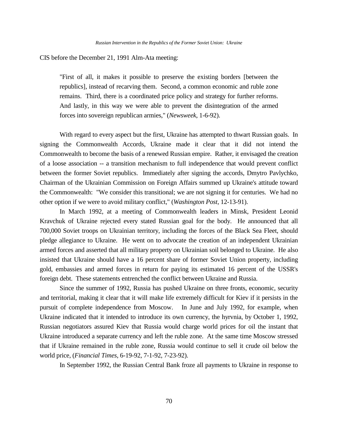CIS before the December 21, 1991 Alm-Ata meeting:

"First of all, it makes it possible to preserve the existing borders [between the republics], instead of recarving them. Second, a common economic and ruble zone remains. Third, there is a coordinated price policy and strategy for further reforms. And lastly, in this way we were able to prevent the disintegration of the armed forces into sovereign republican armies," (*Newsweek*, 1-6-92).

With regard to every aspect but the first, Ukraine has attempted to thwart Russian goals. In signing the Commonwealth Accords, Ukraine made it clear that it did not intend the Commonwealth to become the basis of a renewed Russian empire. Rather, it envisaged the creation of a loose association -- a transition mechanism to full independence that would prevent conflict between the former Soviet republics. Immediately after signing the accords, Dmytro Pavlychko, Chairman of the Ukrainian Commission on Foreign Affairs summed up Ukraine's attitude toward the Commonwealth: "We consider this transitional; we are not signing it for centuries. We had no other option if we were to avoid military conflict," (*Washington Post*, 12-13-91).

In March 1992, at a meeting of Commonwealth leaders in Minsk, President Leonid Kravchuk of Ukraine rejected every stated Russian goal for the body. He announced that all 700,000 Soviet troops on Ukrainian territory, including the forces of the Black Sea Fleet, should pledge allegiance to Ukraine. He went on to advocate the creation of an independent Ukrainian armed forces and asserted that all military property on Ukrainian soil belonged to Ukraine. He also insisted that Ukraine should have a 16 percent share of former Soviet Union property, including gold, embassies and armed forces in return for paying its estimated 16 percent of the USSR's foreign debt. These statements entrenched the conflict between Ukraine and Russia.

Since the summer of 1992, Russia has pushed Ukraine on three fronts, economic, security and territorial, making it clear that it will make life extremely difficult for Kiev if it persists in the pursuit of complete independence from Moscow. In June and July 1992, for example, when Ukraine indicated that it intended to introduce its own currency, the hyrvnia, by October 1, 1992, Russian negotiators assured Kiev that Russia would charge world prices for oil the instant that Ukraine introduced a separate currency and left the ruble zone. At the same time Moscow stressed that if Ukraine remained in the ruble zone, Russia would continue to sell it crude oil below the world price, (*Financial Times*, 6-19-92, 7-1-92, 7-23-92).

In September 1992, the Russian Central Bank froze all payments to Ukraine in response to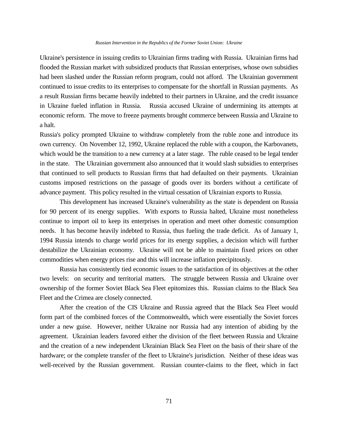## *Russian Intervention in the Republics of the Former Soviet Union: Ukraine*

Ukraine's persistence in issuing credits to Ukrainian firms trading with Russia. Ukrainian firms had flooded the Russian market with subsidized products that Russian enterprises, whose own subsidies had been slashed under the Russian reform program, could not afford. The Ukrainian government continued to issue credits to its enterprises to compensate for the shortfall in Russian payments. As a result Russian firms became heavily indebted to their partners in Ukraine, and the credit issuance in Ukraine fueled inflation in Russia. Russia accused Ukraine of undermining its attempts at economic reform. The move to freeze payments brought commerce between Russia and Ukraine to a halt.

Russia's policy prompted Ukraine to withdraw completely from the ruble zone and introduce its own currency. On November 12, 1992, Ukraine replaced the ruble with a coupon, the Karbovanets, which would be the transition to a new currency at a later stage. The ruble ceased to be legal tender in the state. The Ukrainian government also announced that it would slash subsidies to enterprises that continued to sell products to Russian firms that had defaulted on their payments. Ukrainian customs imposed restrictions on the passage of goods over its borders without a certificate of advance payment. This policy resulted in the virtual cessation of Ukrainian exports to Russia.

This development has increased Ukraine's vulnerability as the state is dependent on Russia for 90 percent of its energy supplies. With exports to Russia halted, Ukraine must nonetheless continue to import oil to keep its enterprises in operation and meet other domestic consumption needs. It has become heavily indebted to Russia, thus fueling the trade deficit. As of January 1, 1994 Russia intends to charge world prices for its energy supplies, a decision which will further destabilize the Ukrainian economy. Ukraine will not be able to maintain fixed prices on other commodities when energy prices rise and this will increase inflation precipitously.

Russia has consistently tied economic issues to the satisfaction of its objectives at the other two levels: on security and territorial matters. The struggle between Russia and Ukraine over ownership of the former Soviet Black Sea Fleet epitomizes this. Russian claims to the Black Sea Fleet and the Crimea are closely connected.

After the creation of the CIS Ukraine and Russia agreed that the Black Sea Fleet would form part of the combined forces of the Commonwealth, which were essentially the Soviet forces under a new guise. However, neither Ukraine nor Russia had any intention of abiding by the agreement. Ukrainian leaders favored either the division of the fleet between Russia and Ukraine and the creation of a new independent Ukrainian Black Sea Fleet on the basis of their share of the hardware; or the complete transfer of the fleet to Ukraine's jurisdiction. Neither of these ideas was well-received by the Russian government. Russian counter-claims to the fleet, which in fact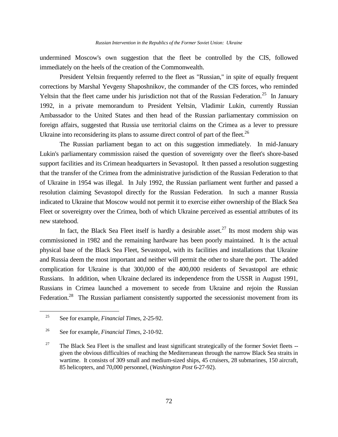undermined Moscow's own suggestion that the fleet be controlled by the CIS, followed immediately on the heels of the creation of the Commonwealth.

President Yeltsin frequently referred to the fleet as "Russian," in spite of equally frequent corrections by Marshal Yevgeny Shaposhnikov, the commander of the CIS forces, who reminded Yeltsin that the fleet came under his jurisdiction not that of the Russian Federation.<sup>25</sup> In January 1992, in a private memorandum to President Yeltsin, Vladimir Lukin, currently Russian Ambassador to the United States and then head of the Russian parliamentary commission on foreign affairs, suggested that Russia use territorial claims on the Crimea as a lever to pressure Ukraine into reconsidering its plans to assume direct control of part of the fleet. $^{26}$ 

The Russian parliament began to act on this suggestion immediately. In mid-January Lukin's parliamentary commission raised the question of sovereignty over the fleet's shore-based support facilities and its Crimean headquarters in Sevastopol. It then passed a resolution suggesting that the transfer of the Crimea from the administrative jurisdiction of the Russian Federation to that of Ukraine in 1954 was illegal. In July 1992, the Russian parliament went further and passed a resolution claiming Sevastopol directly for the Russian Federation. In such a manner Russia indicated to Ukraine that Moscow would not permit it to exercise either ownership of the Black Sea Fleet or sovereignty over the Crimea, both of which Ukraine perceived as essential attributes of its new statehood.

In fact, the Black Sea Fleet itself is hardly a desirable asset.<sup>27</sup> Its most modern ship was commissioned in 1982 and the remaining hardware has been poorly maintained. It is the actual physical base of the Black Sea Fleet, Sevastopol, with its facilities and installations that Ukraine and Russia deem the most important and neither will permit the other to share the port. The added complication for Ukraine is that 300,000 of the 400,000 residents of Sevastopol are ethnic Russians. In addition, when Ukraine declared its independence from the USSR in August 1991, Russians in Crimea launched a movement to secede from Ukraine and rejoin the Russian Federation.<sup>28</sup> The Russian parliament consistently supported the secessionist movement from its

a<br>B

<sup>25</sup> See for example, *Financial Times*, 2-25-92.

<sup>26</sup> See for example, *Financial Times*, 2-10-92.

<sup>&</sup>lt;sup>27</sup> The Black Sea Fleet is the smallest and least significant strategically of the former Soviet fleets  $$ given the obvious difficulties of reaching the Mediterranean through the narrow Black Sea straits in wartime. It consists of 309 small and medium-sized ships, 45 cruisers, 28 submarines, 150 aircraft, 85 helicopters, and 70,000 personnel, (*Washington Post* 6-27-92).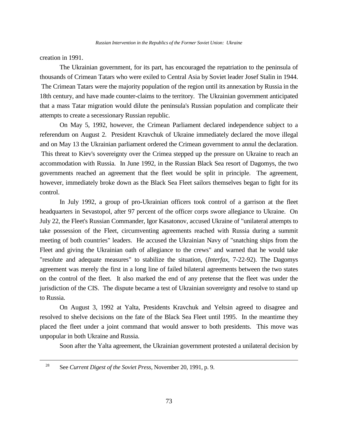creation in 1991.

L,

The Ukrainian government, for its part, has encouraged the repatriation to the peninsula of thousands of Crimean Tatars who were exiled to Central Asia by Soviet leader Josef Stalin in 1944. The Crimean Tatars were the majority population of the region until its annexation by Russia in the 18th century, and have made counter-claims to the territory. The Ukrainian government anticipated that a mass Tatar migration would dilute the peninsula's Russian population and complicate their attempts to create a secessionary Russian republic.

On May 5, 1992, however, the Crimean Parliament declared independence subject to a referendum on August 2. President Kravchuk of Ukraine immediately declared the move illegal and on May 13 the Ukrainian parliament ordered the Crimean government to annul the declaration. This threat to Kiev's sovereignty over the Crimea stepped up the pressure on Ukraine to reach an accommodation with Russia. In June 1992, in the Russian Black Sea resort of Dagomys, the two governments reached an agreement that the fleet would be split in principle. The agreement, however, immediately broke down as the Black Sea Fleet sailors themselves began to fight for its control.

In July 1992, a group of pro-Ukrainian officers took control of a garrison at the fleet headquarters in Sevastopol, after 97 percent of the officer corps swore allegiance to Ukraine. On July 22, the Fleet's Russian Commander, Igor Kasatonov, accused Ukraine of "unilateral attempts to take possession of the Fleet, circumventing agreements reached with Russia during a summit meeting of both countries" leaders. He accused the Ukrainian Navy of "snatching ships from the Fleet and giving the Ukrainian oath of allegiance to the crews" and warned that he would take "resolute and adequate measures" to stabilize the situation, (*Interfax*, 7-22-92). The Dagomys agreement was merely the first in a long line of failed bilateral agreements between the two states on the control of the fleet. It also marked the end of any pretense that the fleet was under the jurisdiction of the CIS. The dispute became a test of Ukrainian sovereignty and resolve to stand up to Russia.

On August 3, 1992 at Yalta, Presidents Kravchuk and Yeltsin agreed to disagree and resolved to shelve decisions on the fate of the Black Sea Fleet until 1995. In the meantime they placed the fleet under a joint command that would answer to both presidents. This move was unpopular in both Ukraine and Russia.

Soon after the Yalta agreement, the Ukrainian government protested a unilateral decision by

<sup>28</sup> See *Current Digest of the Soviet Press*, November 20, 1991, p. 9.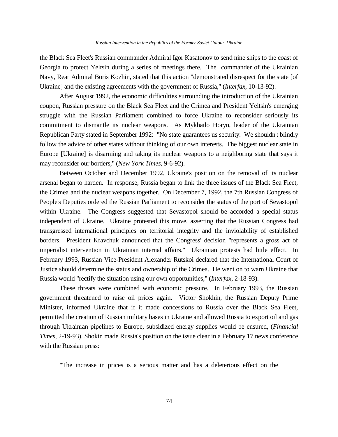the Black Sea Fleet's Russian commander Admiral Igor Kasatonov to send nine ships to the coast of Georgia to protect Yeltsin during a series of meetings there. The commander of the Ukrainian Navy, Rear Admiral Boris Kozhin, stated that this action "demonstrated disrespect for the state [of Ukraine] and the existing agreements with the government of Russia," (*Interfax*, 10-13-92).

After August 1992, the economic difficulties surrounding the introduction of the Ukrainian coupon, Russian pressure on the Black Sea Fleet and the Crimea and President Yeltsin's emerging struggle with the Russian Parliament combined to force Ukraine to reconsider seriously its commitment to dismantle its nuclear weapons. As Mykhailo Horyn, leader of the Ukrainian Republican Party stated in September 1992: "No state guarantees us security. We shouldn't blindly follow the advice of other states without thinking of our own interests. The biggest nuclear state in Europe [Ukraine] is disarming and taking its nuclear weapons to a neighboring state that says it may reconsider our borders," (*New York Times*, 9-6-92).

Between October and December 1992, Ukraine's position on the removal of its nuclear arsenal began to harden. In response, Russia began to link the three issues of the Black Sea Fleet, the Crimea and the nuclear weapons together. On December 7, 1992, the 7th Russian Congress of People's Deputies ordered the Russian Parliament to reconsider the status of the port of Sevastopol within Ukraine. The Congress suggested that Sevastopol should be accorded a special status independent of Ukraine. Ukraine protested this move, asserting that the Russian Congress had transgressed international principles on territorial integrity and the inviolability of established borders. President Kravchuk announced that the Congress' decision "represents a gross act of imperialist intervention in Ukrainian internal affairs." Ukrainian protests had little effect. In February 1993, Russian Vice-President Alexander Rutskoi declared that the International Court of Justice should determine the status and ownership of the Crimea. He went on to warn Ukraine that Russia would "rectify the situation using our own opportunities," (*Interfax*, 2-18-93).

These threats were combined with economic pressure. In February 1993, the Russian government threatened to raise oil prices again. Victor Shokhin, the Russian Deputy Prime Minister, informed Ukraine that if it made concessions to Russia over the Black Sea Fleet, permitted the creation of Russian military bases in Ukraine and allowed Russia to export oil and gas through Ukrainian pipelines to Europe, subsidized energy supplies would be ensured, (*Financial Times*, 2-19-93). Shokin made Russia's position on the issue clear in a February 17 news conference with the Russian press:

"The increase in prices is a serious matter and has a deleterious effect on the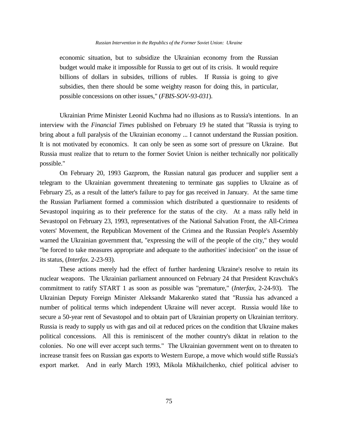#### *Russian Intervention in the Republics of the Former Soviet Union: Ukraine*

economic situation, but to subsidize the Ukrainian economy from the Russian budget would make it impossible for Russia to get out of its crisis. It would require billions of dollars in subsides, trillions of rubles. If Russia is going to give subsidies, then there should be some weighty reason for doing this, in particular, possible concessions on other issues," (*FBIS-SOV-93-031*).

Ukrainian Prime Minister Leonid Kuchma had no illusions as to Russia's intentions. In an interview with the *Financial Times* published on February 19 he stated that "Russia is trying to bring about a full paralysis of the Ukrainian economy ... I cannot understand the Russian position. It is not motivated by economics. It can only be seen as some sort of pressure on Ukraine. But Russia must realize that to return to the former Soviet Union is neither technically nor politically possible."

On February 20, 1993 Gazprom, the Russian natural gas producer and supplier sent a telegram to the Ukrainian government threatening to terminate gas supplies to Ukraine as of February 25, as a result of the latter's failure to pay for gas received in January. At the same time the Russian Parliament formed a commission which distributed a questionnaire to residents of Sevastopol inquiring as to their preference for the status of the city. At a mass rally held in Sevastopol on February 23, 1993, representatives of the National Salvation Front, the All-Crimea voters' Movement, the Republican Movement of the Crimea and the Russian People's Assembly warned the Ukrainian government that, "expressing the will of the people of the city," they would "be forced to take measures appropriate and adequate to the authorities' indecision" on the issue of its status, (*Interfax*. 2-23-93).

These actions merely had the effect of further hardening Ukraine's resolve to retain its nuclear weapons. The Ukrainian parliament announced on February 24 that President Kravchuk's commitment to ratify START 1 as soon as possible was "premature," (*Interfax*, 2-24-93). The Ukrainian Deputy Foreign Minister Aleksandr Makarenko stated that "Russia has advanced a number of political terms which independent Ukraine will never accept. Russia would like to secure a 50-year rent of Sevastopol and to obtain part of Ukrainian property on Ukrainian territory. Russia is ready to supply us with gas and oil at reduced prices on the condition that Ukraine makes political concessions. All this is reminiscent of the mother country's diktat in relation to the colonies. No one will ever accept such terms." The Ukrainian government went on to threaten to increase transit fees on Russian gas exports to Western Europe, a move which would stifle Russia's export market. And in early March 1993, Mikola Mikhailchenko, chief political adviser to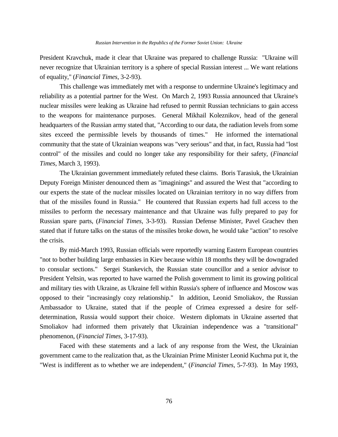President Kravchuk, made it clear that Ukraine was prepared to challenge Russia: "Ukraine will never recognize that Ukrainian territory is a sphere of special Russian interest ... We want relations of equality," (*Financial Times*, 3-2-93).

This challenge was immediately met with a response to undermine Ukraine's legitimacy and reliability as a potential partner for the West. On March 2, 1993 Russia announced that Ukraine's nuclear missiles were leaking as Ukraine had refused to permit Russian technicians to gain access to the weapons for maintenance purposes. General Mikhail Koleznikov, head of the general headquarters of the Russian army stated that, "According to our data, the radiation levels from some sites exceed the permissible levels by thousands of times." He informed the international community that the state of Ukrainian weapons was "very serious" and that, in fact, Russia had "lost control" of the missiles and could no longer take any responsibility for their safety, (*Financial Times*, March 3, 1993).

The Ukrainian government immediately refuted these claims. Boris Tarasiuk, the Ukrainian Deputy Foreign Minister denounced them as "imaginings" and assured the West that "according to our experts the state of the nuclear missiles located on Ukrainian territory in no way differs from that of the missiles found in Russia." He countered that Russian experts had full access to the missiles to perform the necessary maintenance and that Ukraine was fully prepared to pay for Russian spare parts, (*Financial Times*, 3-3-93). Russian Defense Minister, Pavel Grachev then stated that if future talks on the status of the missiles broke down, he would take "action" to resolve the crisis.

By mid-March 1993, Russian officials were reportedly warning Eastern European countries "not to bother building large embassies in Kiev because within 18 months they will be downgraded to consular sections." Sergei Stankevich, the Russian state councillor and a senior advisor to President Yeltsin, was reported to have warned the Polish government to limit its growing political and military ties with Ukraine, as Ukraine fell within Russia's sphere of influence and Moscow was opposed to their "increasingly cozy relationship." In addition, Leonid Smoliakov, the Russian Ambassador to Ukraine, stated that if the people of Crimea expressed a desire for selfdetermination, Russia would support their choice. Western diplomats in Ukraine asserted that Smoliakov had informed them privately that Ukrainian independence was a "transitional" phenomenon, (*Financial Times*, 3-17-93).

Faced with these statements and a lack of any response from the West, the Ukrainian government came to the realization that, as the Ukrainian Prime Minister Leonid Kuchma put it, the "West is indifferent as to whether we are independent," (*Financial Times*, 5-7-93). In May 1993,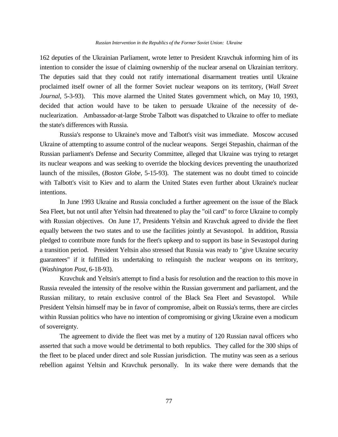162 deputies of the Ukrainian Parliament, wrote letter to President Kravchuk informing him of its intention to consider the issue of claiming ownership of the nuclear arsenal on Ukrainian territory. The deputies said that they could not ratify international disarmament treaties until Ukraine proclaimed itself owner of all the former Soviet nuclear weapons on its territory, (*Wall Street Journal*, 5-3-93). This move alarmed the United States government which, on May 10, 1993, decided that action would have to be taken to persuade Ukraine of the necessity of denuclearization. Ambassador-at-large Strobe Talbott was dispatched to Ukraine to offer to mediate the state's differences with Russia.

Russia's response to Ukraine's move and Talbott's visit was immediate. Moscow accused Ukraine of attempting to assume control of the nuclear weapons. Sergei Stepashin, chairman of the Russian parliament's Defense and Security Committee, alleged that Ukraine was trying to retarget its nuclear weapons and was seeking to override the blocking devices preventing the unauthorized launch of the missiles, (*Boston Globe*, 5-15-93). The statement was no doubt timed to coincide with Talbott's visit to Kiev and to alarm the United States even further about Ukraine's nuclear intentions.

In June 1993 Ukraine and Russia concluded a further agreement on the issue of the Black Sea Fleet, but not until after Yeltsin had threatened to play the "oil card" to force Ukraine to comply with Russian objectives. On June 17, Presidents Yeltsin and Kravchuk agreed to divide the fleet equally between the two states and to use the facilities jointly at Sevastopol. In addition, Russia pledged to contribute more funds for the fleet's upkeep and to support its base in Sevastopol during a transition period. President Yeltsin also stressed that Russia was ready to "give Ukraine security guarantees" if it fulfilled its undertaking to relinquish the nuclear weapons on its territory, (*Washington Post*, 6-18-93).

Kravchuk and Yeltsin's attempt to find a basis for resolution and the reaction to this move in Russia revealed the intensity of the resolve within the Russian government and parliament, and the Russian military, to retain exclusive control of the Black Sea Fleet and Sevastopol. While President Yeltsin himself may be in favor of compromise, albeit on Russia's terms, there are circles within Russian politics who have no intention of compromising or giving Ukraine even a modicum of sovereignty.

The agreement to divide the fleet was met by a mutiny of 120 Russian naval officers who asserted that such a move would be detrimental to both republics. They called for the 300 ships of the fleet to be placed under direct and sole Russian jurisdiction. The mutiny was seen as a serious rebellion against Yeltsin and Kravchuk personally. In its wake there were demands that the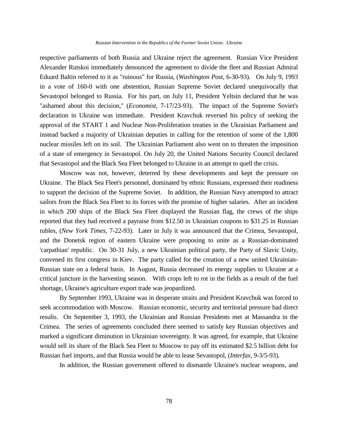respective parliaments of both Russia and Ukraine reject the agreement. Russian Vice President Alexander Rutskoi immediately denounced the agreement to divide the fleet and Russian Admiral Eduard Baltin referred to it as "ruinous" for Russia, (*Washington Post*, 6-30-93). On July 9, 1993 in a vote of 160-0 with one abstention, Russian Supreme Soviet declared unequivocally that Sevastopol belonged to Russia. For his part, on July 11, President Yeltsin declared that he was "ashamed about this decision," (*Economist*, 7-17/23-93). The impact of the Supreme Soviet's declaration in Ukraine was immediate. President Kravchuk reversed his policy of seeking the approval of the START 1 and Nuclear Non-Proliferation treaties in the Ukrainian Parliament and instead backed a majority of Ukrainian deputies in calling for the retention of some of the 1,800 nuclear missiles left on its soil. The Ukrainian Parliament also went on to threaten the imposition of a state of emergency in Sevastopol. On July 20, the United Nations Security Council declared that Sevastopol and the Black Sea Fleet belonged to Ukraine in an attempt to quell the crisis.

Moscow was not, however, deterred by these developments and kept the pressure on Ukraine. The Black Sea Fleet's personnel, dominated by ethnic Russians, expressed their readiness to support the decision of the Supreme Soviet. In addition, the Russian Navy attempted to attract sailors from the Black Sea Fleet to its forces with the promise of higher salaries. After an incident in which 200 ships of the Black Sea Fleet displayed the Russian flag, the crews of the ships reported that they had received a payraise from \$12.50 in Ukrainian coupons to \$31.25 in Russian rubles, (*New York Times*, 7-22-93). Later in July it was announced that the Crimea, Sevastopol, and the Donetsk region of eastern Ukraine were proposing to unite as a Russian-dominated 'carpathian' republic. On 30-31 July, a new Ukrainian political party, the Party of Slavic Unity, convened its first congress in Kiev. The party called for the creation of a new united Ukrainian-Russian state on a federal basis. In August, Russia decreased its energy supplies to Ukraine at a critical juncture in the harvesting season. With crops left to rot in the fields as a result of the fuel shortage, Ukraine's agriculture export trade was jeopardized.

By September 1993, Ukraine was in desperate straits and President Kravchuk was forced to seek accommodation with Moscow. Russian economic, security and territorial pressure had direct results. On September 3, 1993, the Ukrainian and Russian Presidents met at Massandra in the Crimea. The series of agreements concluded there seemed to satisfy key Russian objectives and marked a significant diminution in Ukrainian sovereignty. It was agreed, for example, that Ukraine would sell its share of the Black Sea Fleet to Moscow to pay off its estimated \$2.5 billion debt for Russian fuel imports, and that Russia would be able to lease Sevastopol, (*Interfax*, 9-3/5-93).

In addition, the Russian government offered to dismantle Ukraine's nuclear weapons, and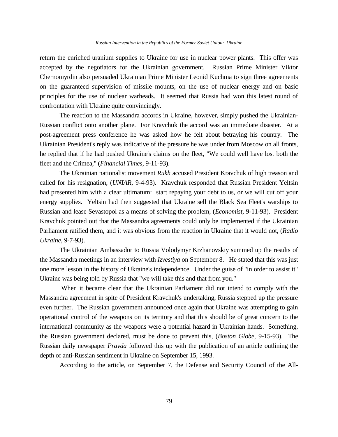return the enriched uranium supplies to Ukraine for use in nuclear power plants. This offer was accepted by the negotiators for the Ukrainian government. Russian Prime Minister Viktor Chernomyrdin also persuaded Ukrainian Prime Minister Leonid Kuchma to sign three agreements on the guaranteed supervision of missile mounts, on the use of nuclear energy and on basic principles for the use of nuclear warheads. It seemed that Russia had won this latest round of confrontation with Ukraine quite convincingly.

The reaction to the Massandra accords in Ukraine, however, simply pushed the Ukrainian-Russian conflict onto another plane. For Kravchuk the accord was an immediate disaster. At a post-agreement press conference he was asked how he felt about betraying his country. The Ukrainian President's reply was indicative of the pressure he was under from Moscow on all fronts, he replied that if he had pushed Ukraine's claims on the fleet, "We could well have lost both the fleet and the Crimea," (*Financial Times*, 9-11-93).

The Ukrainian nationalist movement *Rukh* accused President Kravchuk of high treason and called for his resignation, (*UNIAR*, 9-4-93). Kravchuk responded that Russian President Yeltsin had presented him with a clear ultimatum: start repaying your debt to us, or we will cut off your energy supplies. Yeltsin had then suggested that Ukraine sell the Black Sea Fleet's warships to Russian and lease Sevastopol as a means of solving the problem, (*Economist*, 9-11-93). President Kravchuk pointed out that the Massandra agreements could only be implemented if the Ukrainian Parliament ratified them, and it was obvious from the reaction in Ukraine that it would not, (*Radio Ukraine*, 9-7-93).

The Ukrainian Ambassador to Russia Volodymyr Krzhanovskiy summed up the results of the Massandra meetings in an interview with *Izvestiya* on September 8. He stated that this was just one more lesson in the history of Ukraine's independence. Under the guise of "in order to assist it" Ukraine was being told by Russia that "we will take this and that from you."

When it became clear that the Ukrainian Parliament did not intend to comply with the Massandra agreement in spite of President Kravchuk's undertaking, Russia stepped up the pressure even further. The Russian government announced once again that Ukraine was attempting to gain operational control of the weapons on its territory and that this should be of great concern to the international community as the weapons were a potential hazard in Ukrainian hands. Something, the Russian government declared, must be done to prevent this, (*Boston Globe*, 9-15-93). The Russian daily newspaper *Pravda* followed this up with the publication of an article outlining the depth of anti-Russian sentiment in Ukraine on September 15, 1993.

According to the article, on September 7, the Defense and Security Council of the All-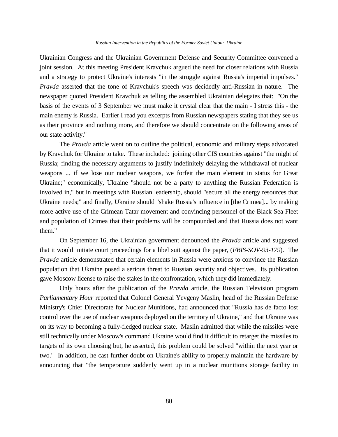## *Russian Intervention in the Republics of the Former Soviet Union: Ukraine*

Ukrainian Congress and the Ukrainian Government Defense and Security Committee convened a joint session. At this meeting President Kravchuk argued the need for closer relations with Russia and a strategy to protect Ukraine's interests "in the struggle against Russia's imperial impulses." *Pravda* asserted that the tone of Kravchuk's speech was decidedly anti-Russian in nature. The newspaper quoted President Kravchuk as telling the assembled Ukrainian delegates that: "On the basis of the events of 3 September we must make it crystal clear that the main - I stress this - the main enemy is Russia. Earlier I read you excerpts from Russian newspapers stating that they see us as their province and nothing more, and therefore we should concentrate on the following areas of our state activity."

The *Pravda* article went on to outline the political, economic and military steps advocated by Kravchuk for Ukraine to take. These included: joining other CIS countries against "the might of Russia; finding the necessary arguments to justify indefinitely delaying the withdrawal of nuclear weapons ... if we lose our nuclear weapons, we forfeit the main element in status for Great Ukraine;" economically, Ukraine "should not be a party to anything the Russian Federation is involved in," but in meetings with Russian leadership, should "secure all the energy resources that Ukraine needs;" and finally, Ukraine should "shake Russia's influence in [the Crimea]... by making more active use of the Crimean Tatar movement and convincing personnel of the Black Sea Fleet and population of Crimea that their problems will be compounded and that Russia does not want them."

On September 16, the Ukrainian government denounced the *Pravda* article and suggested that it would initiate court proceedings for a libel suit against the paper, (*FBIS-SOV-93-179*). The *Pravda* article demonstrated that certain elements in Russia were anxious to convince the Russian population that Ukraine posed a serious threat to Russian security and objectives. Its publication gave Moscow license to raise the stakes in the confrontation, which they did immediately.

Only hours after the publication of the *Pravda* article, the Russian Television program *Parliamentary Hour* reported that Colonel General Yevgeny Maslin, head of the Russian Defense Ministry's Chief Directorate for Nuclear Munitions, had announced that "Russia has de facto lost control over the use of nuclear weapons deployed on the territory of Ukraine," and that Ukraine was on its way to becoming a fully-fledged nuclear state. Maslin admitted that while the missiles were still technically under Moscow's command Ukraine would find it difficult to retarget the missiles to targets of its own choosing but, he asserted, this problem could be solved "within the next year or two." In addition, he cast further doubt on Ukraine's ability to properly maintain the hardware by announcing that "the temperature suddenly went up in a nuclear munitions storage facility in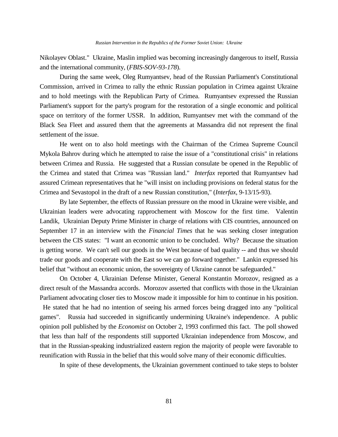Nikolayev Oblast." Ukraine, Maslin implied was becoming increasingly dangerous to itself, Russia and the international community, (*FBIS-SOV-93-178*).

During the same week, Oleg Rumyantsev, head of the Russian Parliament's Constitutional Commission, arrived in Crimea to rally the ethnic Russian population in Crimea against Ukraine and to hold meetings with the Republican Party of Crimea. Rumyantsev expressed the Russian Parliament's support for the party's program for the restoration of a single economic and political space on territory of the former USSR. In addition, Rumyantsev met with the command of the Black Sea Fleet and assured them that the agreements at Massandra did not represent the final settlement of the issue.

He went on to also hold meetings with the Chairman of the Crimea Supreme Council Mykola Bahrov during which he attempted to raise the issue of a "constitutional crisis" in relations between Crimea and Russia. He suggested that a Russian consulate be opened in the Republic of the Crimea and stated that Crimea was "Russian land." *Interfax* reported that Rumyantsev had assured Crimean representatives that he "will insist on including provisions on federal status for the Crimea and Sevastopol in the draft of a new Russian constitution," (*Interfax*, 9-13/15-93).

By late September, the effects of Russian pressure on the mood in Ukraine were visible, and Ukrainian leaders were advocating rapprochement with Moscow for the first time. Valentin Landik, Ukrainian Deputy Prime Minister in charge of relations with CIS countries, announced on September 17 in an interview with the *Financial Times* that he was seeking closer integration between the CIS states: "I want an economic union to be concluded. Why? Because the situation is getting worse. We can't sell our goods in the West because of bad quality -- and thus we should trade our goods and cooperate with the East so we can go forward together." Lankin expressed his belief that "without an economic union, the sovereignty of Ukraine cannot be safeguarded."

On October 4, Ukrainian Defense Minister, General Konstantin Morozov, resigned as a direct result of the Massandra accords. Morozov asserted that conflicts with those in the Ukrainian Parliament advocating closer ties to Moscow made it impossible for him to continue in his position.

 He stated that he had no intention of seeing his armed forces being dragged into any "political games". Russia had succeeded in significantly undermining Ukraine's independence. A public opinion poll published by the *Economist* on October 2, 1993 confirmed this fact. The poll showed that less than half of the respondents still supported Ukrainian independence from Moscow, and that in the Russian-speaking industrialized eastern region the majority of people were favorable to reunification with Russia in the belief that this would solve many of their economic difficulties.

In spite of these developments, the Ukrainian government continued to take steps to bolster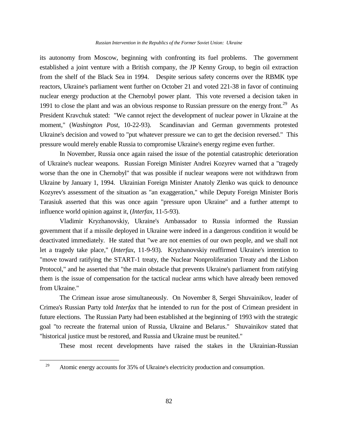## *Russian Intervention in the Republics of the Former Soviet Union: Ukraine*

its autonomy from Moscow, beginning with confronting its fuel problems. The government established a joint venture with a British company, the JP Kenny Group, to begin oil extraction from the shelf of the Black Sea in 1994. Despite serious safety concerns over the RBMK type reactors, Ukraine's parliament went further on October 21 and voted 221-38 in favor of continuing nuclear energy production at the Chernobyl power plant. This vote reversed a decision taken in 1991 to close the plant and was an obvious response to Russian pressure on the energy front.<sup>29</sup> As President Kravchuk stated: "We cannot reject the development of nuclear power in Ukraine at the moment," (*Washington Post*, 10-22-93). Scandinavian and German governments protested Ukraine's decision and vowed to "put whatever pressure we can to get the decision reversed." This pressure would merely enable Russia to compromise Ukraine's energy regime even further.

In November, Russia once again raised the issue of the potential catastrophic deterioration of Ukraine's nuclear weapons. Russian Foreign Minister Andrei Kozyrev warned that a "tragedy worse than the one in Chernobyl" that was possible if nuclear weapons were not withdrawn from Ukraine by January 1, 1994. Ukrainian Foreign Minister Anatoly Zlenko was quick to denounce Kozyrev's assessment of the situation as "an exaggeration," while Deputy Foreign Minister Boris Tarasiuk asserted that this was once again "pressure upon Ukraine" and a further attempt to influence world opinion against it, (*Interfax*, 11-5-93).

Vladimir Kryzhanovskiy, Ukraine's Ambassador to Russia informed the Russian government that if a missile deployed in Ukraine were indeed in a dangerous condition it would be deactivated immediately. He stated that "we are not enemies of our own people, and we shall not let a tragedy take place," (*Interfax*, 11-9-93). Kryzhanovskiy reaffirmed Ukraine's intention to "move toward ratifying the START-1 treaty, the Nuclear Nonproliferation Treaty and the Lisbon Protocol," and he asserted that "the main obstacle that prevents Ukraine's parliament from ratifying them is the issue of compensation for the tactical nuclear arms which have already been removed from Ukraine."

The Crimean issue arose simultaneously. On November 8, Sergei Shuvainikov, leader of Crimea's Russian Party told *Interfax* that he intended to run for the post of Crimean president in future elections. The Russian Party had been established at the beginning of 1993 with the strategic goal "to recreate the fraternal union of Russia, Ukraine and Belarus." Shuvainikov stated that "historical justice must be restored, and Russia and Ukraine must be reunited."

These most recent developments have raised the stakes in the Ukrainian-Russian

L,

<sup>&</sup>lt;sup>29</sup> Atomic energy accounts for 35% of Ukraine's electricity production and consumption.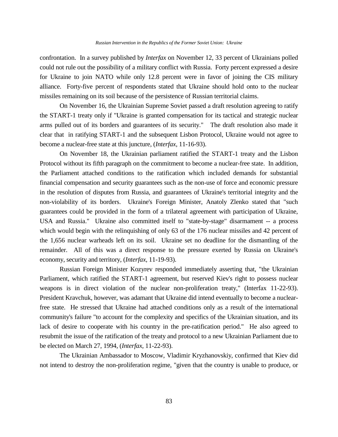confrontation. In a survey published by *Interfax* on November 12, 33 percent of Ukrainians polled could not rule out the possibility of a military conflict with Russia. Forty percent expressed a desire for Ukraine to join NATO while only 12.8 percent were in favor of joining the CIS military alliance. Forty-five percent of respondents stated that Ukraine should hold onto to the nuclear missiles remaining on its soil because of the persistence of Russian territorial claims.

On November 16, the Ukrainian Supreme Soviet passed a draft resolution agreeing to ratify the START-1 treaty only if "Ukraine is granted compensation for its tactical and strategic nuclear arms pulled out of its borders and guarantees of its security." The draft resolution also made it clear that in ratifying START-1 and the subsequent Lisbon Protocol, Ukraine would not agree to become a nuclear-free state at this juncture, (*Interfax*, 11-16-93).

On November 18, the Ukrainian parliament ratified the START-1 treaty and the Lisbon Protocol without its fifth paragraph on the commitment to become a nuclear-free state. In addition, the Parliament attached conditions to the ratification which included demands for substantial financial compensation and security guarantees such as the non-use of force and economic pressure in the resolution of disputes from Russia, and guarantees of Ukraine's territorial integrity and the non-violability of its borders. Ukraine's Foreign Minister, Anatoly Zlenko stated that "such guarantees could be provided in the form of a trilateral agreement with participation of Ukraine, USA and Russia." Ukraine also committed itself to "state-by-stage" disarmament -- a process which would begin with the relinquishing of only 63 of the 176 nuclear missiles and 42 percent of the 1,656 nuclear warheads left on its soil. Ukraine set no deadline for the dismantling of the remainder. All of this was a direct response to the pressure exerted by Russia on Ukraine's economy, security and territory, (*Interfax*, 11-19-93).

Russian Foreign Minister Kozyrev responded immediately asserting that, "the Ukrainian Parliament, which ratified the START-1 agreement, but reserved Kiev's right to possess nuclear weapons is in direct violation of the nuclear non-proliferation treaty," (Interfax 11-22-93). President Kravchuk, however, was adamant that Ukraine did intend eventually to become a nuclearfree state. He stressed that Ukraine had attached conditions only as a result of the international community's failure "to account for the complexity and specifics of the Ukrainian situation, and its lack of desire to cooperate with his country in the pre-ratification period." He also agreed to resubmit the issue of the ratification of the treaty and protocol to a new Ukrainian Parliament due to be elected on March 27, 1994, (*Interfax*, 11-22-93).

The Ukrainian Ambassador to Moscow, Vladimir Kryzhanovskiy, confirmed that Kiev did not intend to destroy the non-proliferation regime, "given that the country is unable to produce, or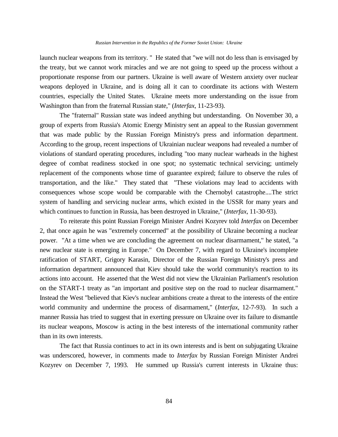launch nuclear weapons from its territory. " He stated that "we will not do less than is envisaged by the treaty, but we cannot work miracles and we are not going to speed up the process without a proportionate response from our partners. Ukraine is well aware of Western anxiety over nuclear weapons deployed in Ukraine, and is doing all it can to coordinate its actions with Western countries, especially the United States. Ukraine meets more understanding on the issue from Washington than from the fraternal Russian state," (*Interfax*, 11-23-93).

The "fraternal" Russian state was indeed anything but understanding. On November 30, a group of experts from Russia's Atomic Energy Ministry sent an appeal to the Russian government that was made public by the Russian Foreign Ministry's press and information department. According to the group, recent inspections of Ukrainian nuclear weapons had revealed a number of violations of standard operating procedures, including "too many nuclear warheads in the highest degree of combat readiness stocked in one spot; no systematic technical servicing; untimely replacement of the components whose time of guarantee expired; failure to observe the rules of transportation, and the like." They stated that "These violations may lead to accidents with consequences whose scope would be comparable with the Chernobyl catastrophe....The strict system of handling and servicing nuclear arms, which existed in the USSR for many years and which continues to function in Russia, has been destroyed in Ukraine," (*Interfax*, 11-30-93).

To reiterate this point Russian Foreign Minister Andrei Kozyrev told *Interfax* on December 2, that once again he was "extremely concerned" at the possibility of Ukraine becoming a nuclear power. "At a time when we are concluding the agreement on nuclear disarmament," he stated, "a new nuclear state is emerging in Europe." On December 7, with regard to Ukraine's incomplete ratification of START, Grigory Karasin, Director of the Russian Foreign Ministry's press and information department announced that Kiev should take the world community's reaction to its actions into account. He asserted that the West did not view the Ukrainian Parliament's resolution on the START-1 treaty as "an important and positive step on the road to nuclear disarmament." Instead the West "believed that Kiev's nuclear ambitions create a threat to the interests of the entire world community and undermine the process of disarmament," (*Interfax*, 12-7-93). In such a manner Russia has tried to suggest that in exerting pressure on Ukraine over its failure to dismantle its nuclear weapons, Moscow is acting in the best interests of the international community rather than in its own interests.

The fact that Russia continues to act in its own interests and is bent on subjugating Ukraine was underscored, however, in comments made to *Interfax* by Russian Foreign Minister Andrei Kozyrev on December 7, 1993. He summed up Russia's current interests in Ukraine thus: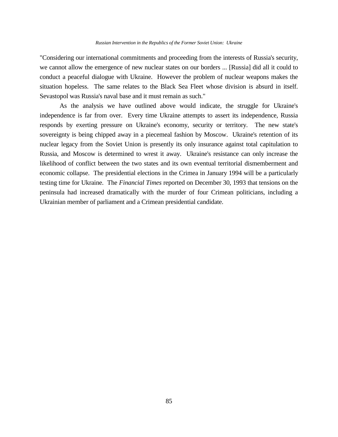"Considering our international commitments and proceeding from the interests of Russia's security, we cannot allow the emergence of new nuclear states on our borders ... [Russia] did all it could to conduct a peaceful dialogue with Ukraine. However the problem of nuclear weapons makes the situation hopeless. The same relates to the Black Sea Fleet whose division is absurd in itself. Sevastopol was Russia's naval base and it must remain as such."

As the analysis we have outlined above would indicate, the struggle for Ukraine's independence is far from over. Every time Ukraine attempts to assert its independence, Russia responds by exerting pressure on Ukraine's economy, security or territory. The new state's sovereignty is being chipped away in a piecemeal fashion by Moscow. Ukraine's retention of its nuclear legacy from the Soviet Union is presently its only insurance against total capitulation to Russia, and Moscow is determined to wrest it away. Ukraine's resistance can only increase the likelihood of conflict between the two states and its own eventual territorial dismemberment and economic collapse. The presidential elections in the Crimea in January 1994 will be a particularly testing time for Ukraine. The *Financial Times* reported on December 30, 1993 that tensions on the peninsula had increased dramatically with the murder of four Crimean politicians, including a Ukrainian member of parliament and a Crimean presidential candidate.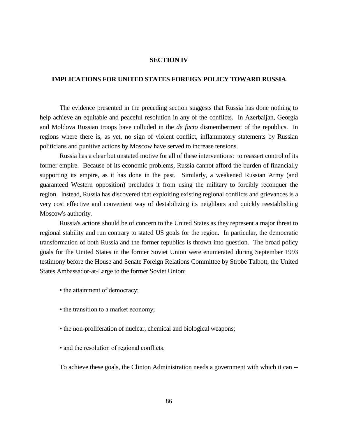## **SECTION IV**

## **IMPLICATIONS FOR UNITED STATES FOREIGN POLICY TOWARD RUSSIA**

The evidence presented in the preceding section suggests that Russia has done nothing to help achieve an equitable and peaceful resolution in any of the conflicts. In Azerbaijan, Georgia and Moldova Russian troops have colluded in the *de facto* dismemberment of the republics. In regions where there is, as yet, no sign of violent conflict, inflammatory statements by Russian politicians and punitive actions by Moscow have served to increase tensions.

Russia has a clear but unstated motive for all of these interventions: to reassert control of its former empire. Because of its economic problems, Russia cannot afford the burden of financially supporting its empire, as it has done in the past. Similarly, a weakened Russian Army (and guaranteed Western opposition) precludes it from using the military to forcibly reconquer the region. Instead, Russia has discovered that exploiting existing regional conflicts and grievances is a very cost effective and convenient way of destabilizing its neighbors and quickly reestablishing Moscow's authority.

Russia's actions should be of concern to the United States as they represent a major threat to regional stability and run contrary to stated US goals for the region. In particular, the democratic transformation of both Russia and the former republics is thrown into question. The broad policy goals for the United States in the former Soviet Union were enumerated during September 1993 testimony before the House and Senate Foreign Relations Committee by Strobe Talbott, the United States Ambassador-at-Large to the former Soviet Union:

- the attainment of democracy;
- the transition to a market economy;
- the non-proliferation of nuclear, chemical and biological weapons;
- and the resolution of regional conflicts.

To achieve these goals, the Clinton Administration needs a government with which it can --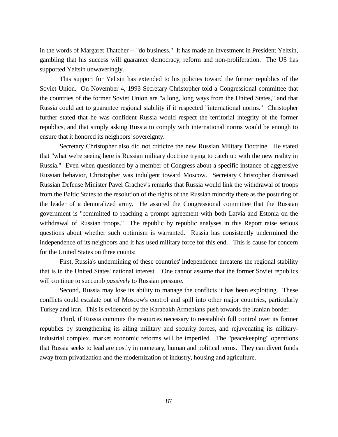in the words of Margaret Thatcher -- "do business." It has made an investment in President Yeltsin, gambling that his success will guarantee democracy, reform and non-proliferation. The US has supported Yeltsin unwaveringly.

This support for Yeltsin has extended to his policies toward the former republics of the Soviet Union. On November 4, 1993 Secretary Christopher told a Congressional committee that the countries of the former Soviet Union are "a long, long ways from the United States," and that Russia could act to guarantee regional stability if it respected "international norms." Christopher further stated that he was confident Russia would respect the territorial integrity of the former republics, and that simply asking Russia to comply with international norms would be enough to ensure that it honored its neighbors' sovereignty.

Secretary Christopher also did not criticize the new Russian Military Doctrine. He stated that "what we're seeing here is Russian military doctrine trying to catch up with the new reality in Russia." Even when questioned by a member of Congress about a specific instance of aggressive Russian behavior, Christopher was indulgent toward Moscow. Secretary Christopher dismissed Russian Defense Minister Pavel Grachev's remarks that Russia would link the withdrawal of troops from the Baltic States to the resolution of the rights of the Russian minority there as the posturing of the leader of a demoralized army. He assured the Congressional committee that the Russian government is "committed to reaching a prompt agreement with both Latvia and Estonia on the withdrawal of Russian troops." The republic by republic analyses in this Report raise serious questions about whether such optimism is warranted. Russia has consistently undermined the independence of its neighbors and it has used military force for this end. This is cause for concern for the United States on three counts:

First, Russia's undermining of these countries' independence threatens the regional stability that is in the United States' national interest. One cannot assume that the former Soviet republics will continue to succumb *passively* to Russian pressure.

Second, Russia may lose its ability to manage the conflicts it has been exploiting. These conflicts could escalate out of Moscow's control and spill into other major countries, particularly Turkey and Iran. This is evidenced by the Karabakh Armenians push towards the Iranian border.

Third, if Russia commits the resources necessary to reestablish full control over its former republics by strengthening its ailing military and security forces, and rejuvenating its militaryindustrial complex, market economic reforms will be imperiled. The "peacekeeping" operations that Russia seeks to lead are costly in monetary, human and political terms. They can divert funds away from privatization and the modernization of industry, housing and agriculture.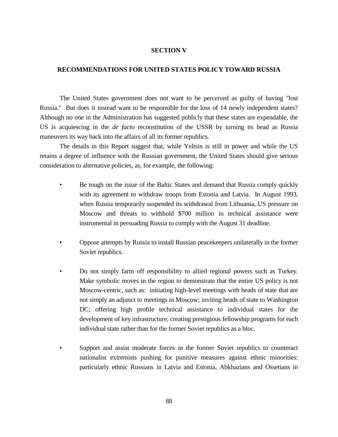# **SECTION V**

# **RECOMMENDATIONS FOR UNITED STATES POLICY TOWARD RUSSIA**

The United States government does not want to be perceived as guilty of having "lost Russia." But does it instead want to be responsible for the loss of 14 newly independent states? Although no one in the Administration has suggested publicly that these states are expendable, the US is acquiescing in the *de facto* reconstitution of the USSR by turning its head as Russia maneuvers its way back into the affairs of all its former republics.

The details in this Report suggest that, while Yeltsin is still in power and while the US retains a degree of influence with the Russian government, the United States should give serious consideration to alternative policies, as, for example, the following:

- Be tough on the issue of the Baltic States and demand that Russia comply quickly with its agreement to withdraw troops from Estonia and Latvia. In August 1993, when Russia temporarily suspended its withdrawal from Lithuania, US pressure on Moscow and threats to withhold \$700 million in technical assistance were instrumental in persuading Russia to comply with the August 31 deadline.
- Oppose attempts by Russia to install Russian peacekeepers unilaterally in the former Soviet republics.
- Do not simply farm off responsibility to allied regional powers such as Turkey. Make symbolic moves in the region to demonstrate that the entire US policy is not Moscow-centric, such as: initiating high-level meetings with heads of state that are not simply an adjunct to meetings in Moscow; inviting heads of state to Washington DC; offering high profile technical assistance to individual states for the development of key infrastructure; creating prestigious fellowship programs for each individual state rather than for the former Soviet republics as a bloc.
- Support and assist moderate forces in the former Soviet republics to counteract nationalist extremists pushing for punitive measures against ethnic minorities: particularly ethnic Russians in Latvia and Estonia, Abkhazians and Ossetians in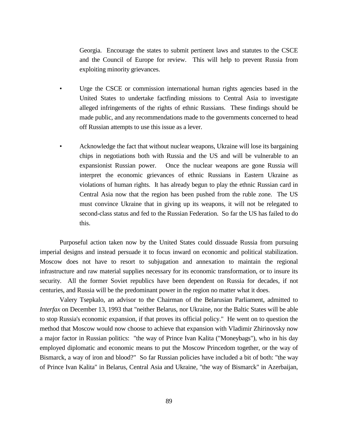Georgia. Encourage the states to submit pertinent laws and statutes to the CSCE and the Council of Europe for review. This will help to prevent Russia from exploiting minority grievances.

- Urge the CSCE or commission international human rights agencies based in the United States to undertake factfinding missions to Central Asia to investigate alleged infringements of the rights of ethnic Russians. These findings should be made public, and any recommendations made to the governments concerned to head off Russian attempts to use this issue as a lever.
- Acknowledge the fact that without nuclear weapons, Ukraine will lose its bargaining chips in negotiations both with Russia and the US and will be vulnerable to an expansionist Russian power. Once the nuclear weapons are gone Russia will interpret the economic grievances of ethnic Russians in Eastern Ukraine as violations of human rights. It has already begun to play the ethnic Russian card in Central Asia now that the region has been pushed from the ruble zone. The US must convince Ukraine that in giving up its weapons, it will not be relegated to second-class status and fed to the Russian Federation. So far the US has failed to do this.

Purposeful action taken now by the United States could dissuade Russia from pursuing imperial designs and instead persuade it to focus inward on economic and political stabilization. Moscow does not have to resort to subjugation and annexation to maintain the regional infrastructure and raw material supplies necessary for its economic transformation, or to insure its security. All the former Soviet republics have been dependent on Russia for decades, if not centuries, and Russia will be the predominant power in the region no matter what it does.

Valery Tsepkalo, an advisor to the Chairman of the Belarusian Parliament, admitted to *Interfax* on December 13, 1993 that "neither Belarus, nor Ukraine, nor the Baltic States will be able to stop Russia's economic expansion, if that proves its official policy." He went on to question the method that Moscow would now choose to achieve that expansion with Vladimir Zhirinovsky now a major factor in Russian politics: "the way of Prince Ivan Kalita ("Moneybags"), who in his day employed diplomatic and economic means to put the Moscow Princedom together, or the way of Bismarck, a way of iron and blood?" So far Russian policies have included a bit of both: "the way of Prince Ivan Kalita" in Belarus, Central Asia and Ukraine, "the way of Bismarck" in Azerbaijan,